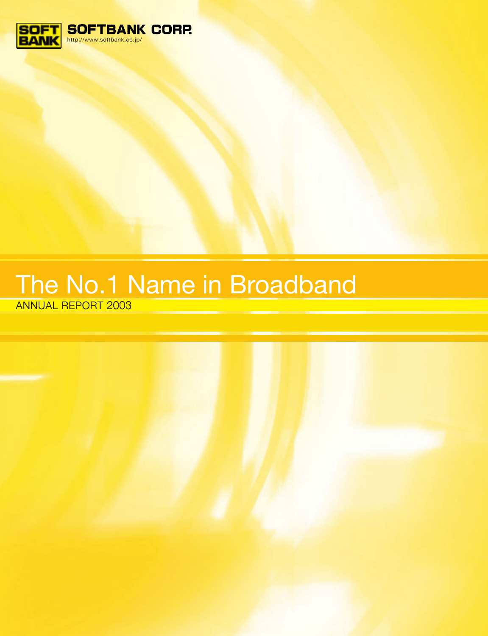

# ANNUAL REPORT 2003 The No.1 Name in Broadband

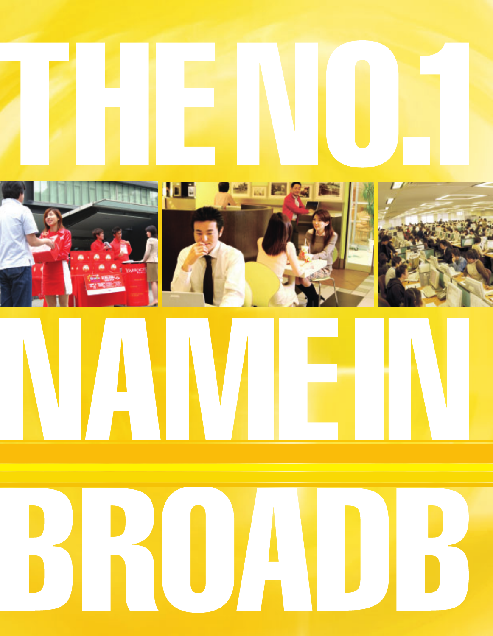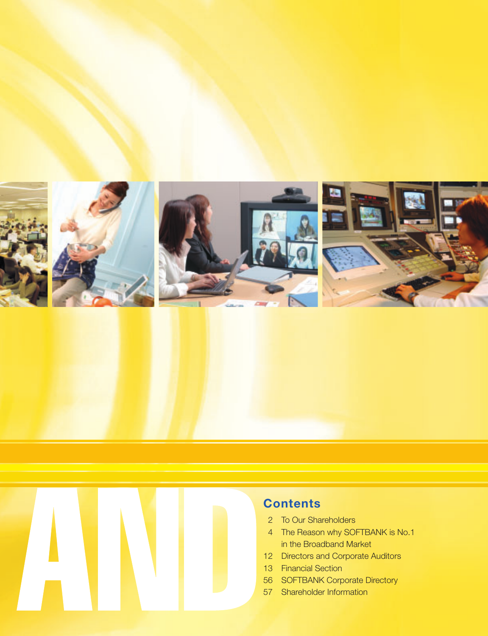



- 2 To Our Shareholders
- 4 The Reason why SOFTBANK is No.1 in the Broadband Market
- 12 Directors and Corporate Auditors
- 13 Financial Section
- 56 SOFTBANK Corporate Directory
- 57 Shareholder Information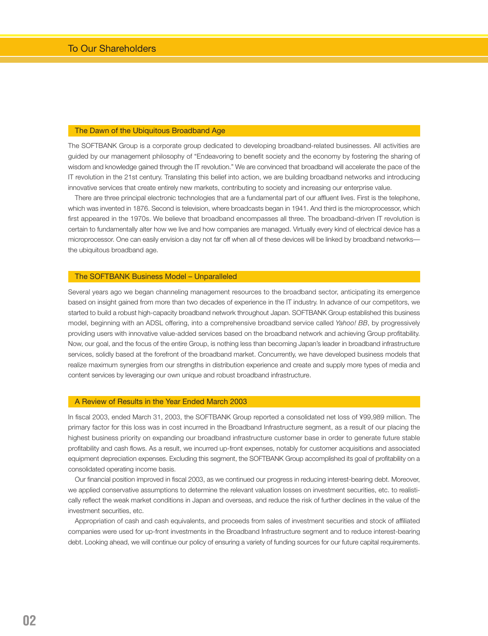#### The Dawn of the Ubiquitous Broadband Age

The SOFTBANK Group is a corporate group dedicated to developing broadband-related businesses. All activities are guided by our management philosophy of "Endeavoring to benefit society and the economy by fostering the sharing of wisdom and knowledge gained through the IT revolution." We are convinced that broadband will accelerate the pace of the IT revolution in the 21st century. Translating this belief into action, we are building broadband networks and introducing innovative services that create entirely new markets, contributing to society and increasing our enterprise value.

There are three principal electronic technologies that are a fundamental part of our affluent lives. First is the telephone, which was invented in 1876. Second is television, where broadcasts began in 1941. And third is the microprocessor, which first appeared in the 1970s. We believe that broadband encompasses all three. The broadband-driven IT revolution is certain to fundamentally alter how we live and how companies are managed. Virtually every kind of electrical device has a microprocessor. One can easily envision a day not far off when all of these devices will be linked by broadband networks the ubiquitous broadband age.

#### The SOFTBANK Business Model – Unparalleled

Several years ago we began channeling management resources to the broadband sector, anticipating its emergence based on insight gained from more than two decades of experience in the IT industry. In advance of our competitors, we started to build a robust high-capacity broadband network throughout Japan. SOFTBANK Group established this business model, beginning with an ADSL offering, into a comprehensive broadband service called *Yahoo! BB*, by progressively providing users with innovative value-added services based on the broadband network and achieving Group profitability. Now, our goal, and the focus of the entire Group, is nothing less than becoming Japan's leader in broadband infrastructure services, solidly based at the forefront of the broadband market. Concurrently, we have developed business models that realize maximum synergies from our strengths in distribution experience and create and supply more types of media and content services by leveraging our own unique and robust broadband infrastructure.

#### A Review of Results in the Year Ended March 2003

In fiscal 2003, ended March 31, 2003, the SOFTBANK Group reported a consolidated net loss of ¥99,989 million. The primary factor for this loss was in cost incurred in the Broadband Infrastructure segment, as a result of our placing the highest business priority on expanding our broadband infrastructure customer base in order to generate future stable profitability and cash flows. As a result, we incurred up-front expenses, notably for customer acquisitions and associated equipment depreciation expenses. Excluding this segment, the SOFTBANK Group accomplished its goal of profitability on a consolidated operating income basis.

Our financial position improved in fiscal 2003, as we continued our progress in reducing interest-bearing debt. Moreover, we applied conservative assumptions to determine the relevant valuation losses on investment securities, etc. to realistically reflect the weak market conditions in Japan and overseas, and reduce the risk of further declines in the value of the investment securities, etc.

Appropriation of cash and cash equivalents, and proceeds from sales of investment securities and stock of affiliated companies were used for up-front investments in the Broadband Infrastructure segment and to reduce interest-bearing debt. Looking ahead, we will continue our policy of ensuring a variety of funding sources for our future capital requirements.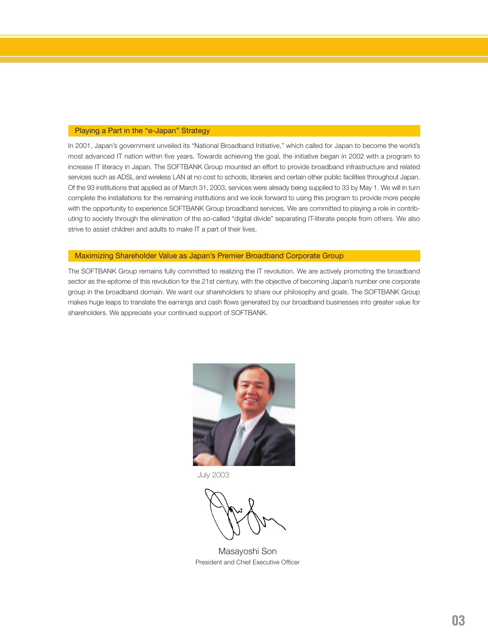#### Playing a Part in the "e-Japan" Strategy

In 2001, Japan's government unveiled its "National Broadband Initiative," which called for Japan to become the world's most advanced IT nation within five years. Towards achieving the goal, the initiative began in 2002 with a program to increase IT literacy in Japan. The SOFTBANK Group mounted an effort to provide broadband infrastructure and related services such as ADSL and wireless LAN at no cost to schools, libraries and certain other public facilities throughout Japan. Of the 93 institutions that applied as of March 31, 2003, services were already being supplied to 33 by May 1. We will in turn complete the installations for the remaining institutions and we look forward to using this program to provide more people with the opportunity to experience SOFTBANK Group broadband services. We are committed to playing a role in contributing to society through the elimination of the so-called "digital divide" separating IT-literate people from others. We also strive to assist children and adults to make IT a part of their lives.

#### Maximizing Shareholder Value as Japan's Premier Broadband Corporate Group

The SOFTBANK Group remains fully committed to realizing the IT revolution. We are actively promoting the broadband sector as the epitome of this revolution for the 21st century, with the objective of becoming Japan's number one corporate group in the broadband domain. We want our shareholders to share our philosophy and goals. The SOFTBANK Group makes huge leaps to translate the earnings and cash flows generated by our broadband businesses into greater value for shareholders. We appreciate your continued support of SOFTBANK.



July 2003

Masayoshi Son President and Chief Executive Officer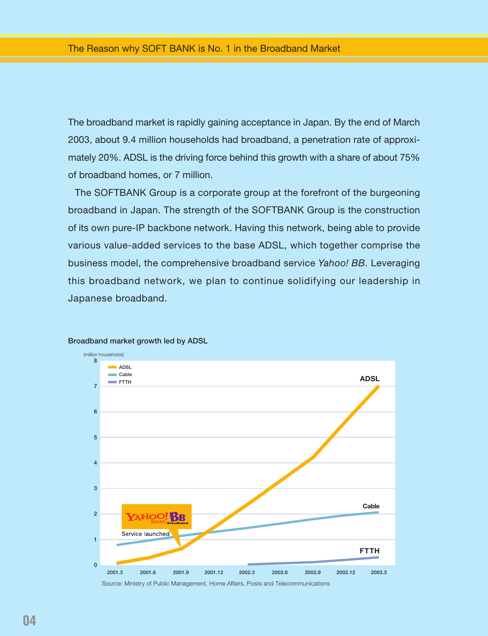The broadband market is rapidly gaining acceptance in Japan. By the end of March 2003, about 9.4 million households had broadband, a penetration rate of approximately 20%. ADSL is the driving force behind this growth with a share of about 75% of broadband homes, or 7 million.

The SOFTBANK Group is a corporate group at the forefront of the burgeoning broadband in Japan. The strength of the SOFTBANK Group is the construction of its own pure-IP backbone network. Having this network, being able to provide various value-added services to the base ADSL, which together comprise the business model, the comprehensive broadband service *Yahoo! BB*. Leveraging this broadband network, we plan to continue solidifying our leadership in Japanese broadband.



#### **Broadband market growth led by ADSL**

Source: Ministry of Public Management, Home Affairs, Posts and Telecommunications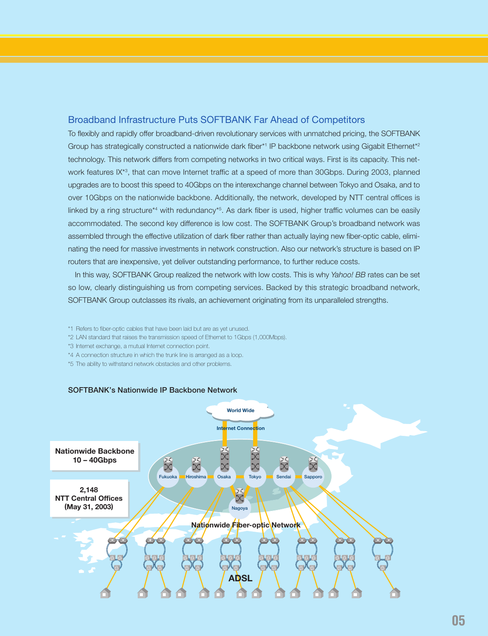#### Broadband Infrastructure Puts SOFTBANK Far Ahead of Competitors

To flexibly and rapidly offer broadband-driven revolutionary services with unmatched pricing, the SOFTBANK Group has strategically constructed a nationwide dark fiber\*<sup>1</sup> IP backbone network using Gigabit Ethernet\*<sup>2</sup> technology. This network differs from competing networks in two critical ways. First is its capacity. This network features IX\*3, that can move Internet traffic at a speed of more than 30Gbps. During 2003, planned upgrades are to boost this speed to 40Gbps on the interexchange channel between Tokyo and Osaka, and to over 10Gbps on the nationwide backbone. Additionally, the network, developed by NTT central offices is linked by a ring structure<sup>\*4</sup> with redundancy<sup>\*5</sup>. As dark fiber is used, higher traffic volumes can be easily accommodated. The second key difference is low cost. The SOFTBANK Group's broadband network was assembled through the effective utilization of dark fiber rather than actually laying new fiber-optic cable, eliminating the need for massive investments in network construction. Also our network's structure is based on IP routers that are inexpensive, yet deliver outstanding performance, to further reduce costs.

In this way, SOFTBANK Group realized the network with low costs. This is why *Yahoo! BB* rates can be set so low, clearly distinguishing us from competing services. Backed by this strategic broadband network, SOFTBANK Group outclasses its rivals, an achievement originating from its unparalleled strengths.

- \*1 Refers to fiber-optic cables that have been laid but are as yet unused.
- \*2 LAN standard that raises the transmission speed of Ethernet to 1Gbps (1,000Mbps).
- \*3 Internet exchange, a mutual Internet connection point.
- \*4 A connection structure in which the trunk line is arranged as a loop.
- \*5 The ability to withstand network obstacles and other problems.



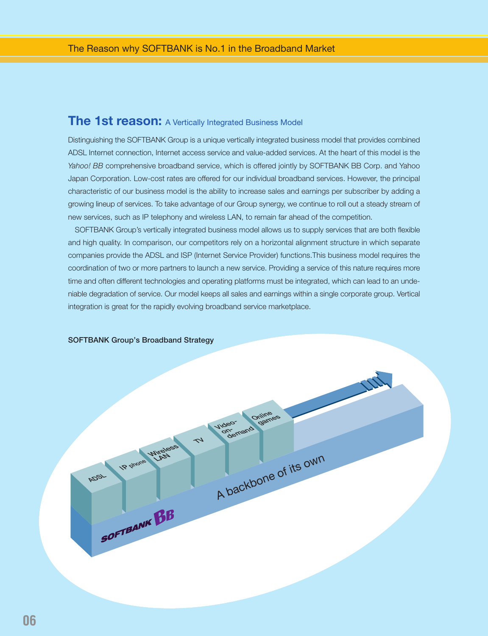### **The 1st reason:** A Vertically Integrated Business Model

Distinguishing the SOFTBANK Group is a unique vertically integrated business model that provides combined ADSL Internet connection, Internet access service and value-added services. At the heart of this model is the Yahoo! BB comprehensive broadband service, which is offered jointly by SOFTBANK BB Corp. and Yahoo Japan Corporation. Low-cost rates are offered for our individual broadband services. However, the principal characteristic of our business model is the ability to increase sales and earnings per subscriber by adding a growing lineup of services. To take advantage of our Group synergy, we continue to roll out a steady stream of new services, such as IP telephony and wireless LAN, to remain far ahead of the competition.

SOFTBANK Group's vertically integrated business model allows us to supply services that are both flexible and high quality. In comparison, our competitors rely on a horizontal alignment structure in which separate companies provide the ADSL and ISP (Internet Service Provider) functions.This business model requires the coordination of two or more partners to launch a new service. Providing a service of this nature requires more time and often different technologies and operating platforms must be integrated, which can lead to an undeniable degradation of service. Our model keeps all sales and earnings within a single corporate group. Vertical integration is great for the rapidly evolving broadband service marketplace.

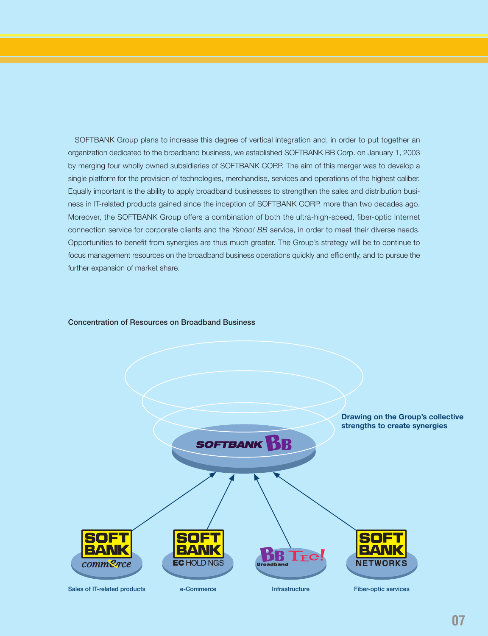SOFTBANK Group plans to increase this degree of vertical integration and, in order to put together an organization dedicated to the broadband business, we established SOFTBANK BB Corp. on January 1, 2003 by merging four wholly owned subsidiaries of SOFTBANK CORP. The aim of this merger was to develop a single platform for the provision of technologies, merchandise, services and operations of the highest caliber. Equally important is the ability to apply broadband businesses to strengthen the sales and distribution business in IT-related products gained since the inception of SOFTBANK CORP. more than two decades ago. Moreover, the SOFTBANK Group offers a combination of both the ultra-high-speed, fiber-optic Internet connection service for corporate clients and the *Yahoo! BB* service, in order to meet their diverse needs. Opportunities to benefit from synergies are thus much greater. The Group's strategy will be to continue to focus management resources on the broadband business operations quickly and efficiently, and to pursue the further expansion of market share.



#### **Concentration of Resources on Broadband Business**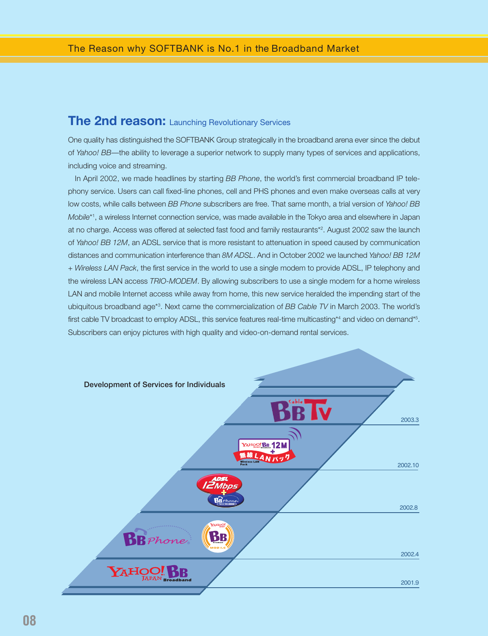### **The 2nd reason:** Launching Revolutionary Services

One quality has distinguished the SOFTBANK Group strategically in the broadband arena ever since the debut of *Yahoo! BB*—the ability to leverage a superior network to supply many types of services and applications, including voice and streaming.

In April 2002, we made headlines by starting *BB Phone*, the world's first commercial broadband IP telephony service. Users can call fixed-line phones, cell and PHS phones and even make overseas calls at very low costs, while calls between *BB Phone* subscribers are free. That same month, a trial version of *Yahoo! BB Mobile*\*1 , a wireless Internet connection service, was made available in the Tokyo area and elsewhere in Japan at no charge. Access was offered at selected fast food and family restaurants\*2 . August 2002 saw the launch of *Yahoo! BB 12M*, an ADSL service that is more resistant to attenuation in speed caused by communication distances and communication interference than *8M ADSL*. And in October 2002 we launched *Yahoo! BB 12M* + *Wireless LAN Pack*, the first service in the world to use a single modem to provide ADSL, IP telephony and the wireless LAN access *TRIO-MODEM*. By allowing subscribers to use a single modem for a home wireless LAN and mobile Internet access while away from home, this new service heralded the impending start of the ubiquitous broadband age\*3 . Next came the commercialization of *BB Cable TV* in March 2003. The world's first cable TV broadcast to employ ADSL, this service features real-time multicasting\*4 and video on demand\*5. Subscribers can enjoy pictures with high quality and video-on-demand rental services.

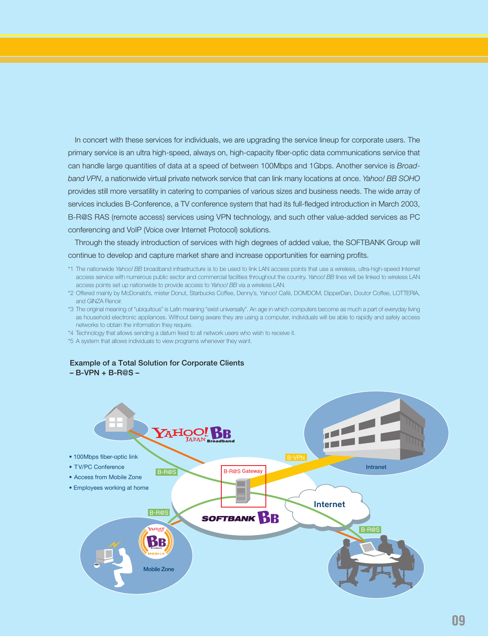In concert with these services for individuals, we are upgrading the service lineup for corporate users. The primary service is an ultra high-speed, always on, high-capacity fiber-optic data communications service that can handle large quantities of data at a speed of between 100Mbps and 1Gbps. Another service is *Broadband VPN*, a nationwide virtual private network service that can link many locations at once. *Yahoo! BB SOHO* provides still more versatility in catering to companies of various sizes and business needs. The wide array of services includes B-Conference, a TV conference system that had its full-fledged introduction in March 2003, B-R@S RAS (remote access) services using VPN technology, and such other value-added services as PC conferencing and VoIP (Voice over Internet Protocol) solutions.

Through the steady introduction of services with high degrees of added value, the SOFTBANK Group will continue to develop and capture market share and increase opportunities for earning profits.

- \*1 The nationwide *Yahoo! BB* broadband infrastructure is to be used to link LAN access points that use a wireless, ultra-high-speed Internet access service with numerous public sector and commercial facilities throughout the country. *Yahoo! BB* lines will be linked to wireless LAN access points set up nationwide to provide access to *Yahoo! BB* via a wireless LAN.
- \*2 Offered mainly by McDonald's, mister Donut, Starbucks Coffee, Denny's, Yahoo! Café, DOMDOM, DipperDan, Doutor Coffee, LOTTERIA, and GINZA Renoir.
- \*3 The original meaning of "ubiquitous" is Latin meaning "exist universally". An age in which computers become as much a part of everyday living as household electronic appliances. Without being aware they are using a computer, individuals will be able to rapidly and safely access networks to obtain the information they require.
- \*4 Technology that allows sending a datum feed to all network users who wish to receive it.
- \*5 A system that allows individuals to view programs whenever they want.

#### **Example of a Total Solution for Corporate Clients – B-VPN + B-R@S –**

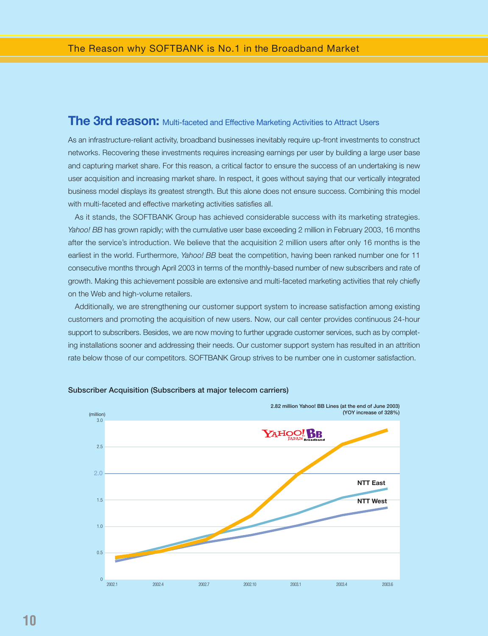### **The 3rd reason:** Multi-faceted and Effective Marketing Activities to Attract Users

As an infrastructure-reliant activity, broadband businesses inevitably require up-front investments to construct networks. Recovering these investments requires increasing earnings per user by building a large user base and capturing market share. For this reason, a critical factor to ensure the success of an undertaking is new user acquisition and increasing market share. In respect, it goes without saying that our vertically integrated business model displays its greatest strength. But this alone does not ensure success. Combining this model with multi-faceted and effective marketing activities satisfies all.

As it stands, the SOFTBANK Group has achieved considerable success with its marketing strategies. Yahoo! BB has grown rapidly; with the cumulative user base exceeding 2 million in February 2003, 16 months after the service's introduction. We believe that the acquisition 2 million users after only 16 months is the earliest in the world. Furthermore, *Yahoo! BB* beat the competition, having been ranked number one for 11 consecutive months through April 2003 in terms of the monthly-based number of new subscribers and rate of growth. Making this achievement possible are extensive and multi-faceted marketing activities that rely chiefly on the Web and high-volume retailers.

Additionally, we are strengthening our customer support system to increase satisfaction among existing customers and promoting the acquisition of new users. Now, our call center provides continuous 24-hour support to subscribers. Besides, we are now moving to further upgrade customer services, such as by completing installations sooner and addressing their needs. Our customer support system has resulted in an attrition rate below those of our competitors. SOFTBANK Group strives to be number one in customer satisfaction.



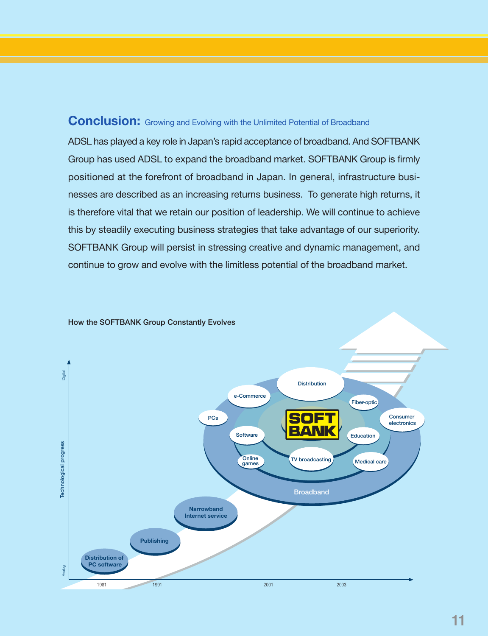## **Conclusion:** Growing and Evolving with the Unlimited Potential of Broadband

ADSL has played a key role in Japan's rapid acceptance of broadband. And SOFTBANK Group has used ADSL to expand the broadband market. SOFTBANK Group is firmly positioned at the forefront of broadband in Japan. In general, infrastructure businesses are described as an increasing returns business. To generate high returns, it is therefore vital that we retain our position of leadership. We will continue to achieve this by steadily executing business strategies that take advantage of our superiority. SOFTBANK Group will persist in stressing creative and dynamic management, and continue to grow and evolve with the limitless potential of the broadband market.

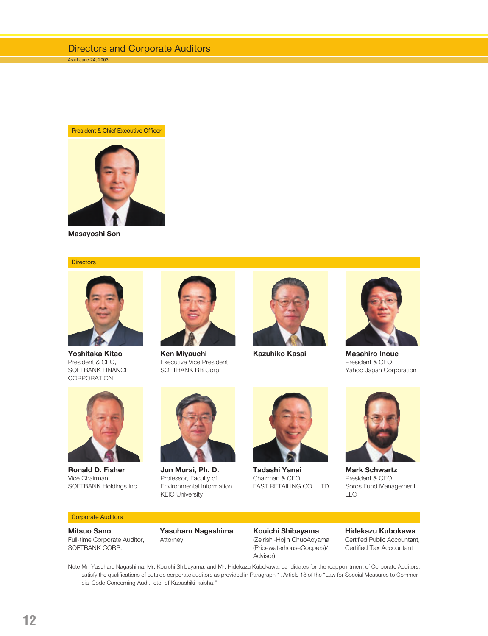#### President & Chief Executive Officer



**Masayoshi Son**

#### **Directors**



**Yoshitaka Kitao** President & CEO, SOFTBANK FINANCE **CORPORATION** 



**Ken Miyauchi** Executive Vice President, SOFTBANK BB Corp.





**Kazuhiko Kasai Masahiro Inoue** President & CEO, Yahoo Japan Corporation



**Ronald D. Fisher** Vice Chairman, SOFTBANK Holdings Inc.



**Jun Murai, Ph. D.** Professor, Faculty of Environmental Information, KEIO University



**Tadashi Yanai** Chairman & CEO, FAST RETAILING CO., LTD.



**Mark Schwartz** President & CEO, Soros Fund Management LLC

#### Corporate Auditors

**Mitsuo Sano** Full-time Corporate Auditor, SOFTBANK CORP.



**Kouichi Shibayama** (Zeirishi-Hojin ChuoAoyama (PricewaterhouseCoopers)/ Advisor)

**Hidekazu Kubokawa** Certified Public Accountant, Certified Tax Accountant

Note:Mr. Yasuharu Nagashima, Mr. Kouichi Shibayama, and Mr. Hidekazu Kubokawa, candidates for the reappointment of Corporate Auditors, satisfy the qualifications of outside corporate auditors as provided in Paragraph 1, Article 18 of the "Law for Special Measures to Commercial Code Concerning Audit, etc. of Kabushiki-kaisha."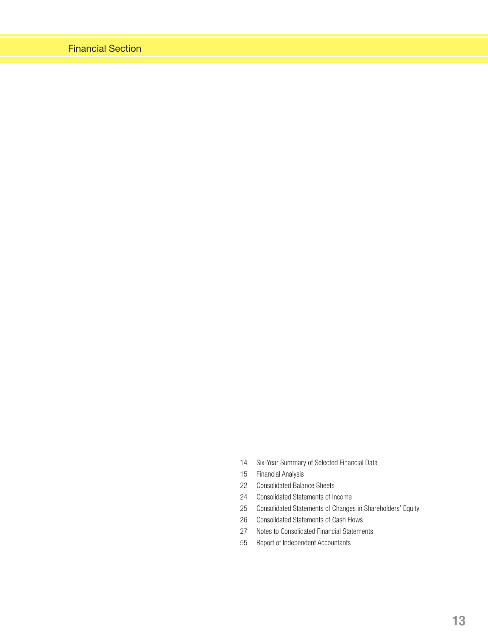- 14 Six-Year Summary of Selected Financial Data
- 15 Financial Analysis
- 22 Consolidated Balance Sheets
- 24 Consolidated Statements of Income
- 25 Consolidated Statements of Changes in Shareholders' Equity
- 26 Consolidated Statements of Cash Flows
- 27 Notes to Consolidated Financial Statements
- 55 Report of Independent Accountants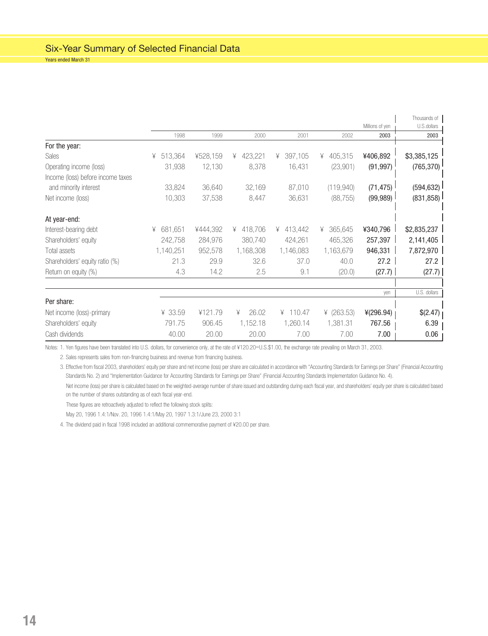|                                   |              |          |              |              |              |                 | Thousands of |
|-----------------------------------|--------------|----------|--------------|--------------|--------------|-----------------|--------------|
|                                   |              |          |              |              |              | Millions of yen | U.S.dollars  |
|                                   | 1998         | 1999     | 2000         | 2001         | 2002         | 2003            | 2003         |
| For the year:                     |              |          |              |              |              |                 |              |
| Sales                             | 513,364<br>¥ | ¥528,159 | 423,221<br>¥ | 397,105<br>¥ | 405,315<br>¥ | ¥406,892        | \$3,385,125  |
| Operating income (loss)           | 31,938       | 12,130   | 8,378        | 16,431       | (23,901)     | (91, 997)       | (765, 370)   |
| Income (loss) before income taxes |              |          |              |              |              |                 |              |
| and minority interest             | 33,824       | 36,640   | 32,169       | 87,010       | (119, 940)   | (71, 475)       | (594, 632)   |
| Net income (loss)                 | 10,303       | 37,538   | 8,447        | 36,631       | (88, 755)    | (99, 989)       | (831, 858)   |
| At year-end:                      |              |          |              |              |              |                 |              |
| Interest-bearing debt             | 681,651<br>¥ | ¥444,392 | 418,706<br>¥ | 413,442<br>¥ | 365,645<br>¥ | ¥340,796        | \$2,835,237  |
| Shareholders' equity              | 242,758      | 284,976  | 380,740      | 424,261      | 465,326      | 257,397         | 2,141,405    |
| Total assets                      | 1,140,251    | 952,578  | 1,168,308    | 1,146,083    | 1,163,679    | 946,331         | 7,872,970    |
| Shareholders' equity ratio (%)    | 21.3         | 29.9     | 32.6         | 37.0         | 40.0         | 27.2            | 27.2         |
| Return on equity (%)              | 4.3          | 14.2     | 2.5          | 9.1          | (20.0)       | (27.7)          | (27.7)       |
|                                   |              |          |              |              |              |                 |              |
|                                   |              |          |              |              |              | ven             | U.S. dollars |
| Per share:                        |              |          |              |              |              |                 |              |
| Net income (loss)-primary         | ¥ 33.59      | ¥121.79  | 26.02<br>¥   | ¥ 110.47     | ¥ $(263.53)$ | 4(296.94)       | \$(2.47)     |
| Shareholders' equity              | 791.75       | 906.45   | 1,152.18     | 1,260.14     | 1,381.31     | 767.56          | 6.39         |
| Cash dividends                    | 40.00        | 20.00    | 20.00        | 7.00         | 7.00         | 7.00            | 0.06         |

Notes: 1. Yen figures have been translated into U.S. dollars, for convenience only, at the rate of ¥120.20=U.S.\$1.00, the exchange rate prevailing on March 31, 2003.

2. Sales represents sales from non-financing business and revenue from financing business.

3. Effective from fiscal 2003, shareholders' equity per share and net income (loss) per share are calculated in accordance with "Accounting Standards for Earnings per Share" (Financial Accounting Standards No. 2) and "Implementation Guidance for Accounting Standards for Earnings per Share" (Financial Accounting Standards Implementation Guidance No. 4).

Net income (loss) per share is calculated based on the weighted-average number of share issued and outstanding during each fiscal year, and shareholders' equity per share is calculated based on the number of shares outstanding as of each fiscal year-end.

These figures are retroactively adjusted to reflect the following stock splits:

May 20, 1996 1.4:1/Nov. 20, 1996 1.4:1/May 20, 1997 1.3:1/June 23, 2000 3:1

4. The dividend paid in fiscal 1998 included an additional commemorative payment of ¥20.00 per share.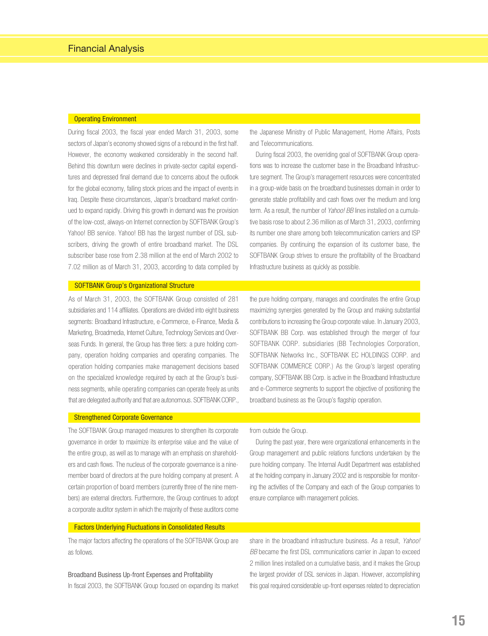#### Operating Environment

During fiscal 2003, the fiscal year ended March 31, 2003, some sectors of Japan's economy showed signs of a rebound in the first half. However, the economy weakened considerably in the second half. Behind this downturn were declines in private-sector capital expenditures and depressed final demand due to concerns about the outlook for the global economy, falling stock prices and the impact of events in Iraq. Despite these circumstances, Japan's broadband market continued to expand rapidly. Driving this growth in demand was the provision of the low-cost, always-on Internet connection by SOFTBANK Group's Yahoo! BB service. Yahoo! BB has the largest number of DSL subscribers, driving the growth of entire broadband market. The DSL subscriber base rose from 2.38 million at the end of March 2002 to 7.02 million as of March 31, 2003, according to data compiled by

#### SOFTBANK Group's Organizational Structure

As of March 31, 2003, the SOFTBANK Group consisted of 281 subsidiaries and 114 affiliates. Operations are divided into eight business segments: Broadband Infrastructure, e-Commerce, e-Finance, Media & Marketing, Broadmedia, Internet Culture, Technology Services and Overseas Funds. In general, the Group has three tiers: a pure holding company, operation holding companies and operating companies. The operation holding companies make management decisions based on the specialized knowledge required by each at the Group's business segments, while operating companies can operate freely as units that are delegated authority and that are autonomous. SOFTBANK CORP.,

the Japanese Ministry of Public Management, Home Affairs, Posts and Telecommunications.

During fiscal 2003, the overriding goal of SOFTBANK Group operations was to increase the customer base in the Broadband Infrastructure segment. The Group's management resources were concentrated in a group-wide basis on the broadband businesses domain in order to generate stable profitability and cash flows over the medium and long term. As a result, the number of Yahoo! BB lines installed on a cumulative basis rose to about 2.36 million as of March 31, 2003, confirming its number one share among both telecommunication carriers and ISP companies. By continuing the expansion of its customer base, the SOFTBANK Group strives to ensure the profitability of the Broadband Infrastructure business as quickly as possible.

the pure holding company, manages and coordinates the entire Group maximizing synergies generated by the Group and making substantial contributions to increasing the Group corporate value. In January 2003, SOFTBANK BB Corp. was established through the merger of four SOFTBANK CORP. subsidiaries (BB Technologies Corporation, SOFTBANK Networks Inc., SOFTBANK EC HOLDINGS CORP. and SOFTBANK COMMERCE CORP.) As the Group's largest operating company, SOFTBANK BB Corp. is active in the Broadband Infrastructure and e-Commerce segments to support the objective of positioning the broadband business as the Group's flagship operation.

#### Strengthened Corporate Governance

The SOFTBANK Group managed measures to strengthen its corporate governance in order to maximize its enterprise value and the value of the entire group, as well as to manage with an emphasis on shareholders and cash flows. The nucleus of the corporate governance is a ninemember board of directors at the pure holding company at present. A certain proportion of board members (currently three of the nine members) are external directors. Furthermore, the Group continues to adopt a corporate auditor system in which the majority of these auditors come

from outside the Group.

During the past year, there were organizational enhancements in the Group management and public relations functions undertaken by the pure holding company. The Internal Audit Department was established at the holding company in January 2002 and is responsible for monitoring the activities of the Company and each of the Group companies to ensure compliance with management policies.

#### Factors Underlying Fluctuations in Consolidated Results

The major factors affecting the operations of the SOFTBANK Group are as follows.

#### Broadband Business Up-front Expenses and Profitability

In fiscal 2003, the SOFTBANK Group focused on expanding its market

share in the broadband infrastructure business. As a result, Yahoo! BB became the first DSL communications carrier in Japan to exceed 2 million lines installed on a cumulative basis, and it makes the Group the largest provider of DSL services in Japan. However, accomplishing this goal required considerable up-front expenses related to depreciation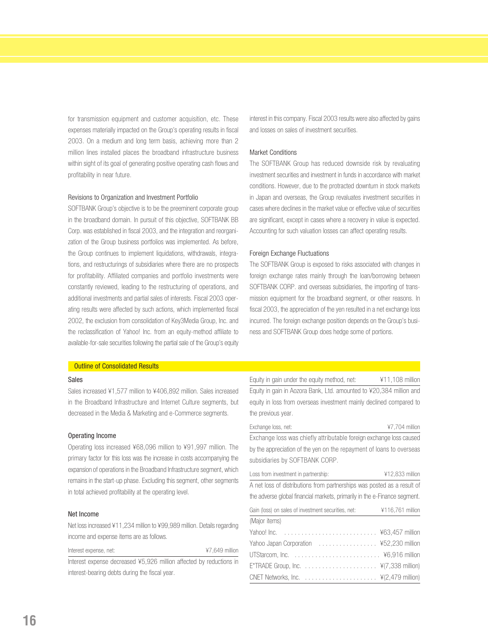for transmission equipment and customer acquisition, etc. These expenses materially impacted on the Group's operating results in fiscal 2003. On a medium and long term basis, achieving more than 2 million lines installed places the broadband infrastructure business within sight of its goal of generating positive operating cash flows and profitability in near future.

#### Revisions to Organization and Investment Portfolio

SOFTBANK Group's objective is to be the preeminent corporate group in the broadband domain. In pursuit of this objective, SOFTBANK BB Corp. was established in fiscal 2003, and the integration and reorganization of the Group business portfolios was implemented. As before, the Group continues to implement liquidations, withdrawals, integrations, and restructurings of subsidiaries where there are no prospects for profitability. Affiliated companies and portfolio investments were constantly reviewed, leading to the restructuring of operations, and additional investments and partial sales of interests. Fiscal 2003 operating results were affected by such actions, which implemented fiscal 2002, the exclusion from consolidation of Key3Media Group, Inc. and the reclassification of Yahoo! Inc. from an equity-method affiliate to available-for-sale securities following the partial sale of the Group's equity

#### interest in this company. Fiscal 2003 results were also affected by gains and losses on sales of investment securities.

#### Market Conditions

The SOFTBANK Group has reduced downside risk by revaluating investment securities and investment in funds in accordance with market conditions. However, due to the protracted downturn in stock markets in Japan and overseas, the Group revaluates investment securities in cases where declines in the market value or effective value of securities are significant, except in cases where a recovery in value is expected. Accounting for such valuation losses can affect operating results.

#### Foreign Exchange Fluctuations

The SOFTBANK Group is exposed to risks associated with changes in foreign exchange rates mainly through the loan/borrowing between SOFTBANK CORP. and overseas subsidiaries, the importing of transmission equipment for the broadband segment, or other reasons. In fiscal 2003, the appreciation of the yen resulted in a net exchange loss incurred. The foreign exchange position depends on the Group's business and SOFTBANK Group does hedge some of portions.

#### **Outline of Consolidated Results**

#### Sales

Sales increased ¥1,577 million to ¥406,892 million. Sales increased in the Broadband Infrastructure and Internet Culture segments, but decreased in the Media & Marketing and e-Commerce segments.

#### Operating Income

Operating loss increased ¥68,096 million to ¥91,997 million. The primary factor for this loss was the increase in costs accompanying the expansion of operations in the Broadband Infrastructure segment, which remains in the start-up phase. Excluding this segment, other segments in total achieved profitability at the operating level.

#### Net Income

Net loss increased ¥11,234 million to ¥99,989 million. Details regarding income and expense items are as follows.

Interest expense, net: ¥7,649 million Interest expense decreased ¥5,926 million affected by reductions in interest-bearing debts during the fiscal year.

Equity in gain under the equity method, net: ¥11,108 million Equity in gain in Aozora Bank, Ltd. amounted to ¥20,384 million and equity in loss from overseas investment mainly declined compared to the previous year.

Exchange loss, net:  $\frac{47,704 \text{ million}}{47,704}$ Exchange loss was chiefly attributable foreign exchange loss caused by the appreciation of the yen on the repayment of loans to overseas subsidiaries by SOFTBANK CORP.

Loss from investment in partnership:  $\frac{412,833 \text{ million}}{412,833}$ A net loss of distributions from partnerships was posted as a result of the adverse global financial markets, primarily in the e-Finance segment.

| Gain (loss) on sales of investment securities, net: ¥116,761 million |  |
|----------------------------------------------------------------------|--|
| (Major items)                                                        |  |
|                                                                      |  |
|                                                                      |  |
|                                                                      |  |
|                                                                      |  |
|                                                                      |  |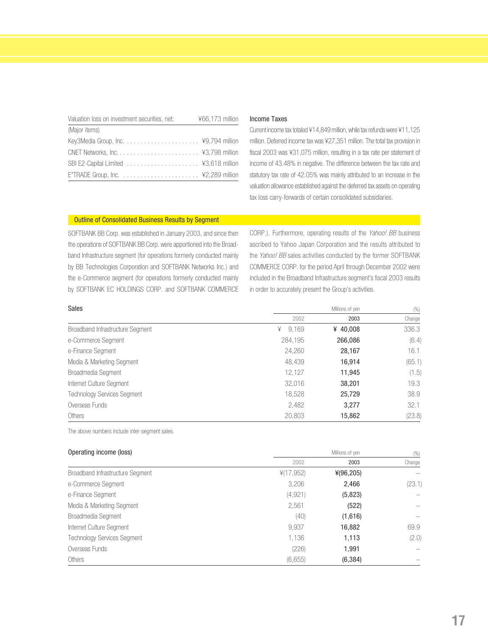| Valuation loss on investment securities, net: | ¥66,173 million |
|-----------------------------------------------|-----------------|
| (Major items)                                 |                 |
|                                               |                 |
|                                               |                 |
|                                               |                 |
|                                               |                 |

#### Income Taxes

Current income tax totaled ¥14,849 million, while tax refunds were ¥11,125 million. Deferred income tax was ¥27,351 million. The total tax provision in fiscal 2003 was ¥31,075 million, resulting in a tax rate per statement of income of 43.48% in negative. The difference between the tax rate and statutory tax rate of 42.05% was mainly attributed to an increase in the valuation allowance established against the deferred tax assets on operating tax loss carry-forwards of certain consolidated subsidiaries.

#### Outline of Consolidated Business Results by Segment

SOFTBANK BB Corp. was established in January 2003, and since then the operations of SOFTBANK BB Corp. were apportioned into the Broadband Infrastructure segment (for operations formerly conducted mainly by BB Technologies Corporation and SOFTBANK Networks Inc.) and the e-Commerce segment (for operations formerly conducted mainly by SOFTBANK EC HOLDINGS CORP. and SOFTBANK COMMERCE

CORP.). Furthermore, operating results of the Yahoo! BB business ascribed to Yahoo Japan Corporation and the results attributed to the Yahoo! BB sales activities conducted by the former SOFTBANK COMMERCE CORP. for the period April through December 2002 were included in the Broadband Infrastructure segment's fiscal 2003 results in order to accurately present the Group's activities.

| <b>Sales</b>                       |            | Millions of yen | (% )   |  |
|------------------------------------|------------|-----------------|--------|--|
|                                    | 2002       | 2003            | Change |  |
| Broadband Infrastructure Segment   | 9.169<br>¥ | ¥ 40,008        | 336.3  |  |
| e-Commerce Segment                 | 284,195    | 266,086         | (6.4)  |  |
| e-Finance Segment                  | 24,260     | 28,167          | 16.1   |  |
| Media & Marketing Segment          | 48,439     | 16,914          | (65.1) |  |
| Broadmedia Segment                 | 12,127     | 11,945          | (1.5)  |  |
| Internet Culture Segment           | 32,016     | 38,201          | 19.3   |  |
| <b>Technology Services Segment</b> | 18,528     | 25,729          | 38.9   |  |
| Overseas Funds                     | 2,482      | 3,277           | 32.1   |  |
| Others                             | 20,803     | 15,862          | (23.8) |  |

The above numbers include inter-segment sales.

#### **Operating income (loss)** (%) **Millions of yen** Millions of yen (%)

|                                    | 2002       | 2003        | Change |
|------------------------------------|------------|-------------|--------|
| Broadband Infrastructure Segment   | 4(17, 952) | $*(96,205)$ |        |
| e-Commerce Segment                 | 3,206      | 2,466       | (23.1) |
| e-Finance Segment                  | (4, 921)   | (5,823)     |        |
| Media & Marketing Segment          | 2,561      | (522)       |        |
| Broadmedia Segment                 | (40)       | (1,616)     |        |
| Internet Culture Segment           | 9,937      | 16,882      | 69.9   |
| <b>Technology Services Segment</b> | 1,136      | 1,113       | (2.0)  |
| Overseas Funds                     | (226)      | 1,991       |        |
| Others                             | (6,655)    | (6, 384)    |        |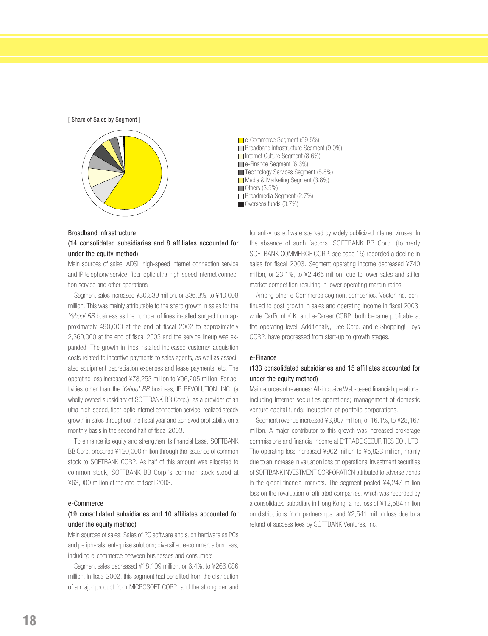[ Share of Sales by Segment ]



#### Broadband Infrastructure

(14 consolidated subsidiaries and 8 affiliates accounted for under the equity method)

Main sources of sales: ADSL high-speed Internet connection service and IP telephony service; fiber-optic ultra-high-speed Internet connection service and other operations

Segment sales increased ¥30,839 million, or 336.3%, to ¥40,008 million. This was mainly attributable to the sharp growth in sales for the Yahoo! BB business as the number of lines installed surged from approximately 490,000 at the end of fiscal 2002 to approximately 2,360,000 at the end of fiscal 2003 and the service lineup was expanded. The growth in lines installed increased customer acquisition costs related to incentive payments to sales agents, as well as associated equipment depreciation expenses and lease payments, etc. The operating loss increased ¥78,253 million to ¥96,205 million. For activities other than the Yahoo! BB business, IP REVOLUTION, INC. (a wholly owned subsidiary of SOFTBANK BB Corp.), as a provider of an ultra-high-speed, fiber-optic Internet connection service, realized steady growth in sales throughout the fiscal year and achieved profitability on a monthly basis in the second half of fiscal 2003.

To enhance its equity and strengthen its financial base, SOFTBANK BB Corp. procured ¥120,000 million through the issuance of common stock to SOFTBANK CORP. As half of this amount was allocated to common stock, SOFTBANK BB Corp.'s common stock stood at ¥63,000 million at the end of fiscal 2003.

#### e-Commerce

#### (19 consolidated subsidiaries and 10 affiliates accounted for under the equity method)

Main sources of sales: Sales of PC software and such hardware as PCs and peripherals; enterprise solutions; diversified e-commerce business, including e-commerce between businesses and consumers

Segment sales decreased ¥18,109 million, or 6.4%, to ¥266,086 million. In fiscal 2002, this segment had benefited from the distribution of a major product from MICROSOFT CORP. and the strong demand

e-Commerce Segment (59.6%) Broadband Infrastructure Segment (9.0%) Internet Culture Segment (8.6%) e-Finance Segment (6.3%) Technology Services Segment (5.8%) Media & Marketing Segment (3.8%)  $\Box$  Others (3.5%) Broadmedia Segment (2.7%) Overseas funds (0.7%)

for anti-virus software sparked by widely publicized Internet viruses. In the absence of such factors, SOFTBANK BB Corp. (formerly SOFTBANK COMMERCE CORP, see page 15) recorded a decline in sales for fiscal 2003. Segment operating income decreased ¥740 million, or 23.1%, to ¥2,466 million, due to lower sales and stiffer market competition resulting in lower operating margin ratios.

Among other e-Commerce segment companies, Vector Inc. continued to post growth in sales and operating income in fiscal 2003, while CarPoint K.K. and e-Career CORP. both became profitable at the operating level. Additionally, Dee Corp. and e-Shopping! Toys CORP. have progressed from start-up to growth stages.

#### e-Finance

#### (133 consolidated subsidiaries and 15 affiliates accounted for under the equity method)

Main sources of revenues: All-inclusive Web-based financial operations, including Internet securities operations; management of domestic venture capital funds; incubation of portfolio corporations.

Segment revenue increased ¥3,907 million, or 16.1%, to ¥28,167 million. A major contributor to this growth was increased brokerage commissions and financial income at E\*TRADE SECURITIES CO., LTD. The operating loss increased ¥902 million to ¥5,823 million, mainly due to an increase in valuation loss on operational investment securities of SOFTBANK INVESTMENT CORPORATION attributed to adverse trends in the global financial markets. The segment posted ¥4,247 million loss on the revaluation of affiliated companies, which was recorded by a consolidated subsidiary in Hong Kong, a net loss of ¥12,584 million on distributions from partnerships, and ¥2,541 million loss due to a refund of success fees by SOFTBANK Ventures, Inc.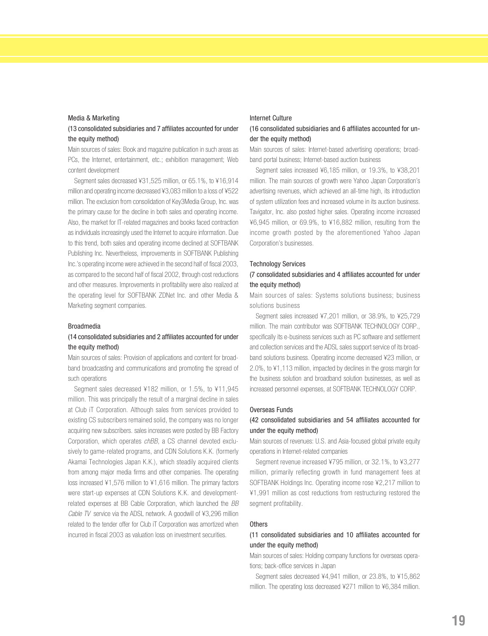#### Media & Marketing

#### (13 consolidated subsidiaries and 7 affiliates accounted for under the equity method)

Main sources of sales: Book and magazine publication in such areas as PCs, the Internet, entertainment, etc.; exhibition management; Web content development

Segment sales decreased ¥31,525 million, or 65.1%, to ¥16,914 million and operating income decreased ¥3,083 million to a loss of ¥522 million. The exclusion from consolidation of Key3Media Group, Inc. was the primary cause for the decline in both sales and operating income. Also, the market for IT-related magazines and books faced contraction as individuals increasingly used the Internet to acquire information. Due to this trend, both sales and operating income declined at SOFTBANK Publishing Inc. Nevertheless, improvements in SOFTBANK Publishing Inc.'s operating income were achieved in the second half of fiscal 2003, as compared to the second half of fiscal 2002, through cost reductions and other measures. Improvements in profitability were also realized at the operating level for SOFTBANK ZDNet Inc. and other Media & Marketing segment companies.

#### Broadmedia

#### (14 consolidated subsidiaries and 2 affiliates accounted for under the equity method)

Main sources of sales: Provision of applications and content for broadband broadcasting and communications and promoting the spread of such operations

Segment sales decreased ¥182 million, or 1.5%, to ¥11,945 million. This was principally the result of a marginal decline in sales at Club iT Corporation. Although sales from services provided to existing CS subscribers remained solid, the company was no longer acquiring new subscribers. sales increases were posted by BB Factory Corporation, which operates *chBB*, a CS channel devoted exclusively to game-related programs, and CDN Solutions K.K. (formerly Akamai Technologies Japan K.K.), which steadily acquired clients from among major media firms and other companies. The operating loss increased ¥1,576 million to ¥1,616 million. The primary factors were start-up expenses at CDN Solutions K.K. and developmentrelated expenses at BB Cable Corporation, which launched the BB Cable TV service via the ADSL network. A goodwill of ¥3,296 million related to the tender offer for Club iT Corporation was amortized when incurred in fiscal 2003 as valuation loss on investment securities.

#### Internet Culture

#### (16 consolidated subsidiaries and 6 affiliates accounted for under the equity method)

Main sources of sales: Internet-based advertising operations; broadband portal business; Internet-based auction business

Segment sales increased ¥6,185 million, or 19.3%, to ¥38,201 million. The main sources of growth were Yahoo Japan Corporation's advertising revenues, which achieved an all-time high, its introduction of system utilization fees and increased volume in its auction business. Tavigator, Inc. also posted higher sales. Operating income increased ¥6,945 million, or 69.9%, to ¥16,882 million, resulting from the income growth posted by the aforementioned Yahoo Japan Corporation's businesses.

#### Technology Services

#### (7 consolidated subsidiaries and 4 affiliates accounted for under the equity method)

Main sources of sales: Systems solutions business; business solutions business

Segment sales increased ¥7,201 million, or 38.9%, to ¥25,729 million. The main contributor was SOFTBANK TECHNOLOGY CORP., specifically its e-business services such as PC software and settlement and collection services and the ADSL sales support service of its broadband solutions business. Operating income decreased ¥23 million, or 2.0%, to ¥1,113 million, impacted by declines in the gross margin for the business solution and broadband solution businesses, as well as increased personnel expenses, at SOFTBANK TECHNOLOGY CORP.

#### Overseas Funds

#### (42 consolidated subsidiaries and 54 affiliates accounted for under the equity method)

Main sources of revenues: U.S. and Asia-focused global private equity operations in Internet-related companies

Segment revenue increased ¥795 million, or 32.1%, to ¥3,277 million, primarily reflecting growth in fund management fees at SOFTBANK Holdings Inc. Operating income rose ¥2,217 million to ¥1,991 million as cost reductions from restructuring restored the segment profitability.

#### **Others**

#### (11 consolidated subsidiaries and 10 affiliates accounted for under the equity method)

Main sources of sales: Holding company functions for overseas operations; back-office services in Japan

Segment sales decreased ¥4,941 million, or 23.8%, to ¥15,862 million. The operating loss decreased ¥271 million to ¥6,384 million.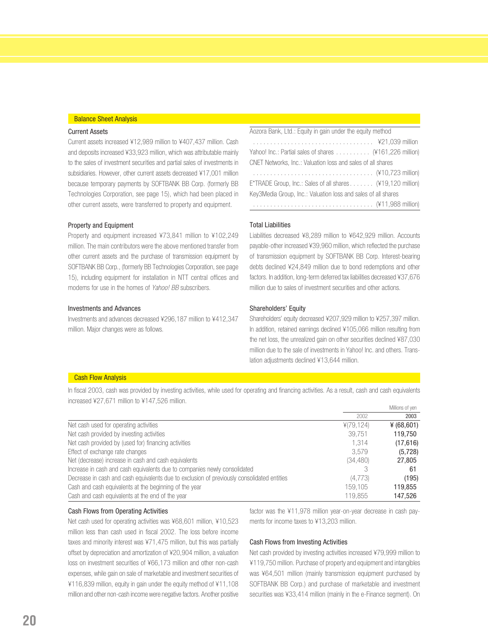#### Balance Sheet Analysis

#### Current Assets

Current assets increased ¥12,989 million to ¥407,437 million. Cash and deposits increased ¥33,923 million, which was attributable mainly to the sales of investment securities and partial sales of investments in subsidiaries. However, other current assets decreased ¥17,001 million because temporary payments by SOFTBANK BB Corp. (formerly BB Technologies Corporation, see page 15), which had been placed in other current assets, were transferred to property and equipment.

#### Property and Equipment

Property and equipment increased ¥73,841 million to ¥102,249 million. The main contributors were the above mentioned transfer from other current assets and the purchase of transmission equipment by SOFTBANK BB Corp., (formerly BB Technologies Corporation, see page 15), including equipment for installation in NTT central offices and modems for use in the homes of Yahoo! BB subscribers.

#### Investments and Advances

Investments and advances decreased ¥296,187 million to ¥412,347 million. Major changes were as follows.

### Aozora Bank, Ltd.: Equity in gain under the equity method

| Yahoo! Inc.: Partial sales of shares (¥161,226 million)       |  |
|---------------------------------------------------------------|--|
| CNET Networks, Inc.: Valuation loss and sales of all shares   |  |
|                                                               |  |
| E*TRADE Group, Inc.: Sales of all shares (¥19,120 million)    |  |
| Key3Media Group, Inc.: Valuation loss and sales of all shares |  |
|                                                               |  |

#### Total Liabilities

Liabilities decreased ¥8,289 million to ¥642,929 million. Accounts payable-other increased ¥39,960 million, which reflected the purchase of transmission equipment by SOFTBANK BB Corp. Interest-bearing debts declined ¥24,849 million due to bond redemptions and other factors. In addition, long-term deferred tax liabilities decreased ¥37,676 million due to sales of investment securities and other actions.

#### Shareholders' Equity

Shareholders' equity decreased ¥207,929 million to ¥257,397 million. In addition, retained earnings declined ¥105,066 million resulting from the net loss, the unrealized gain on other securities declined ¥87,030 million due to the sale of investments in Yahoo! Inc. and others. Translation adjustments declined ¥13,644 million.

#### **Cash Flow Analysis**

In fiscal 2003, cash was provided by investing activities, while used for operating and financing activities. As a result, cash and cash equivalents increased ¥27,671 million to ¥147,526 million. Millions of yen

|                                                                                            |           | <b>INIIIIOI IS OF AGLI</b> |
|--------------------------------------------------------------------------------------------|-----------|----------------------------|
|                                                                                            | 2002      | 2003                       |
| Net cash used for operating activities                                                     | ¥(79,124) | ¥ $(68, 601)$              |
| Net cash provided by investing activities                                                  | 39.751    | 119.750                    |
| Net cash provided by (used for) financing activities                                       | 1.314     | (17, 616)                  |
| Effect of exchange rate changes                                                            | 3.579     | (5,728)                    |
| Net (decrease) increase in cash and cash equivalents                                       | (34, 480) | 27,805                     |
| Increase in cash and cash equivalents due to companies newly consolidated                  |           | -61                        |
| Decrease in cash and cash equivalents due to exclusion of previously consolidated entities | (4,773)   | (195)                      |
| Cash and cash equivalents at the beginning of the year                                     | 159.105   | 119.855                    |
| Cash and cash equivalents at the end of the year                                           | 119,855   | 147.526                    |

#### Cash Flows from Operating Activities

Net cash used for operating activities was ¥68,601 million, ¥10,523 million less than cash used in fiscal 2002. The loss before income taxes and minority interest was ¥71,475 million, but this was partially offset by depreciation and amortization of ¥20,904 million, a valuation loss on investment securities of ¥66,173 million and other non-cash expenses, while gain on sale of marketable and investment securities of ¥116,839 million, equity in gain under the equity method of ¥11,108 million and other non-cash income were negative factors. Another positive

factor was the ¥11,978 million year-on-year decrease in cash payments for income taxes to ¥13,203 million.

#### Cash Flows from Investing Activities

Net cash provided by investing activities increased ¥79,999 million to ¥119,750 million. Purchase of property and equipment and intangibles was ¥64,501 million (mainly transmission equipment purchased by SOFTBANK BB Corp.) and purchase of marketable and investment securities was ¥33,414 million (mainly in the e-Finance segment). On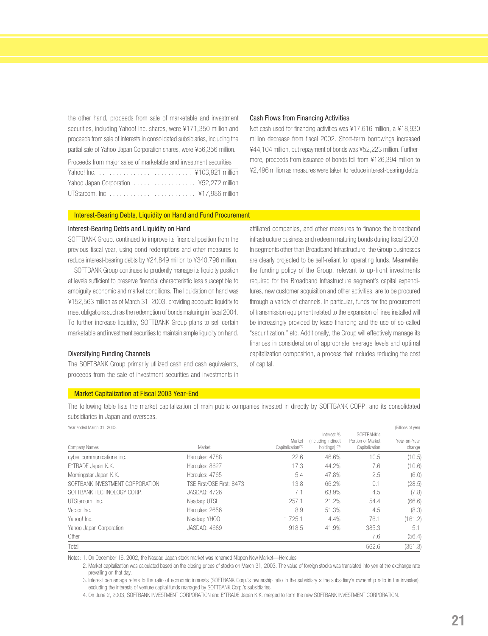the other hand, proceeds from sale of marketable and investment securities, including Yahoo! Inc. shares, were ¥171,350 million and proceeds from sale of interests in consolidated subsidiaries, including the partial sale of Yahoo Japan Corporation shares, were ¥56,356 million.

Proceeds from major sales of marketable and investment securities

#### Cash Flows from Financing Activities

Net cash used for financing activities was ¥17,616 million, a ¥18,930 million decrease from fiscal 2002. Short-term borrowings increased ¥44,104 million, but repayment of bonds was ¥52,223 million. Furthermore, proceeds from issuance of bonds fell from ¥126,394 million to ¥2,496 million as measures were taken to reduce interest-bearing debts.

#### Interest-Bearing Debts, Liquidity on Hand and Fund Procurement

#### Interest-Bearing Debts and Liquidity on Hand

SOFTBANK Group. continued to improve its financial position from the previous fiscal year, using bond redemptions and other measures to reduce interest-bearing debts by ¥24,849 million to ¥340,796 million.

SOFTBANK Group continues to prudently manage its liquidity position at levels sufficient to preserve financial characteristic less susceptible to ambiguity economic and market conditions. The liquidation on hand was ¥152,563 million as of March 31, 2003, providing adequate liquidity to meet obligations such as the redemption of bonds maturing in fiscal 2004. To further increase liquidity, SOFTBANK Group plans to sell certain marketable and investment securities to maintain ample liquidity on hand.

#### Diversifying Funding Channels

The SOFTBANK Group primarily utilized cash and cash equivalents, proceeds from the sale of investment securities and investments in affiliated companies, and other measures to finance the broadband infrastructure business and redeem maturing bonds during fiscal 2003. In segments other than Broadband Infrastructure, the Group businesses are clearly projected to be self-reliant for operating funds. Meanwhile, the funding policy of the Group, relevant to up-front investments required for the Broadband Infrastructure segment's capital expenditures, new customer acquisition and other activities, are to be procured through a variety of channels. In particular, funds for the procurement of transmission equipment related to the expansion of lines installed will be increasingly provided by lease financing and the use of so-called "securitization." etc. Additionally, the Group will effectively manage its finances in consideration of appropriate leverage levels and optimal capitalization composition, a process that includes reducing the cost of capital.

#### Market Capitalization at Fiscal 2003 Year-End

The following table lists the market capitalization of main public companies invested in directly by SOFTBANK CORP. and its consolidated subsidiaries in Japan and overseas.

| Year ended March 31, 2003       |                           |                                         |                                                    |                                                   | (Billions of yen)      |
|---------------------------------|---------------------------|-----------------------------------------|----------------------------------------------------|---------------------------------------------------|------------------------|
| Company Names                   | Market                    | Market<br>Capitalization <sup>(2)</sup> | Interest %<br>(including indirect<br>holdings) (3) | SOFTBANK's<br>Portion of Market<br>Capitalization | Year-on-Year<br>change |
| cyber communications inc.       | Hercules: 4788            | 22.6                                    | 46.6%                                              | 10.5                                              | (10.5)                 |
| E*TRADE Japan K.K.              | Hercules: 8627            | 17.3                                    | 44.2%                                              | 7.6                                               | (10.6)                 |
| Morningstar Japan K.K.          | Hercules: 4765            | 5.4                                     | 47.8%                                              | 2.5                                               | (6.0)                  |
| SOFTBANK INVESTMENT CORPORATION | TSF First/OSF First: 8473 | 13.8                                    | 66.2%                                              | 9.1                                               | (28.5)                 |
| SOFTBANK TECHNOLOGY CORP.       | <b>JASDAQ: 4726</b>       | 7.1                                     | 63.9%                                              | 4.5                                               | (7.8)                  |
| UTStarcom, Inc.                 | Nasdag: UTSI              | 257.1                                   | 21.2%                                              | 54.4                                              | (66.6)                 |
| Vector Inc.                     | Hercules: 2656            | 8.9                                     | 51.3%                                              | 4.5                                               | (8.3)                  |
| Yahoo! Inc.                     | Nasdag: YHOO              | 1.725.1                                 | 4.4%                                               | 76.1                                              | (161.2)                |
| Yahoo Japan Corporation         | <b>JASDAQ: 4689</b>       | 918.5                                   | 41.9%                                              | 385.3                                             | 5.1                    |
| Other                           |                           |                                         |                                                    | 7.6                                               | (56.4)                 |
| Total                           |                           |                                         |                                                    | 562.6                                             | (351.3)                |

Notes: 1. On December 16, 2002, the Nasdaq Japan stock market was renamed Nippon New Market—Hercules.

2. Market capitalization was calculated based on the closing prices of stocks on March 31, 2003. The value of foreign stocks was translated into yen at the exchange rate prevailing on that day.

3. Interest percentage refers to the ratio of economic interests (SOFTBANK Corp.'s ownership ratio in the subsidiary x the subsidiary's ownership ratio in the investee), excluding the interests of venture capital funds managed by SOFTBANK Corp.'s subsidiaries.

4. On June 2, 2003, SOFTBANK INVESTMENT CORPORATION and E\*TRADE Japan K.K. merged to form the new SOFTBANK INVESTMENT CORPORATION.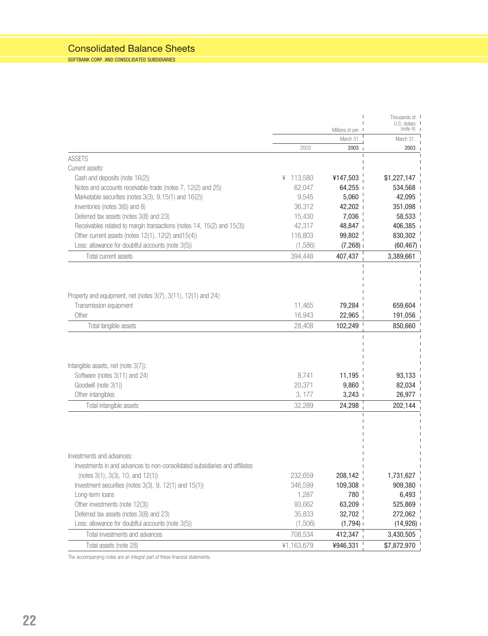### Consolidated Balance Sheets

SOFTBANK CORP. AND CONSOLIDATED SUBSIDIARIES

|                                                                             |            |                 | Thousands of I<br>U.S. dollars |  |
|-----------------------------------------------------------------------------|------------|-----------------|--------------------------------|--|
|                                                                             |            | Millions of yen | (note 4)                       |  |
|                                                                             |            | March 31        | March 31,                      |  |
|                                                                             | 2002       | 2003            | 2003                           |  |
| <b>ASSETS</b>                                                               |            |                 |                                |  |
| Current assets:                                                             |            |                 |                                |  |
| Cash and deposits (note 16(2))                                              | ¥ 113,580  | ¥147,503        | \$1,227,147                    |  |
| Notes and accounts receivable-trade (notes 7, 12(2) and 25)                 | 62,047     | 64,255          | 534,568                        |  |
| Marketable securities (notes 3(3), 9,15(1) and 16(2))                       | 9,545      | 5,060           | 42,095                         |  |
| Inventories (notes 3(6) and 8)                                              | 36,312     | 42,202          | 351,098                        |  |
| Deferred tax assets (notes 3(8) and 23)                                     | 15,430     | 7,036           | 58,533                         |  |
| Receivables related to margin transactions (notes 14, 15(2) and 15(3))      | 42,317     | 48,847          | 406,385                        |  |
| Other current assets (notes 12(1), 12(2) and 15(4))                         | 116,803    | 99,802          | 830,302                        |  |
| Less: allowance for doubtful accounts (note 3(5))                           | (1,586)    | (7,268)         | (60, 467)                      |  |
| Total current assets                                                        | 394,448    | 407,437         | 3,389,661                      |  |
|                                                                             |            |                 |                                |  |
| Property and equipment, net (notes 3(7), 3(11), 12(1) and 24):              |            |                 |                                |  |
| Transmission equipment                                                      | 11.465     | 79,284          | 659,604                        |  |
| Other                                                                       | 16,943     | 22,965          | 191,056                        |  |
| Total tangible assets                                                       | 28,408     | 102,249         | 850,660                        |  |
|                                                                             |            |                 |                                |  |
| Intangible assets, net (note 3(7)):                                         |            |                 |                                |  |
| Software (notes 3(11) and 24)                                               | 8,741      | 11,195          | 93,133                         |  |
| Goodwill (note 3(1))                                                        | 20,371     | 9,860           | 82,034                         |  |
| Other intangibles                                                           | 3, 177     | 3,243           | 26,977                         |  |
| Total intangible assets                                                     | 32,289     | 24,298          | 202,144                        |  |
|                                                                             |            |                 |                                |  |
| Investments and advances:                                                   |            |                 |                                |  |
| Investments in and advances to non-consolidated subsidiaries and affiliates |            |                 |                                |  |
| (notes $3(1)$ , $3(3)$ , 10, and $12(1)$ )                                  | 232,659    | 208,142         | 1,731,627                      |  |
| Investment securities (notes 3(3), 9, 12(1) and 15(1))                      | 346,599    | 109,308         | 909,380                        |  |
| Long-term loans                                                             | 1,287      | 780             | 6,493                          |  |
| Other investments (note 12(3))                                              | 93,662     | 63,209          | 525,869                        |  |
| Deferred tax assets (notes 3(8) and 23)                                     | 35,833     | 32,702          | 272,062                        |  |
| Less: allowance for doubtful accounts (note 3(5))                           | (1,506)    | (1,794)         | (14,926)                       |  |
| Total investments and advances                                              | 708,534    | 412,347         | 3,430,505                      |  |
| Total assets (note 28)                                                      | ¥1,163,679 | ¥946,331        | \$7,872,970                    |  |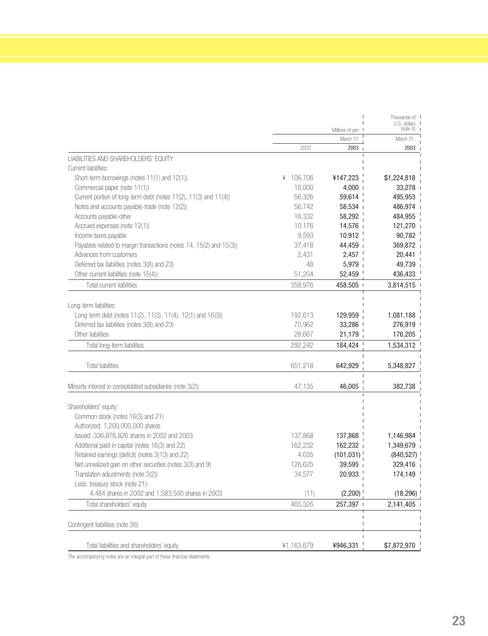|                                                                     |              |                 | Thousands of I           |
|---------------------------------------------------------------------|--------------|-----------------|--------------------------|
|                                                                     |              | Millions of yen | U.S. dollars<br>(note 4) |
|                                                                     |              | March 31        | March 31,                |
|                                                                     | 2002         | 2003            | 2003                     |
| LIABILITIES AND SHAREHOLDERS' EQUITY                                |              |                 |                          |
| Current liabilities:                                                |              |                 |                          |
| Short-term borrowings (notes 11(1) and 12(1))                       | 106,706<br>¥ | ¥147,223        | \$1,224,818              |
| Commercial paper (note 11(1))                                       | 10,000       | $4,000$         | 33,278                   |
| Current portion of long-term debt (notes 11(2), 11(3) and 11(4))    | 56,326       | 59,614          | 495,953                  |
| Notes and accounts payable-trade (note 12(2))                       | 56,742       | 58,534          | 486,974                  |
| Accounts payable-other                                              | 18,332       | 58,292          | 484,955                  |
| Accrued expenses (note 12(1))                                       | 10,176       | 14,576          | 121,270                  |
| Income taxes payable                                                | 9,593        | 10,912          | 90,782                   |
| Payables related to margin transactions (notes 14, 15(2) and 15(3)) | 37,418       | 44,459          | 369,872                  |
| Advances from customers                                             | 2,431        | 2,457           | 20,441                   |
| Deferred tax liabilities (notes 3(8) and 23)                        | 48           | 5,979           | 49,739                   |
| Other current liabilities (note 15(4))                              | 51,204       | 52,459          | 436,433                  |
| Total current liabilities                                           | 358,976      | 458,505         | 3,814,515                |
|                                                                     |              |                 |                          |
| Long-term liabilities:                                              |              |                 |                          |
| Long-term debt (notes 11(2), 11(3), 11(4), 12(1) and 16(3))         | 192,613      | 129,959         | 1,081,188                |
| Deferred tax liabilities (notes 3(8) and 23)                        | 70,962       | 33,286          | 276,919                  |
| Other liabilities                                                   | 28,667       | 21,179          | 176,205                  |
| Total long-term liabilities                                         | 292.242      | 184,424         | 1,534,312                |
|                                                                     |              |                 |                          |
| <b>Total liabilities</b>                                            | 651,218      | 642,929         | 5,348,827                |
|                                                                     |              |                 |                          |
| Minority interest in consolidated subsidiaries (note 3(2))          | 47,135       | 46,005          | 382,738                  |
|                                                                     |              |                 |                          |
| Shareholders' equity:                                               |              |                 |                          |
| Common stock (notes 16(3) and 21)                                   |              |                 |                          |
| Authorized: 1,200,000,000 shares                                    |              |                 |                          |
| Issued: 336,876,826 shares in 2002 and 2003                         | 137,868      | 137,868         | 1,146,984                |
| Additional paid-in capital (notes 16(3) and 22)                     | 162,232      | 162,232         | 1,349,679                |
| Retained earnings (deficit) (notes 3(13) and 22)                    | 4,035        | (101, 031)      | (840, 527)               |
| Net unrealized gain on other securities (notes 3(3) and 9)          | 126,625      | 39,595          | 329,416                  |
| Translation adjustments (note 3(2))                                 | 34,577       | 20,933          | 174,149                  |
| Less: treasury stock (note 21):                                     |              |                 |                          |
| 4,484 shares in 2002 and 1,583,500 shares in 2003                   | (11)         | (2, 200)        | (18, 296)                |
| Total shareholders' equity                                          | 465,326      | 257,397         | 2,141,405                |
|                                                                     |              |                 |                          |
| Contingent liabilities (note 26)                                    |              |                 |                          |
|                                                                     |              |                 |                          |
| Total liabilities and shareholders' equity                          | ¥1,163,679   | ¥946,331        | \$7,872,970              |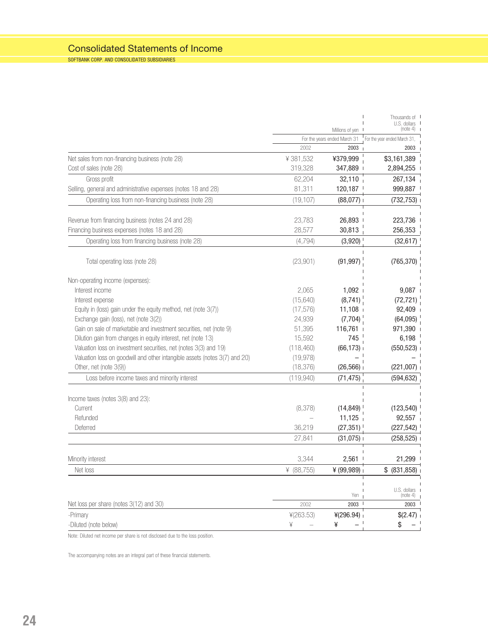### Consolidated Statements of Income

SOFTBANK CORP. AND CONSOLIDATED SUBSIDIARIES

|                                                                            |               |                                      | Thousands of I<br>U.S. dollars       |
|----------------------------------------------------------------------------|---------------|--------------------------------------|--------------------------------------|
|                                                                            |               | Millions of yen                      | (note 4)                             |
|                                                                            | 2002          | For the years ended March 31<br>2003 | For the year ended March 31,<br>2003 |
| Net sales from non-financing business (note 28)                            | ¥381,532      | ¥379,999                             | \$3,161,389                          |
| Cost of sales (note 28)                                                    | 319,328       | 347,889                              | 2,894,255                            |
| Gross profit                                                               | 62,204        | 32,110                               | 267,134                              |
| Selling, general and administrative expenses (notes 18 and 28)             | 81,311        | 120,187                              | 999,887                              |
| Operating loss from non-financing business (note 28)                       |               |                                      |                                      |
|                                                                            | (19, 107)     | (88,077)                             | (732, 753)                           |
| Revenue from financing business (notes 24 and 28)                          | 23,783        | 26,893                               | 223,736                              |
| Financing business expenses (notes 18 and 28)                              | 28,577        | 30,813                               | 256,353                              |
|                                                                            |               |                                      |                                      |
| Operating loss from financing business (note 28)                           | (4, 794)      | (3,920)                              | (32, 617)                            |
| Total operating loss (note 28)                                             | (23,901)      | (91, 997)                            | (765, 370)                           |
| Non-operating income (expenses):                                           |               |                                      |                                      |
| Interest income                                                            | 2,065         | 1,092                                | 9,087                                |
| Interest expense                                                           | (15, 640)     | (8,741)                              | (72, 721)                            |
| Equity in (loss) gain under the equity method, net (note 3(7))             | (17, 576)     | 11,108                               | 92,409                               |
| Exchange gain (loss), net (note 3(2))                                      | 24,939        | (7,704)                              | (64,095)                             |
| Gain on sale of marketable and investment securities, net (note 9)         | 51,395        | 116,761                              | 971,390                              |
| Dilution gain from changes in equity interest, net (note 13)               | 15,592        | 745                                  | 6,198                                |
| Valuation loss on investment securities, net (notes 3(3) and 19)           | (118, 460)    | (66, 173)                            | (550, 523)                           |
| Valuation loss on goodwill and other intangible assets (notes 3(7) and 20) | (19, 978)     |                                      |                                      |
| Other, net (note 3(9))                                                     | (18, 376)     | (26, 566)                            | (221,007)                            |
| Loss before income taxes and minority interest                             | (119, 940)    | (71, 475)                            | (594, 632)                           |
| Income taxes (notes 3(8) and 23):                                          |               |                                      |                                      |
| Current                                                                    | (8,378)       | (14, 849)                            | (123, 540)                           |
| Refunded                                                                   |               | 11,125                               | 92,557                               |
| Deferred                                                                   | 36,219        | (27, 351)                            | (227, 542)                           |
|                                                                            | 27,841        | (31,075)                             | (258, 525)                           |
| Minority interest                                                          | 3,344         | 2,561                                | 21,299                               |
| Net loss                                                                   | ¥ $(88, 755)$ | ¥ (99,989)                           | \$ (831, 858)                        |
|                                                                            |               |                                      |                                      |
|                                                                            |               | Yen                                  | U.S. dollars I<br>(note 4)           |
| Net loss per share (notes 3(12) and 30)                                    | 2002          | $2003$ $\overline{\phantom{0}}$      | 2003                                 |
| -Primary                                                                   | 4(263.53)     | 4(296.94)                            | \$(2.47)                             |
| -Diluted (note below)                                                      | ¥             | ¥<br>_ '                             | \$                                   |

Note: Diluted net income per share is not disclosed due to the loss position.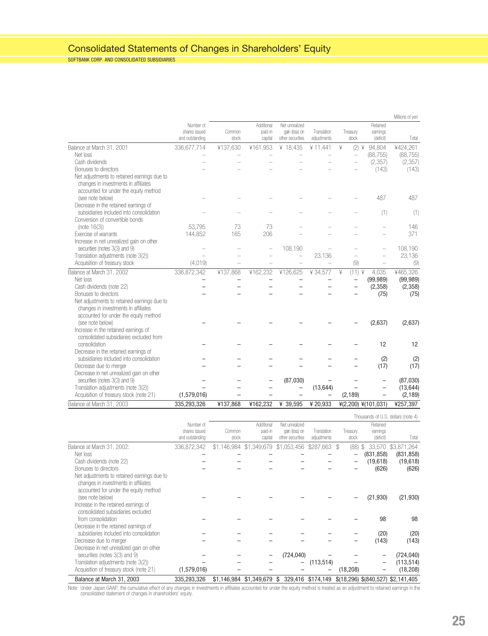### Consolidated Statements of Changes in Shareholders' Equity

SOFTBANK CORP. AND CONSOLIDATED SUBSIDIARIES

|                                                                                                                              |                                               |                 |                                  |                                                      |                            |                          |                                   | Millions of yen                    |
|------------------------------------------------------------------------------------------------------------------------------|-----------------------------------------------|-----------------|----------------------------------|------------------------------------------------------|----------------------------|--------------------------|-----------------------------------|------------------------------------|
|                                                                                                                              | Number of<br>shares issued<br>and outstanding | Common<br>stock | Additional<br>paid-in<br>capital | Net unrealized<br>gain (loss) on<br>other securities | Translation<br>adjustments | Treasury<br>stock        | Retained<br>earnings<br>(deficit) | Total                              |
| Balance at March 31, 2001                                                                                                    | 336,677,714                                   | ¥137,630        | ¥161,953                         | ¥ 18,435                                             | 411,441                    | ¥<br>(2) ¥               | 94,804                            | ¥424,261                           |
| Net loss                                                                                                                     |                                               |                 |                                  |                                                      |                            | $\overline{\phantom{0}}$ | (88, 755)                         | (88, 755)                          |
| Cash dividends                                                                                                               |                                               |                 |                                  |                                                      |                            |                          | (2, 357)                          | (2, 357)                           |
| Bonuses to directors                                                                                                         |                                               |                 |                                  |                                                      |                            |                          | (143)                             | (143)                              |
| Net adjustments to retained earnings due to<br>changes in investments in affiliates<br>accounted for under the equity method |                                               |                 |                                  |                                                      |                            |                          |                                   |                                    |
| (see note below)                                                                                                             |                                               |                 |                                  |                                                      |                            |                          | 487                               | 487                                |
| Decrease in the retained earnings of                                                                                         |                                               |                 |                                  |                                                      |                            |                          |                                   |                                    |
| subsidiaries included into consolidation                                                                                     |                                               |                 |                                  |                                                      |                            |                          | (1)                               | (1)                                |
| Conversion of convertible bonds                                                                                              |                                               |                 |                                  |                                                      |                            |                          |                                   |                                    |
| (note $16(3)$ )                                                                                                              | 53,795                                        | 73              | 73                               |                                                      |                            |                          |                                   | 146                                |
| Exercise of warrants                                                                                                         | 144,852                                       | 165             | 206                              |                                                      |                            |                          |                                   | 371                                |
| Increase in net unrealized gain on other                                                                                     |                                               |                 |                                  |                                                      |                            |                          |                                   |                                    |
| securities (notes 3(3) and 9)                                                                                                |                                               |                 |                                  | 108,190                                              |                            |                          |                                   | 108,190                            |
| Translation adjustments (note 3(2))                                                                                          |                                               |                 |                                  |                                                      | 23,136                     |                          |                                   | 23,136                             |
| Acquisition of treasury stock                                                                                                | (4,019)                                       |                 | $\overline{\phantom{0}}$         | $\overline{\phantom{0}}$                             |                            | (9)                      | $\overline{\phantom{0}}$          | (9)                                |
| Balance at March 31, 2002                                                                                                    | 336,872,342                                   | ¥137,868        | ¥162,232                         | ¥126,625                                             | ¥34.577                    | $(11)$ ¥<br>¥            | 4,035                             | ¥465,326                           |
| Net loss                                                                                                                     |                                               |                 |                                  |                                                      |                            |                          | (99, 989)                         | (99, 989)                          |
| Cash dividends (note 22)                                                                                                     |                                               |                 |                                  |                                                      |                            |                          | (2,358)                           | (2, 358)                           |
| Bonuses to directors                                                                                                         |                                               |                 |                                  |                                                      |                            |                          | (75)                              | (75)                               |
| Net adjustments to retained earnings due to<br>changes in investments in affiliates<br>accounted for under the equity method |                                               |                 |                                  |                                                      |                            |                          |                                   |                                    |
| (see note below)                                                                                                             |                                               |                 |                                  |                                                      |                            |                          | (2,637)                           | (2,637)                            |
| Increase in the retained earnings of                                                                                         |                                               |                 |                                  |                                                      |                            |                          |                                   |                                    |
| consolidated subsidiaries excluded from                                                                                      |                                               |                 |                                  |                                                      |                            |                          |                                   |                                    |
| consolidation                                                                                                                |                                               |                 |                                  |                                                      |                            |                          | 12                                | 12                                 |
| Decrease in the retained earnings of                                                                                         |                                               |                 |                                  |                                                      |                            |                          |                                   |                                    |
| subsidiaries included into consolidation                                                                                     |                                               |                 |                                  |                                                      |                            |                          | (2)                               | (2)                                |
| Decrease due to merger                                                                                                       |                                               |                 |                                  |                                                      |                            |                          | (17)                              | (17)                               |
| Decrease in net unrealized gain on other                                                                                     |                                               |                 |                                  |                                                      |                            |                          |                                   |                                    |
| securities (notes 3(3) and 9)                                                                                                |                                               |                 |                                  | (87,030)                                             |                            |                          |                                   | (87,030)                           |
| Translation adjustments (note 3(2))                                                                                          |                                               |                 |                                  |                                                      | (13, 644)                  |                          |                                   | (13, 644)                          |
| Acquisition of treasury stock (note 21)                                                                                      | (1,579,016)                                   |                 |                                  |                                                      |                            | (2, 189)                 | $\overline{\phantom{0}}$          | (2, 189)                           |
| Balance at March 31, 2003                                                                                                    | 335,293,326                                   | ¥137,868        | ¥162,232                         | ¥ 39,595                                             | ¥ 20,933                   | ¥(2,200) ¥(101,031)      |                                   | ¥257,397                           |
|                                                                                                                              |                                               |                 |                                  |                                                      |                            |                          |                                   | Thousands of U.S. dollars (note 4) |
|                                                                                                                              | Number of                                     |                 | Additional                       | Net unrealized                                       |                            |                          | Retained                          |                                    |
|                                                                                                                              | shares issued                                 | Common          | paid-in                          | gain (loss) on                                       | Translation                | Treasury                 | earnings                          |                                    |
|                                                                                                                              | and outstanding                               | stock           | capital                          | other securities                                     | adjustments                | stock                    | (deficit)                         | Total                              |
| Balance at March 31, 2002:                                                                                                   | 336,872,342                                   |                 | \$1,146,984 \$1,349,679          | \$1,053,456                                          | \$287,663                  | \$<br>$(88)$ \$          |                                   | 33,570 \$3,871,264                 |

|                                             | and outstanding | stock | capital | other securities                                 | adjustments | stock     | (deficit)  | Total                              |
|---------------------------------------------|-----------------|-------|---------|--------------------------------------------------|-------------|-----------|------------|------------------------------------|
| Balance at March 31, 2002:                  | 336.872.342     |       |         | \$1,146,984 \$1,349,679 \$1,053,456 \$287,663 \$ |             | (88)      | \$33,570   | \$3,871,264                        |
| Net loss                                    |                 |       |         |                                                  |             |           | (831, 858) | (831, 858)                         |
| Cash dividends (note 22)                    |                 |       |         |                                                  |             |           | (19,618)   | (19,618)                           |
| Bonuses to directors                        |                 |       |         |                                                  |             |           | (626)      | (626)                              |
| Net adjustments to retained earnings due to |                 |       |         |                                                  |             |           |            |                                    |
| changes in investments in affiliates        |                 |       |         |                                                  |             |           |            |                                    |
| accounted for under the equity method       |                 |       |         |                                                  |             |           |            |                                    |
| (see note below)                            |                 |       |         |                                                  |             |           | (21, 930)  | (21, 930)                          |
| Increase in the retained earnings of        |                 |       |         |                                                  |             |           |            |                                    |
| consolidated subsidiaries excluded          |                 |       |         |                                                  |             |           |            |                                    |
| from consolidation                          |                 |       |         |                                                  |             |           | 98         | 98                                 |
| Decrease in the retained earnings of        |                 |       |         |                                                  |             |           |            |                                    |
| subsidiaries included into consolidation    |                 |       |         |                                                  |             |           | (20)       | (20)                               |
| Decrease due to merger                      |                 |       |         |                                                  |             |           | (143)      | (143)                              |
| Decrease in net unrealized gain on other    |                 |       |         |                                                  |             |           |            |                                    |
| securities (notes 3(3) and 9)               |                 |       |         | (724, 040)                                       |             |           |            | (724, 040)                         |
| Translation adjustments (note 3(2))         |                 |       |         |                                                  | (113, 514)  |           |            | (113, 514)                         |
| Acquisition of treasury stock (note 21)     | (1,579,016)     |       |         |                                                  |             | (18, 208) |            | (18, 208)                          |
| Balance at March 31, 2003                   | 335.293.326     |       |         | \$1,146,984 \$1,349,679 \$ 329,416 \$174,149     |             |           |            | \$(18,296) \$(840,527) \$2,141,405 |

Note: Under Japan GAAP, the cumulative effect of any changes in investments in affiliates accounted for under the equity method is treated as an adjustment to retained earnings in the<br>consolidated statement of changes in s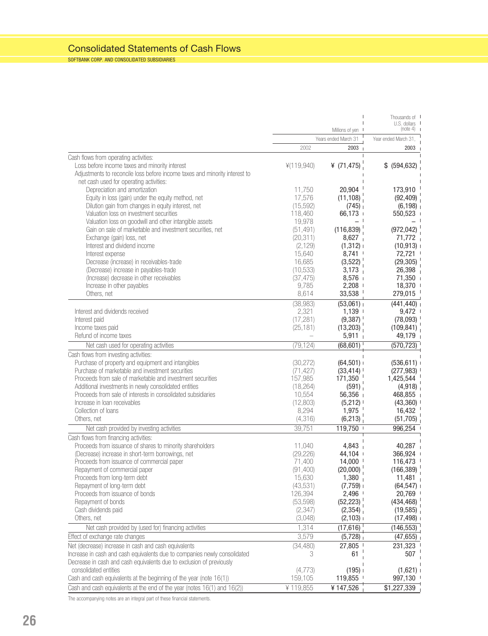### Consolidated Statements of Cash Flows

SOFTBANK CORP. AND CONSOLIDATED SUBSIDIARIES

|                                                                                              |                   |                        | Thousands of I<br>$U.S.$ dollars $\blacksquare$ |
|----------------------------------------------------------------------------------------------|-------------------|------------------------|-------------------------------------------------|
|                                                                                              |                   | Millions of yen I      | (note 4) 1                                      |
|                                                                                              |                   | Years ended March 31   | Year ended March 31,                            |
|                                                                                              | 2002              | 2003                   | 2003                                            |
| Cash flows from operating activities:                                                        |                   |                        |                                                 |
| Loss before income taxes and minority interest                                               | ¥(119,940)        | ¥ $(71, 475)$          | \$ (594, 632)                                   |
| Adjustments to reconcile loss before income taxes and minority interest to                   |                   |                        |                                                 |
| net cash used for operating activities:                                                      | 11,750            | 20,904                 |                                                 |
| Depreciation and amortization<br>Equity in loss (gain) under the equity method, net          | 17,576            | (11, 108)              | 173,910<br>(92, 409)                            |
| Dilution gain from changes in equity interest, net                                           | (15, 592)         | (745)                  | $(6, 198)$ <sup>1</sup>                         |
| Valuation loss on investment securities                                                      | 118,460           | 66,173                 | 550,523                                         |
| Valuation loss on goodwill and other intangible assets                                       | 19,978            |                        |                                                 |
| Gain on sale of marketable and investment securities, net                                    | (51, 491)         | (116, 839)             | $(972, 042)$ <sup>1</sup>                       |
| Exchange (gain) loss, net                                                                    | (20, 311)         | 8,627                  | 71,772                                          |
| Interest and dividend income                                                                 | (2, 129)          | $(1,312)$ i            | (10, 913)                                       |
| Interest expense                                                                             | 15,640            | 8,741                  | 72,721 '                                        |
| Decrease (increase) in receivables-trade                                                     | 16,685            | (3,522)                | $(29,305)$ <sup>1</sup>                         |
| (Decrease) increase in payables-trade                                                        | (10, 533)         | 3,173                  | 26,398                                          |
| (Increase) decrease in other receivables                                                     | (37, 475)         | 8,576                  | $71,350$ i                                      |
| Increase in other payables                                                                   | 9,785             | 2,208                  | 18,370 '                                        |
| Others, net                                                                                  | 8,614             | 33,538                 | 279,015                                         |
|                                                                                              | (38, 983)         | $(53,061)$ i           | (441, 440)                                      |
| Interest and dividends received                                                              | 2,321             | $1,139$ $\overline{1}$ | 9,472                                           |
| Interest paid                                                                                | (17, 281)         | (9,387)                | (78,093)                                        |
| Income taxes paid                                                                            | (25, 181)         | (13,203)               | (109, 841)                                      |
| Refund of income taxes                                                                       |                   | 5,911                  | 49,179                                          |
| Net cash used for operating activities                                                       | (79, 124)         | (68, 601)              | (570, 723)                                      |
| Cash flows from investing activities:                                                        |                   |                        |                                                 |
| Purchase of property and equipment and intangibles                                           | (30, 272)         | (64, 501)              | (536, 611)                                      |
| Purchase of marketable and investment securities                                             | (71, 427)         | (33, 414)              | $(277, 983)$ <sup>1</sup>                       |
| Proceeds from sale of marketable and investment securities                                   | 157,985           | 171,350                | $1,425,544$ <sup>1</sup>                        |
| Additional investments in newly consolidated entities                                        | (18, 264)         | (591)                  | (4,918)                                         |
| Proceeds from sale of interests in consolidated subsidiaries<br>Increase in Ioan receivables | 10,554            | 56,356                 | 468,855 1                                       |
| Collection of loans                                                                          | (12,803)<br>8,294 | (5,212)<br>1,975       | $(43,360)$ <sup>1</sup><br>16,432               |
| Others, net                                                                                  | (4, 316)          | (6, 213)               | (51,705)                                        |
|                                                                                              | 39,751            | 119,750                | 996,254                                         |
| Net cash provided by investing activities<br>Cash flows from financing activities:           |                   |                        |                                                 |
| Proceeds from issuance of shares to minority shareholders                                    | 11,040            | 4,843                  | 40,287                                          |
| (Decrease) increase in short-term borrowings, net                                            | (29, 226)         | 44,104 +               | 366,924                                         |
| Proceeds from issuance of commercial paper                                                   | 71,400            | 14,000                 | 116,473                                         |
| Repayment of commercial paper                                                                | (91, 400)         | (20,000)               | $(166, 389)$ <sup>1</sup>                       |
| Proceeds from long-term debt                                                                 | 15,630            | 1,380                  | 11,481                                          |
| Repayment of long-term debt                                                                  | (43, 531)         | $(7,759)$ 1            | (64, 547)                                       |
| Proceeds from issuance of bonds                                                              | 126,394           | 2,496                  | 20,769                                          |
| Repayment of bonds                                                                           | (53, 598)         | (52, 223)              | (434, 468)                                      |
| Cash dividends paid                                                                          | (2, 347)          | (2,354)                | (19,585)                                        |
| Others, net                                                                                  | (3,048)           | (2,103)                | (17, 498)                                       |
| Net cash provided by (used for) financing activities                                         | 1,314             | (17,616)               | (146, 553)                                      |
| Effect of exchange rate changes                                                              | 3,579             | (5,728)                | (47,655)                                        |
| Net (decrease) increase in cash and cash equivalents                                         | (34, 480)         | 27.805                 | 231,323                                         |
| Increase in cash and cash equivalents due to companies newly consolidated                    | 3                 | 61                     | 507                                             |
| Decrease in cash and cash equivalents due to exclusion of previously                         |                   |                        |                                                 |
| consolidated entities                                                                        | (4,773)           | (195)                  | $(1,621)$ i                                     |
| Cash and cash equivalents at the beginning of the year (note 16(1))                          | 159,105           | 119,855                | 997,130                                         |
| Cash and cash equivalents at the end of the year (notes 16(1) and 16(2))                     | ¥119,855          | ¥147,526               | \$1,227,339                                     |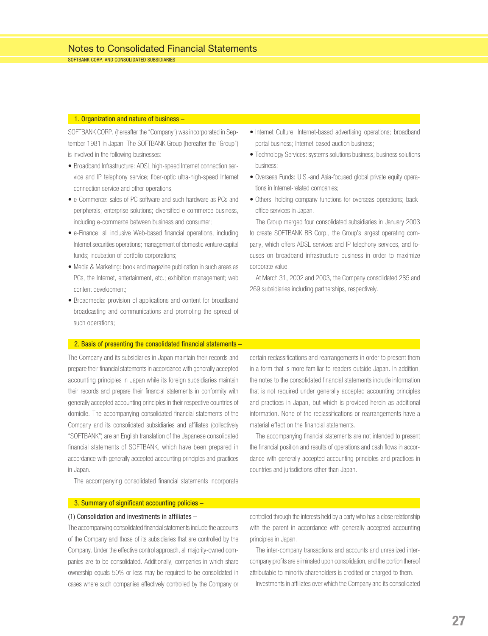SOFTBANK CORP. AND CONSOLIDATED SUBSIDIARIES

#### 1. Organization and nature of business –

SOFTBANK CORP. (hereafter the "Company") was incorporated in September 1981 in Japan. The SOFTBANK Group (hereafter the "Group") is involved in the following businesses:

- Broadband Infrastructure: ADSL high-speed Internet connection service and IP telephony service; fiber-optic ultra-high-speed Internet connection service and other operations;
- e-Commerce: sales of PC software and such hardware as PCs and peripherals; enterprise solutions; diversified e-commerce business, including e-commerce between business and consumer;
- e-Finance: all inclusive Web-based financial operations, including Internet securities operations; management of domestic venture capital funds; incubation of portfolio corporations;
- Media & Marketing: book and magazine publication in such areas as PCs, the Internet, entertainment, etc.; exhibition management; web content development;
- Broadmedia: provision of applications and content for broadband broadcasting and communications and promoting the spread of such operations;
- Internet Culture: Internet-based advertising operations; broadband portal business; Internet-based auction business;
- Technology Services: systems solutions business; business solutions business;
- Overseas Funds: U.S.-and Asia-focused global private equity operations in Internet-related companies;
- Others: holding company functions for overseas operations; backoffice services in Japan.

The Group merged four consolidated subsidiaries in January 2003 to create SOFTBANK BB Corp., the Group's largest operating company, which offers ADSL services and IP telephony services, and focuses on broadband infrastructure business in order to maximize corporate value.

At March 31, 2002 and 2003, the Company consolidated 285 and 269 subsidiaries including partnerships, respectively.

#### 2. Basis of presenting the consolidated financial statements –

The Company and its subsidiaries in Japan maintain their records and prepare their financial statements in accordance with generally accepted accounting principles in Japan while its foreign subsidiaries maintain their records and prepare their financial statements in conformity with generally accepted accounting principles in their respective countries of domicile. The accompanying consolidated financial statements of the Company and its consolidated subsidiaries and affiliates (collectively "SOFTBANK") are an English translation of the Japanese consolidated financial statements of SOFTBANK, which have been prepared in accordance with generally accepted accounting principles and practices in Japan.

certain reclassifications and rearrangements in order to present them in a form that is more familiar to readers outside Japan. In addition, the notes to the consolidated financial statements include information that is not required under generally accepted accounting principles and practices in Japan, but which is provided herein as additional information. None of the reclassifications or rearrangements have a material effect on the financial statements.

The accompanying financial statements are not intended to present the financial position and results of operations and cash flows in accordance with generally accepted accounting principles and practices in countries and jurisdictions other than Japan.

The accompanying consolidated financial statements incorporate

#### 3. Summary of significant accounting policies -

#### (1) Consolidation and investments in affiliates –

The accompanying consolidated financial statements include the accounts of the Company and those of its subsidiaries that are controlled by the Company. Under the effective control approach, all majority-owned companies are to be consolidated. Additionally, companies in which share ownership equals 50% or less may be required to be consolidated in cases where such companies effectively controlled by the Company or

controlled through the interests held by a party who has a close relationship with the parent in accordance with generally accepted accounting principles in Japan.

The inter-company transactions and accounts and unrealized intercompany profits are eliminated upon consolidation, and the portion thereof attributable to minority shareholders is credited or charged to them.

Investments in affiliates over which the Company and its consolidated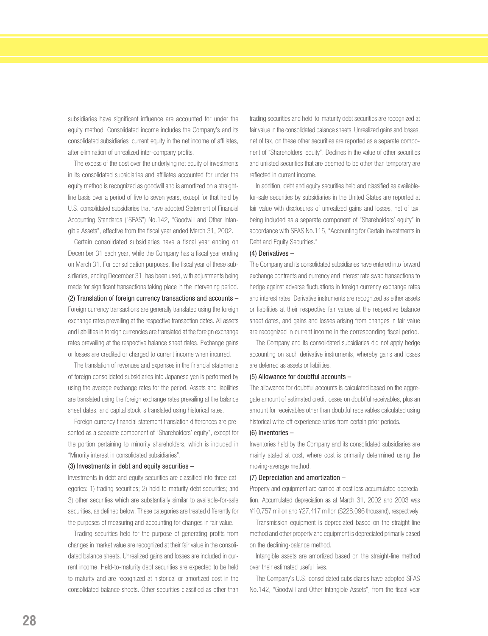subsidiaries have significant influence are accounted for under the equity method. Consolidated income includes the Company's and its consolidated subsidiaries' current equity in the net income of affiliates, after elimination of unrealized inter-company profits.

The excess of the cost over the underlying net equity of investments in its consolidated subsidiaries and affiliates accounted for under the equity method is recognized as goodwill and is amortized on a straightline basis over a period of five to seven years, except for that held by U.S. consolidated subsidiaries that have adopted Statement of Financial Accounting Standards ("SFAS") No.142, "Goodwill and Other Intangible Assets", effective from the fiscal year ended March 31, 2002.

Certain consolidated subsidiaries have a fiscal year ending on December 31 each year, while the Company has a fiscal year ending on March 31. For consolidation purposes, the fiscal year of these subsidiaries, ending December 31, has been used, with adjustments being made for significant transactions taking place in the intervening period. (2) Translation of foreign currency transactions and accounts – Foreign currency transactions are generally translated using the foreign exchange rates prevailing at the respective transaction dates. All assets and liabilities in foreign currencies are translated at the foreign exchange rates prevailing at the respective balance sheet dates. Exchange gains or losses are credited or charged to current income when incurred.

The translation of revenues and expenses in the financial statements of foreign consolidated subsidiaries into Japanese yen is performed by using the average exchange rates for the period. Assets and liabilities are translated using the foreign exchange rates prevailing at the balance sheet dates, and capital stock is translated using historical rates.

Foreign currency financial statement translation differences are presented as a separate component of "Shareholders' equity", except for the portion pertaining to minority shareholders, which is included in "Minority interest in consolidated subsidiaries".

#### $(3)$  Investments in debt and equity securities  $-$

Investments in debt and equity securities are classified into three categories: 1) trading securities; 2) held-to-maturity debt securities; and 3) other securities which are substantially similar to available-for-sale securities, as defined below. These categories are treated differently for the purposes of measuring and accounting for changes in fair value.

Trading securities held for the purpose of generating profits from changes in market value are recognized at their fair value in the consolidated balance sheets. Unrealized gains and losses are included in current income. Held-to-maturity debt securities are expected to be held to maturity and are recognized at historical or amortized cost in the consolidated balance sheets. Other securities classified as other than

trading securities and held-to-maturity debt securities are recognized at fair value in the consolidated balance sheets. Unrealized gains and losses, net of tax, on these other securities are reported as a separate component of "Shareholders' equity". Declines in the value of other securities and unlisted securities that are deemed to be other than temporary are reflected in current income.

In addition, debt and equity securities held and classified as availablefor-sale securities by subsidiaries in the United States are reported at fair value with disclosures of unrealized gains and losses, net of tax, being included as a separate component of "Shareholders' equity" in accordance with SFAS No.115, "Accounting for Certain Investments in Debt and Equity Securities."

#### (4) Derivatives –

The Company and its consolidated subsidiaries have entered into forward exchange contracts and currency and interest rate swap transactions to hedge against adverse fluctuations in foreign currency exchange rates and interest rates. Derivative instruments are recognized as either assets or liabilities at their respective fair values at the respective balance sheet dates, and gains and losses arising from changes in fair value are recognized in current income in the corresponding fiscal period.

The Company and its consolidated subsidiaries did not apply hedge accounting on such derivative instruments, whereby gains and losses are deferred as assets or liabilities.

#### (5) Allowance for doubtful accounts –

The allowance for doubtful accounts is calculated based on the aggregate amount of estimated credit losses on doubtful receivables, plus an amount for receivables other than doubtful receivables calculated using historical write-off experience ratios from certain prior periods.

#### (6) Inventories –

Inventories held by the Company and its consolidated subsidiaries are mainly stated at cost, where cost is primarily determined using the moving-average method.

#### (7) Depreciation and amortization –

Property and equipment are carried at cost less accumulated depreciation. Accumulated depreciation as at March 31, 2002 and 2003 was ¥10,757 million and ¥27,417 million (\$228,096 thousand), respectively.

Transmission equipment is depreciated based on the straight-line method and other property and equipment is depreciated primarily based on the declining-balance method.

Intangible assets are amortized based on the straight-line method over their estimated useful lives.

The Company's U.S. consolidated subsidiaries have adopted SFAS No.142, "Goodwill and Other Intangible Assets", from the fiscal year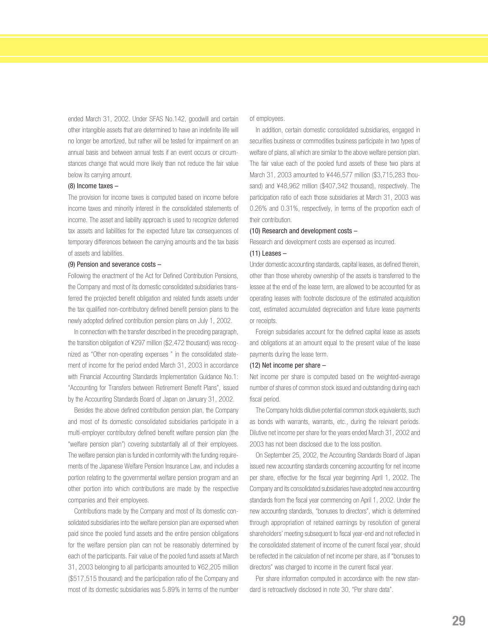ended March 31, 2002. Under SFAS No.142, goodwill and certain other intangible assets that are determined to have an indefinite life will no longer be amortized, but rather will be tested for impairment on an annual basis and between annual tests if an event occurs or circumstances change that would more likely than not reduce the fair value below its carrying amount.

#### (8) Income taxes –

The provision for income taxes is computed based on income before income taxes and minority interest in the consolidated statements of income. The asset and liability approach is used to recognize deferred tax assets and liabilities for the expected future tax consequences of temporary differences between the carrying amounts and the tax basis of assets and liabilities.

#### (9) Pension and severance costs –

Following the enactment of the Act for Defined Contribution Pensions, the Company and most of its domestic consolidated subsidiaries transferred the projected benefit obligation and related funds assets under the tax qualified non-contributory defined benefit pension plans to the newly adopted defined contribution pension plans on July 1, 2002.

In connection with the transfer described in the preceding paragraph, the transition obligation of ¥297 million (\$2,472 thousand) was recognized as "Other non-operating expenses " in the consolidated statement of income for the period ended March 31, 2003 in accordance with Financial Accounting Standards Implementation Guidance No.1: "Accounting for Transfers between Retirement Benefit Plans", issued by the Accounting Standards Board of Japan on January 31, 2002.

Besides the above defined contribution pension plan, the Company and most of its domestic consolidated subsidiaries participate in a multi-employer contributory defined benefit welfare pension plan (the "welfare pension plan") covering substantially all of their employees. The welfare pension plan is funded in conformity with the funding requirements of the Japanese Welfare Pension Insurance Law, and includes a portion relating to the governmental welfare pension program and an other portion into which contributions are made by the respective companies and their employees.

Contributions made by the Company and most of its domestic consolidated subsidiaries into the welfare pension plan are expensed when paid since the pooled fund assets and the entire pension obligations for the welfare pension plan can not be reasonably determined by each of the participants. Fair value of the pooled fund assets at March 31, 2003 belonging to all participants amounted to ¥62,205 million (\$517,515 thousand) and the participation ratio of the Company and most of its domestic subsidiaries was 5.89% in terms of the number

of employees.

In addition, certain domestic consolidated subsidiaries, engaged in securities business or commodities business participate in two types of welfare of plans, all which are similar to the above welfare pension plan. The fair value each of the pooled fund assets of these two plans at March 31, 2003 amounted to ¥446,577 million (\$3,715,283 thousand) and ¥48,962 million (\$407,342 thousand), respectively. The participation ratio of each those subsidiaries at March 31, 2003 was 0.26% and 0.31%, respectively, in terms of the proportion each of their contribution.

#### (10) Research and development costs –

Research and development costs are expensed as incurred.

#### $(11)$  Leases  $-$

Under domestic accounting standards, capital leases, as defined therein, other than those whereby ownership of the assets is transferred to the lessee at the end of the lease term, are allowed to be accounted for as operating leases with footnote disclosure of the estimated acquisition cost, estimated accumulated depreciation and future lease payments or receipts.

Foreign subsidiaries account for the defined capital lease as assets and obligations at an amount equal to the present value of the lease payments during the lease term.

#### (12) Net income per share –

Net income per share is computed based on the weighted-average number of shares of common stock issued and outstanding during each fiscal period.

The Company holds dilutive potential common stock equivalents, such as bonds with warrants, warrants, etc., during the relevant periods. Dilutive net income per share for the years ended March 31, 2002 and 2003 has not been disclosed due to the loss position.

On September 25, 2002, the Accounting Standards Board of Japan issued new accounting standards concerning accounting for net income per share, effective for the fiscal year beginning April 1, 2002. The Company and its consolidated subsidiaries have adopted new accounting standards from the fiscal year commencing on April 1, 2002. Under the new accounting standards, "bonuses to directors", which is determined through appropriation of retained earnings by resolution of general shareholders' meeting subsequent to fiscal year-end and not reflected in the consolidated statement of income of the current fiscal year, should be reflected in the calculation of net income per share, as if "bonuses to directors" was charged to income in the current fiscal year.

Per share information computed in accordance with the new standard is retroactively disclosed in note 30, "Per share data".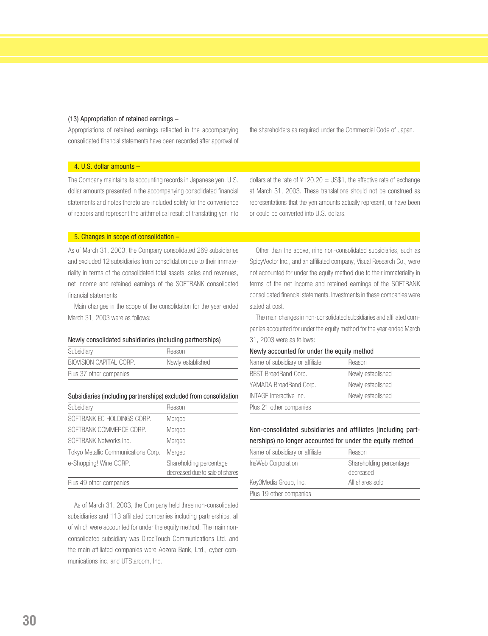#### (13) Appropriation of retained earnings –

Appropriations of retained earnings reflected in the accompanying consolidated financial statements have been recorded after approval of the shareholders as required under the Commercial Code of Japan.

#### 4. U.S. dollar amounts –

The Company maintains its accounting records in Japanese yen. U.S. dollar amounts presented in the accompanying consolidated financial statements and notes thereto are included solely for the convenience of readers and represent the arithmetical result of translating yen into dollars at the rate of  $4120.20 = US$1$ , the effective rate of exchange at March 31, 2003. These translations should not be construed as representations that the yen amounts actually represent, or have been or could be converted into U.S. dollars.

#### 5. Changes in scope of consolidation –

As of March 31, 2003, the Company consolidated 269 subsidiaries and excluded 12 subsidiaries from consolidation due to their immateriality in terms of the consolidated total assets, sales and revenues, net income and retained earnings of the SOFTBANK consolidated financial statements.

Main changes in the scope of the consolidation for the year ended March 31, 2003 were as follows:

#### Newly consolidated subsidiaries (including partnerships)

| Subsidiary              | Reason            |
|-------------------------|-------------------|
| BIOVISION CAPITAL CORP. | Newly established |
| Plus 37 other companies |                   |

#### Subsidiaries (including partnerships) excluded from consolidation

| Subsidiary                          | Reason                                                     |
|-------------------------------------|------------------------------------------------------------|
| SOFTBANK EC HOLDINGS CORP.          | Merged                                                     |
| SOFTBANK COMMERCE CORP.             | Merged                                                     |
| SOFTBANK Networks Inc.              | Merged                                                     |
| Tokyo Metallic Communications Corp. | Merged                                                     |
| e-Shopping! Wine CORP.              | Shareholding percentage<br>decreased due to sale of shares |
| Plus 49 other companies             |                                                            |

As of March 31, 2003, the Company held three non-consolidated subsidiaries and 113 affiliated companies including partnerships, all of which were accounted for under the equity method. The main nonconsolidated subsidiary was DirecTouch Communications Ltd. and the main affiliated companies were Aozora Bank, Ltd., cyber communications inc. and UTStarcom, Inc.

Other than the above, nine non-consolidated subsidiaries, such as SpicyVector Inc., and an affiliated company, Visual Research Co., were not accounted for under the equity method due to their immateriality in terms of the net income and retained earnings of the SOFTBANK consolidated financial statements. Investments in these companies were stated at cost.

The main changes in non-consolidated subsidiaries and affiliated companies accounted for under the equity method for the year ended March 31, 2003 were as follows:

#### Newly accounted for under the equity method

| Reason            |
|-------------------|
| Newly established |
| Newly established |
| Newly established |
|                   |
|                   |

#### Non-consolidated subsidiaries and affiliates (including partnerships) no longer accounted for under the equity method

| Name of subsidiary or affiliate | Reason                               |
|---------------------------------|--------------------------------------|
| InsWeb Corporation              | Shareholding percentage<br>decreased |
| Key3Media Group, Inc.           | All shares sold                      |
| Plus 19 other companies         |                                      |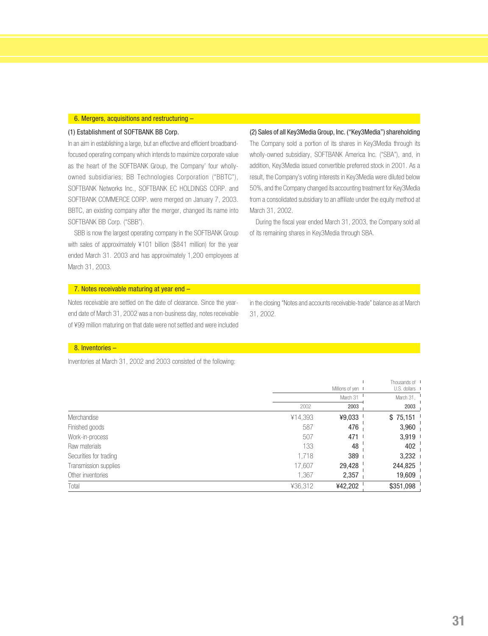#### 6. Mergers, acquisitions and restructuring –

#### (1) Establishment of SOFTBANK BB Corp.

In an aim in establishing a large, but an effective and efficient broadbandfocused operating company which intends to maximize corporate value as the heart of the SOFTBANK Group, the Company' four whollyowned subsidiaries; BB Technologies Corporation ("BBTC"), SOFTBANK Networks Inc., SOFTBANK EC HOLDINGS CORP. and SOFTBANK COMMERCE CORP. were merged on January 7, 2003. BBTC, an existing company after the merger, changed its name into SOFTBANK BB Corp. ("SBB").

SBB is now the largest operating company in the SOFTBANK Group with sales of approximately ¥101 billion (\$841 million) for the year ended March 31. 2003 and has approximately 1,200 employees at March 31, 2003.

(2) Sales of all Key3Media Group, Inc. ("Key3Media") shareholding The Company sold a portion of its shares in Key3Media through its wholly-owned subsidiary, SOFTBANK America Inc. ("SBA"), and, in addition, Key3Media issued convertible preferred stock in 2001. As a result, the Company's voting interests in Key3Media were diluted below 50%, and the Company changed its accounting treatment for Key3Media from a consolidated subsidiary to an affiliate under the equity method at March 31, 2002.

During the fiscal year ended March 31, 2003, the Company sold all of its remaining shares in Key3Media through SBA.

#### 7. Notes receivable maturing at year end –

Notes receivable are settled on the date of clearance. Since the yearend date of March 31, 2002 was a non-business day, notes receivable of ¥99 million maturing on that date were not settled and were included

in the closing "Notes and accounts receivable-trade" balance as at March 31, 2002.

#### 8. Inventories –

Inventories at March 31, 2002 and 2003 consisted of the following:

|                        |         |                   | Thousands of I |
|------------------------|---------|-------------------|----------------|
|                        |         | Millions of yen I | U.S. dollars I |
|                        |         | March 31          | March 31,      |
|                        | 2002    | 2003              | 2003           |
| Merchandise            | ¥14,393 | ¥9,033            | \$75,151       |
| Finished goods         | 587     | 476               | 3,960          |
| Work-in-process        | 507     | 471               | 3,919          |
| Raw materials          | 133     | 48                | 402            |
| Securities for trading | 1,718   | 389               | 3,232          |
| Transmission supplies  | 17,607  | 29,428            | 244,825        |
| Other inventories      | 1,367   | 2,357             | 19,609         |
| Total                  | ¥36,312 | ¥42,202           | \$351,098      |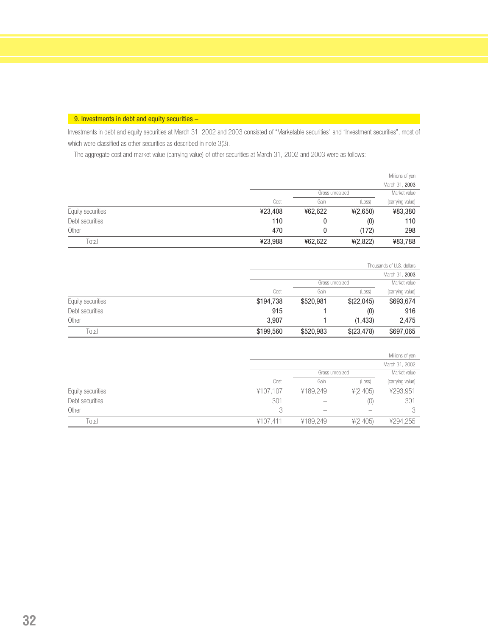#### 9. Investments in debt and equity securities -

Investments in debt and equity securities at March 31, 2002 and 2003 consisted of "Marketable securities" and "Investment securities", most of which were classified as other securities as described in note 3(3).

The aggregate cost and market value (carrying value) of other securities at March 31, 2002 and 2003 were as follows:

|                   |         |                  |          | Millions of yen  |
|-------------------|---------|------------------|----------|------------------|
|                   |         |                  |          | March 31, 2003   |
|                   |         | Gross unrealized |          | Market value     |
|                   | Cost    | Gain             | (Loss)   | (carrying value) |
| Equity securities | ¥23,408 | ¥62,622          | 4(2,650) | ¥83,380          |
| Debt securities   | 110     | 0                | (0)      | 110              |
| Other             | 470     |                  | (172)    | 298              |
| Total             | ¥23,988 | ¥62,622          | 4(2,822) | ¥83,788          |

|                   |           |                  |            | Thousands of U.S. dollars |
|-------------------|-----------|------------------|------------|---------------------------|
|                   |           |                  |            | March 31, 2003            |
|                   |           | Gross unrealized |            | Market value              |
|                   | Cost      | Gain             | (Loss)     | (carrying value)          |
| Equity securities | \$194,738 | \$520,981        | \$(22,045) | \$693,674                 |
| Debt securities   | 915       |                  | (0)        | 916                       |
| Other             | 3.907     |                  | (1, 433)   | 2,475                     |
| Total             | \$199,560 | \$520,983        | \$(23,478) | \$697,065                 |

|                   |          |                  |          | Millions of yen  |
|-------------------|----------|------------------|----------|------------------|
|                   |          |                  |          | March 31, 2002   |
|                   |          | Gross unrealized |          | Market value     |
|                   | Cost     | Gain             | (Loss)   | (carrying value) |
| Equity securities | ¥107,107 | ¥189,249         | 4(2,405) | ¥293,951         |
| Debt securities   | 301      |                  | (O)      | 301              |
| Other             |          |                  |          |                  |
| Total             | ¥107.411 | ¥189,249         | 4(2,405) | ¥294,255         |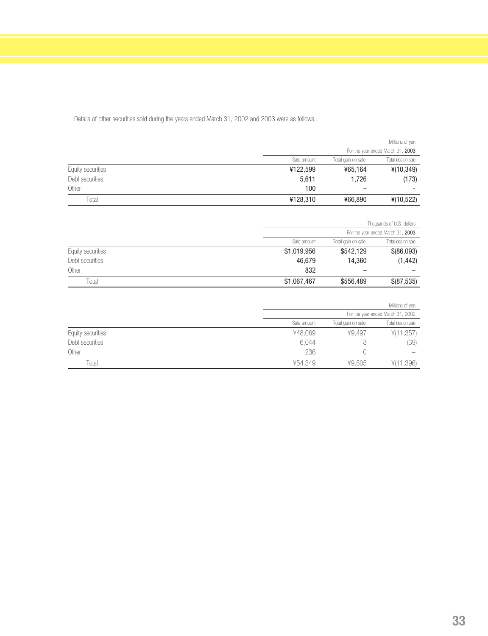|                   |             |                                          | Millions of yen |  |
|-------------------|-------------|------------------------------------------|-----------------|--|
|                   |             | For the year ended March 31, 2003        |                 |  |
|                   | Sale amount | Total loss on sale<br>Total gain on sale |                 |  |
| Equity securities | ¥122,599    | ¥65,164                                  | 4(10, 349)      |  |
| Debt securities   | 5,611       | 1,726                                    | (173)           |  |
| Other             | 100         |                                          | -               |  |
| Total             | ¥128,310    | ¥66,890                                  | 4(10,522)       |  |

Details of other securities sold during the years ended March 31, 2002 and 2003 were as follows:

|                   |                                                         | Thousands of U.S. dollars         |            |  |
|-------------------|---------------------------------------------------------|-----------------------------------|------------|--|
|                   |                                                         | For the year ended March 31, 2003 |            |  |
|                   | Total loss on sale<br>Sale amount<br>Total gain on sale |                                   |            |  |
| Equity securities | \$1,019,956                                             | \$542,129                         | \$(86,093) |  |
| Debt securities   | 46,679                                                  | 14,360                            | (1, 442)   |  |
| Other             | 832                                                     |                                   |            |  |
| Total             | \$1,067,467                                             | \$556,489                         | \$(87,535) |  |

|                   |             |                                   | Millions of yen    |  |
|-------------------|-------------|-----------------------------------|--------------------|--|
|                   |             | For the year ended March 31, 2002 |                    |  |
|                   | Sale amount | Total gain on sale                | Total loss on sale |  |
| Equity securities | ¥48.069     | ¥9.497                            | 4(11,357)          |  |
| Debt securities   | 6,044       | ŏ                                 | (39)               |  |
| Other             | 236         |                                   |                    |  |
| Total             | ¥54.349     | ¥9.505                            | 1,396)             |  |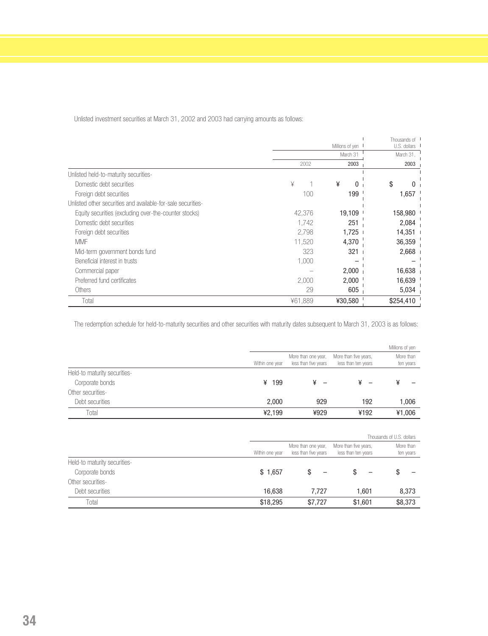Unlisted investment securities at March 31, 2002 and 2003 had carrying amounts as follows:

|                                                              |         | Millions of yen | Thousands of I<br>U.S. dollars |
|--------------------------------------------------------------|---------|-----------------|--------------------------------|
|                                                              |         | March 31        | March 31,                      |
|                                                              | 2002    | 2003            | 2003                           |
|                                                              |         |                 |                                |
| Unlisted held-to-maturity securities-                        |         |                 |                                |
| Domestic debt securities                                     | ¥       | ¥<br>O          | \$                             |
| Foreign debt securities                                      | 100     | $199-1$         | 1,657                          |
| Unlisted other securities and available-for-sale securities- |         |                 |                                |
| Equity securities (excluding over-the-counter stocks)        | 42,376  | 19,109          | 158,980                        |
| Domestic debt securities                                     | 1,742   | 251             | 2,084                          |
| Foreign debt securities                                      | 2,798   | 1,725           | 14,351                         |
| <b>MMF</b>                                                   | 11,520  | 4,370           | 36,359                         |
| Mid-term government bonds fund                               | 323     | 321             | 2,668                          |
| Beneficial interest in trusts                                | 1,000   |                 |                                |
| Commercial paper                                             |         | 2,000           | 16,638                         |
| Preferred fund certificates                                  | 2,000   | 2,000           | 16,639                         |
| <b>Others</b>                                                | 29      | 605             | 5,034                          |
| Total                                                        | ¥61.889 | ¥30,580         | \$254,410                      |

The redemption schedule for held-to-maturity securities and other securities with maturity dates subsequent to March 31, 2003 is as follows:

|                              |                 |                                             |                                              | Millions of yen        |
|------------------------------|-----------------|---------------------------------------------|----------------------------------------------|------------------------|
|                              | Within one year | More than one year,<br>less than five years | More than five years,<br>less than ten years | More than<br>ten years |
| Held-to maturity securities- |                 |                                             |                                              |                        |
| Corporate bonds              | ¥ 199           |                                             | ¥                                            | ¥                      |
| Other securities-            |                 |                                             |                                              |                        |
| Debt securities              | 2,000           | 929                                         | 192                                          | 1,006                  |
| Total                        | ¥2.199          | ¥929                                        | ¥192                                         | ¥1,006                 |
|                              |                 |                                             |                                              |                        |

|                              |                 |                                             |                                              | Thousands of U.S. dollars |
|------------------------------|-----------------|---------------------------------------------|----------------------------------------------|---------------------------|
|                              | Within one year | More than one year,<br>less than five years | More than five years,<br>less than ten years | More than<br>ten years    |
| Held-to maturity securities- |                 |                                             |                                              |                           |
| Corporate bonds              | \$1,657         |                                             |                                              | S                         |
| Other securities-            |                 |                                             |                                              |                           |
| Debt securities              | 16,638          | 7.727                                       | 1.601                                        | 8,373                     |
| Total                        | \$18,295        | \$7.727                                     | \$1,601                                      | \$8,373                   |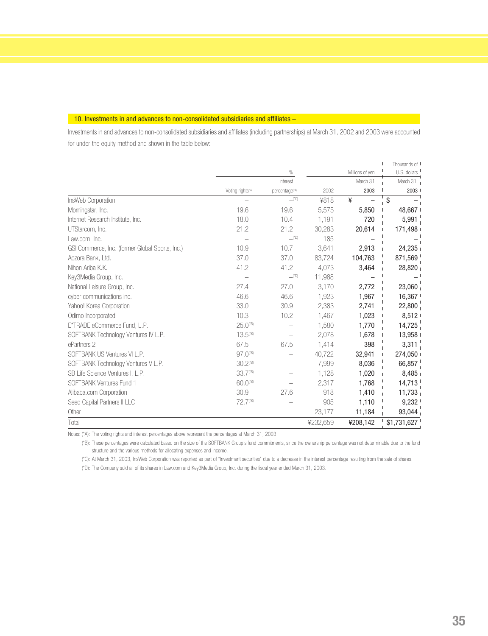#### 10. Investments in and advances to non-consolidated subsidiaries and affiliates –

Investments in and advances to non-consolidated subsidiaries and affiliates (including partnerships) at March 31, 2002 and 2003 were accounted for under the equity method and shown in the table below:

|                                                 |                              | %                        |          | Millions of yen | Thousands of I<br>U.S. dollars |
|-------------------------------------------------|------------------------------|--------------------------|----------|-----------------|--------------------------------|
|                                                 |                              | Interest                 |          | March 31        | March 31, $\overline{1}$       |
|                                                 | Voting rights <sup>(A)</sup> | percentage <sup>*A</sup> | 2002     | 2003            | 2003 1                         |
| InsWeb Corporation                              |                              | $\Box$ (*C)              | ¥818     | ¥               | \$                             |
| Morningstar, Inc.                               | 19.6                         | 19.6                     | 5,575    | 5,850           | 48,667                         |
| Internet Research Institute, Inc.               | 18.0                         | 10.4                     | 1,191    | 720             | $5,991$ <sub>1</sub>           |
| UTStarcom, Inc.                                 | 21.2                         | 21.2                     | 30,283   | 20,614          | 171,498                        |
| Law.com, Inc.                                   |                              | $\Box$ (*D)              | 185      |                 |                                |
| GSI Commerce, Inc. (former Global Sports, Inc.) | 10.9                         | 10.7                     | 3,641    | 2,913           | 24,235                         |
| Aozora Bank, Ltd.                               | 37.0                         | 37.0                     | 83,724   | 104,763         | $871,569$ <sub>1</sub>         |
| Nihon Ariba K.K.                                | 41.2                         | 41.2                     | 4,073    | 3,464           | 28,820                         |
| Key3Media Group, Inc.                           |                              | $\_^{\prime\prime}$ D)   | 11,988   |                 |                                |
| National Leisure Group, Inc.                    | 27.4                         | 27.0                     | 3.170    | 2.772           | 23,060 <sub>1</sub>            |
| cyber communications inc.                       | 46.6                         | 46.6                     | 1,923    | 1,967           | 16,367                         |
| Yahoo! Korea Corporation                        | 33.0                         | 30.9                     | 2,383    | 2,741           | $22,800_1$                     |
| Odimo Incorporated                              | 10.3                         | 10.2                     | 1,467    | 1,023           | 8,512                          |
| E*TRADE eCommerce Fund, L.P.                    | $25.0$ <sup>(*B)</sup>       |                          | 1,580    | 1,770           | $14,725$ <sup>1</sup>          |
| SOFTBANK Technology Ventures IV L.P.            | 13.5 <sup>(B)</sup>          |                          | 2,078    | 1,678           | 13,958                         |
| ePartners 2                                     | 67.5                         | 67.5                     | 1,414    | 398             | 3,311                          |
| SOFTBANK US Ventures VI L.P.                    | $97.0$ <sup>(*B)</sup>       |                          | 40,722   | 32,941          | 274,050                        |
| SOFTBANK Technology Ventures V L.P.             | 30.2 <sup>(B)</sup>          |                          | 7,999    | 8,036           | 66,857                         |
| SB Life Science Ventures I, L.P.                | 33.7 <sup>(B)</sup>          |                          | 1.128    | 1,020           | 8,485                          |
| SOFTBANK Ventures Fund 1                        | $60.0$ <sup>(*B)</sup>       |                          | 2,317    | 1,768           | 14,713                         |
| Alibaba.com Corporation                         | 30.9                         | 27.6                     | 918      | 1,410           | 11,733                         |
| Seed Capital Partners II LLC                    | 72.7 <sup>(*B)</sup>         |                          | 905      | 1,110           | 9,232                          |
| Other                                           |                              |                          | 23,177   | 11,184          | $93,044$ <sup>1</sup>          |
| Total                                           |                              |                          | ¥232,659 | ¥208,142        | \$1,731,627                    |

Notes: (\*A): The voting rights and interest percentages above represent the percentages at March 31, 2003.

(\*B): These percentages were calculated based on the size of the SOFTBANK Group's fund commitments, since the ownership percentage was not determinable due to the fund structure and the various methods for allocating expenses and income.

(\*C): At March 31, 2003, InsWeb Corporation was reported as part of "Investment securities" due to a decrease in the interest percentage resulting from the sale of shares.

(\*D): The Company sold all of its shares in Law.com and Key3Media Group, Inc. during the fiscal year ended March 31, 2003.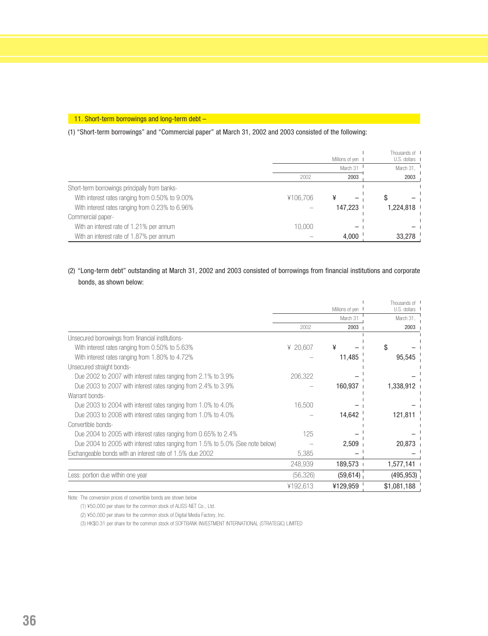#### 11. Short-term borrowings and long-term debt -

(1) "Short-term borrowings" and "Commercial paper" at March 31, 2002 and 2003 consisted of the following:

|                                                 | Millions of yen I |          | Thousands of I<br>U.S. dollars |
|-------------------------------------------------|-------------------|----------|--------------------------------|
|                                                 |                   | March 31 | March 31,                      |
|                                                 | 2002              | 2003     | 2003                           |
| Short-term borrowings principally from banks-   |                   |          |                                |
| With interest rates ranging from 0.50% to 9.00% | ¥106,706          | ¥        |                                |
| With interest rates ranging from 0.23% to 6.96% |                   | 147,223  | 1,224,818                      |
| Commercial paper-                               |                   |          |                                |
| With an interest rate of 1.21% per annum        | 10,000            |          |                                |
| With an interest rate of 1.87% per annum        |                   | 4,000    | 33,278                         |

### (2) "Long-term debt" outstanding at March 31, 2002 and 2003 consisted of borrowings from financial institutions and corporate bonds, as shown below:

|                                                                                 |           | Millions of yen I | Thousands of<br>U.S. dollars |
|---------------------------------------------------------------------------------|-----------|-------------------|------------------------------|
|                                                                                 |           | March 31          | March 31,                    |
|                                                                                 | 2002      | 2003              | 2003                         |
| Unsecured borrowings from financial institutions-                               |           |                   |                              |
| With interest rates ranging from 0.50% to 5.63%                                 | ¥ 20,607  | ¥                 | S                            |
| With interest rates ranging from 1.80% to 4.72%                                 |           | 11,485            | 95,545                       |
| Unsecured straight bonds-                                                       |           |                   |                              |
| Due 2002 to 2007 with interest rates ranging from 2.1% to 3.9%                  | 206,322   |                   |                              |
| Due 2003 to 2007 with interest rates ranging from 2.4% to 3.9%                  |           | 160,937           | 1,338,912                    |
| Warrant bonds-                                                                  |           |                   |                              |
| Due 2003 to 2004 with interest rates ranging from 1.0% to 4.0%                  | 16,500    |                   |                              |
| Due 2003 to 2008 with interest rates ranging from 1.0% to 4.0%                  |           | 14,642            | 121,811                      |
| Convertible bonds-                                                              |           |                   |                              |
| Due 2004 to 2005 with interest rates ranging from 0.65% to 2.4%                 | 125       |                   |                              |
| Due 2004 to 2005 with interest rates ranging from 1.5% to 5.0% (See note below) |           | 2,509             | 20,873                       |
| Exchangeable bonds with an interest rate of 1.5% due 2002                       | 5,385     |                   |                              |
|                                                                                 | 248,939   | 189,573           | 1,577,141                    |
| Less: portion due within one year                                               | (56, 326) | (59, 614)         | (495, 953)                   |
|                                                                                 | ¥192,613  | ¥129,959          | \$1,081,188                  |

Note: The conversion prices of convertible bonds are shown below

(1) ¥50,000 per share for the common stock of ALISS-NET Co., Ltd.

(2) ¥50,000 per share for the common stock of Digital Media Factory, Inc.

(3) HK\$0.31 per share for the common stock of SOFTBANK INVESTMENT INTERNATIONAL (STRATEGIC) LIMITED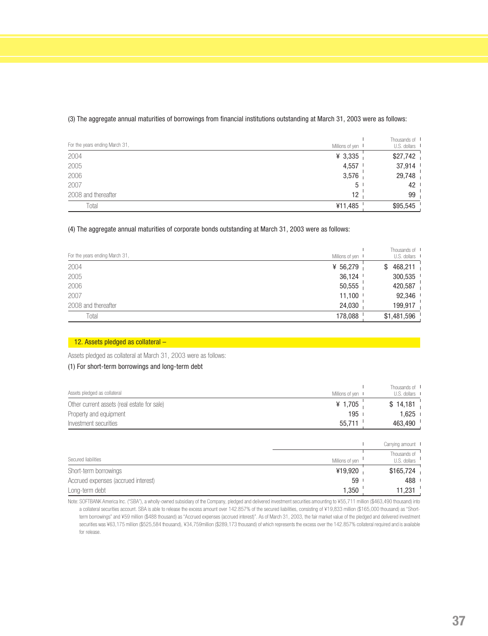| For the years ending March 31, | Millions of yen I | Thousands of<br>U.S. dollars |
|--------------------------------|-------------------|------------------------------|
| 2004                           | ¥ $3,335$         | \$27,742                     |
| 2005                           | 4,557             | 37,914                       |
| 2006                           | 3,576             | 29,748                       |
| 2007                           | 5 <sup>1</sup>    | 42                           |
| 2008 and thereafter            | 12                | 99                           |
| Total                          | ¥11,485           | \$95,545                     |

#### (3) The aggregate annual maturities of borrowings from financial institutions outstanding at March 31, 2003 were as follows:

#### (4) The aggregate annual maturities of corporate bonds outstanding at March 31, 2003 were as follows:

| For the years ending March 31, | Millions of yen I | Thousands of I<br>U.S. dollars I |
|--------------------------------|-------------------|----------------------------------|
| 2004                           | ¥ 56,279          | 468,211<br>S                     |
| 2005                           | 36,124            | 300,535                          |
| 2006                           | 50,555            | 420,587                          |
| 2007                           | 11,100            | 92,346                           |
| 2008 and thereafter            | 24,030            | 199,917                          |
| Total                          | 178,088           | \$1,481,596                      |

#### 12. Assets pledged as collateral -

Assets pledged as collateral at March 31, 2003 were as follows:

#### (1) For short-term borrowings and long-term debt

| Assets pledged as collateral                | Millions of yen I | Thousands of I<br>U.S. dollars I |
|---------------------------------------------|-------------------|----------------------------------|
| Other current assets (real estate for sale) | ¥ 1,705           | \$14,181                         |
| Property and equipment                      | 195               | $1.625$ .                        |
| Investment securities                       | 55,711            | 463,490                          |
|                                             |                   |                                  |

|                                     |                 | Carrying amount I            |
|-------------------------------------|-----------------|------------------------------|
| Secured liabilities                 | Millions of yen | Thousands of<br>U.S. dollars |
| Short-term borrowings               | ¥19,920         | \$165,724                    |
| Accrued expenses (accrued interest) | 59 <sup>1</sup> | 488                          |
| Long-term debt                      | 1,350           | 11,231                       |

Note: SOFTBANK America Inc. ("SBA"), a wholly-owned subsidiary of the Company, pledged and delivered investment securities amounting to ¥55,711 million (\$463,490 thousand) into a collateral securities account. SBA is able to release the excess amount over 142.857% of the secured liabilities, consisting of ¥19,833 million (\$165,000 thousand) as "Shortterm borrowings" and ¥59 million (\$488 thousand) as "Accrued expenses (accrued interest)". As of March 31, 2003, the fair market value of the pledged and delivered investment securities was ¥63,175 million (\$525,584 thousand), ¥34,759million (\$289,173 thousand) of which represents the excess over the 142.857% collateral required and is available for release.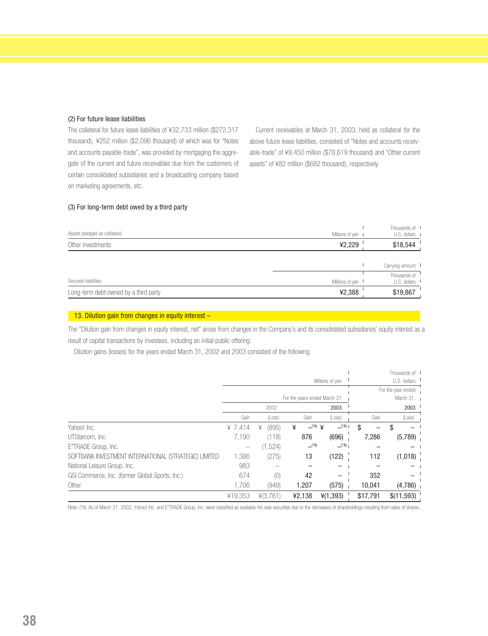#### (2) For future lease liabilities

The collateral for future lease liabilities of ¥32,733 million (\$272,317 thousand), ¥252 million (\$2,096 thousand) of which was for "Notes and accounts payable-trade", was provided by mortgaging the aggregate of the current and future receivables due from the customers of certain consolidated subsidiaries and a broadcasting company based on marketing agreements, etc.

Current receivables at March 31, 2003, held as collateral for the above future lease liabilities, consisted of "Notes and accounts receivable-trade" of ¥9,450 million (\$78,619 thousand) and "Other current assets" of ¥82 million (\$682 thousand), respectively.

#### (3) For long-term debt owed by a third party

| Assets pledged as collateral | Millions of ven I | Thousands of<br>U.S. dollars |
|------------------------------|-------------------|------------------------------|
| Other investments            | ¥2,229            | \$18,544                     |

|                                       |                 | Carrying amount I                             |
|---------------------------------------|-----------------|-----------------------------------------------|
| Secured liabilities                   | Millions of ven | Thousands of<br>$U.S.$ dollars $\blacksquare$ |
| Long-term debt owned by a third party | ¥2,388          | \$19,867                                      |

#### 13. Dilution gain from changes in equity interest -

The "Dilution gain from changes in equity interest, net" arose from changes in the Company's and its consolidated subsidiaries' equity interest as a result of capital transactions by investees, including an initial public offering.

Dilution gains (losses) for the years ended March 31, 2002 and 2003 consisted of the following.

|                                                       |                 |            |                                      |                          |                               | Thousands of I           |
|-------------------------------------------------------|-----------------|------------|--------------------------------------|--------------------------|-------------------------------|--------------------------|
|                                                       | Millions of yen |            |                                      |                          | $U.S.$ dollars $\blacksquare$ |                          |
|                                                       |                 |            |                                      |                          |                               | For the year ended       |
|                                                       |                 |            | For the years ended March 31         |                          |                               | March 31, $\blacksquare$ |
|                                                       |                 | 2002       |                                      | 2003                     |                               | 2003                     |
|                                                       | Gain            | (Loss)     | Gain                                 | (Loss)                   | Gain                          | (Loss)                   |
| Yahoo! Inc.                                           | ¥ $7.414$       | (895)<br>¥ | $\perp$ <sup>(*A)</sup> $\perp$<br>¥ | $\Box$ <sup>*A</sup> ) I | S                             |                          |
| UTStarcom, Inc.                                       | 7.190           | (118)      | 876                                  | (696)                    | 7,286                         | (5,789)                  |
| E*TRADE Group, Inc.                                   |                 | (1,524)    | $\Box$ <sup>*A)</sup>                | $-$ <sup>(*A)</sup>      |                               |                          |
| SOFTBANK INVESTMENT INTERNATIONAL (STRATEGIC) LIMITED | 1,386           | (275)      | 13                                   | (122)                    | 112                           | (1,018)                  |
| National Leisure Group, Inc.                          | 983             |            |                                      |                          |                               |                          |
| GSI Commerce, Inc. (former Global Sports, Inc.)       | 674             | (0)        | 42                                   |                          | 352                           |                          |
| Other                                                 | 1.706           | (949)      | 1,207                                | (575)                    | 10,041                        | (4,786)                  |
|                                                       | ¥19.353         | 4(3,761)   | ¥2,138                               | 4(1,393)                 | \$17,791                      | \$(11,593)               |

Note: (\*A) As of March 31, 2002, Yahoo! Inc. and E\*TRADE Group, Inc. were classified as available-for-sale securities due to the decreases of shareholdings resulting from sales of shares.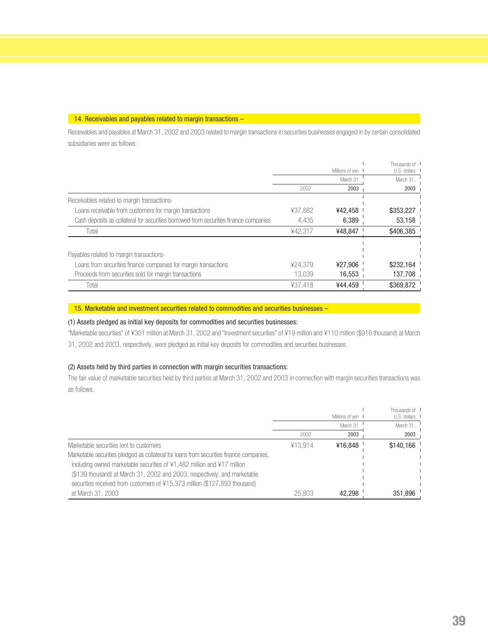#### 14. Receivables and payables related to margin transactions -

Receivables and payables at March 31, 2002 and 2003 related to margin transactions in securities businesses engaged in by certain consolidated subsidiaries were as follows:

|                                                                                       |         |                 | Thousands of I |
|---------------------------------------------------------------------------------------|---------|-----------------|----------------|
|                                                                                       |         | Millions of yen | U.S. dollars   |
|                                                                                       |         | March 31        | March 31,      |
|                                                                                       | 2002    | 2003            | 2003           |
| Receivables related to margin transactions-                                           |         |                 |                |
| Loans receivable from customers for margin transactions                               | ¥37.882 | ¥42.458         | \$353,227      |
| Cash deposits as collateral for securities borrowed from securities finance companies | 4.435   | 6,389           | 53,158         |
| Total                                                                                 | ¥42.317 | ¥48.847         | \$406.385      |
|                                                                                       |         |                 |                |
| Payables related to margin transactions-                                              |         |                 |                |
| Loans from securities finance companies for margin transactions                       | ¥24.379 | ¥27,906         | \$232,164      |
| Proceeds from securities sold for margin transactions                                 | 13.039  | 16,553          | 137,708        |
| Total                                                                                 | ¥37.418 | ¥44.459         | \$369.872      |

#### $-15$ . Marketable and investment securities related to commodities and securities businesses –

#### (1) Assets pledged as initial key deposits for commodities and securities businesses:

"Marketable securities" of ¥301 million at March 31, 2002 and "Investment securities" of ¥19 million and ¥110 million (\$916 thousand) at March 31, 2002 and 2003, respectively, were pledged as initial key deposits for commodities and securities businesses.

#### (2) Assets held by third parties in connection with margin securities transactions:

The fair value of marketable securities held by third parties at March 31, 2002 and 2003 in connection with margin securities transactions was as follows.

|                                                                                          |         | Millions of yen I | Thousands of I<br>$U.S.$ dollars $\blacksquare$ |
|------------------------------------------------------------------------------------------|---------|-------------------|-------------------------------------------------|
|                                                                                          |         | March 31          | March 31,                                       |
|                                                                                          | 2002    | 2003              | 2003                                            |
| Marketable securities lent to customers                                                  | ¥13.914 | ¥16,848           | \$140.166                                       |
| Marketable securities pledged as collateral for loans from securities finance companies, |         |                   |                                                 |
| including owned marketable securities of ¥1,482 million and ¥17 million                  |         |                   |                                                 |
| (\$139 thousand) at March 31, 2002 and 2003, respectively, and marketable                |         |                   |                                                 |
| securities received from customers of ¥15,373 million (\$127,893 thousand)               |         |                   |                                                 |
| at March 31, 2003                                                                        | 25,803  | 42.298            | 351.896                                         |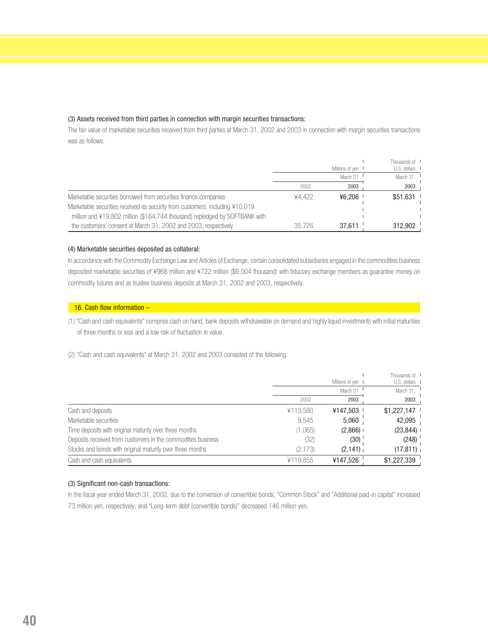#### (3) Assets received from third parties in connection with margin securities transactions:

The fair value of marketable securities received from third parties at March 31, 2002 and 2003 in connection with margin securities transactions was as follows.

|                                                                              |        | Millions of yen I | Thousands of I<br>U.S. dollars I |
|------------------------------------------------------------------------------|--------|-------------------|----------------------------------|
|                                                                              |        | March 31          | March 31.                        |
|                                                                              | 2002   | 2003              | 2003                             |
| Marketable securities borrowed from securities finance companies             | ¥4.422 | ¥6.206            | $$51,631$ $^{\circ}$             |
| Marketable securities received as security from customers, including ¥10,019 |        |                   |                                  |
| million and ¥19,802 million (\$164,744 thousand) repledged by SOFTBANK with  |        |                   |                                  |
| the customers' consent at March 31, 2002 and 2003, respectively              | 35.726 | 37.611            | 312.902                          |

#### (4) Marketable securities deposited as collateral:

In accordance with the Commodity Exchange Law and Articles of Exchange, certain consolidated subsidiaries engaged in the commodities business deposited marketable securities of ¥968 million and ¥722 million (\$6,004 thousand) with fiduciary exchange members as guarantee money on commodity futures and as trustee business deposits at March 31, 2002 and 2003, respectively.

#### 16. Cash flow information -

(1) "Cash and cash equivalents" comprise cash on hand, bank deposits withdrawable on demand and highly liquid investments with initial maturities of three months or less and a low risk of fluctuation in value.

(2) "Cash and cash equivalents" at March 31, 2002 and 2003 consisted of the following.

|                                                              |          | Millions of yen I | Thousands of I<br>U.S. dollars I |
|--------------------------------------------------------------|----------|-------------------|----------------------------------|
|                                                              |          | March 31          | March 31,                        |
|                                                              | 2002     | 2003              | 2003                             |
| Cash and deposits                                            | ¥113,580 | ¥147,503          | \$1,227,147                      |
| Marketable securities                                        | 9,545    | 5,060             | 42,095                           |
| Time deposits with original maturity over three months       | (1,065)  | (2,866)           | (23, 844)                        |
| Deposits received from customers in the commodities business | (32)     | (30)              | (248)                            |
| Stocks and bonds with original maturity over three months    | (2, 173) | (2,141)           | (17, 811)                        |
| Cash and cash equivalents                                    | ¥119,855 | ¥147,526          | \$1,227,339                      |

#### (3) Significant non-cash transactions:

In the fiscal year ended March 31, 2002, due to the conversion of convertible bonds, "Common Stock" and "Additional paid-in capital" increased 73 million yen, respectively, and "Long-term debt (convertible bonds)" decreased 146 million yen.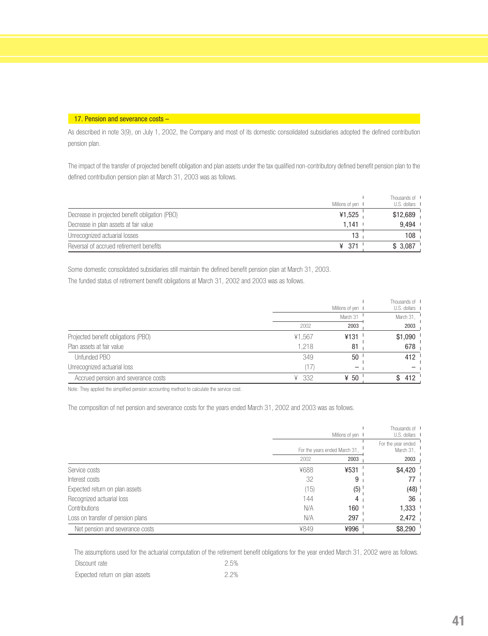#### 17. Pension and severance costs -

As described in note 3(9), on July 1, 2002, the Company and most of its domestic consolidated subsidiaries adopted the defined contribution pension plan.

The impact of the transfer of projected benefit obligation and plan assets under the tax qualified non-contributory defined benefit pension plan to the defined contribution pension plan at March 31, 2003 was as follows.

|                                                |                   | Thousands of I |
|------------------------------------------------|-------------------|----------------|
|                                                | Millions of yen I | U.S. dollars I |
| Decrease in projected benefit obligation (PBO) | ¥1,525            | \$12,689       |
| Decrease in plan assets at fair value          | $1.141$ $\cdot$   | 9.494          |
| Unrecognized actuarial losses                  | 13                | 108            |
| Reversal of accrued retirement benefits        | ¥ 371             | \$3,087        |

Some domestic consolidated subsidiaries still maintain the defined benefit pension plan at March 31, 2003.

The funded status of retirement benefit obligations at March 31, 2002 and 2003 was as follows.

|                                     |            | Millions of yen I | Thousands of I<br>U.S. dollars I |
|-------------------------------------|------------|-------------------|----------------------------------|
|                                     |            | March 31          | March 31,                        |
|                                     | 2002       | 2003              | 2003                             |
| Projected benefit obligations (PBO) | ¥1,567     | ¥131              | \$1,090                          |
| Plan assets at fair value           | 1.218      | 81                | 678                              |
| Unfunded PBO                        | 349        | 50                | 412                              |
| Unrecognized actuarial loss         |            |                   |                                  |
| Accrued pension and severance costs | - 332<br>¥ | ¥ 50              | 412                              |

Note: They applied the simplified pension accounting method to calculate the service cost.

The composition of net pension and severance costs for the years ended March 31, 2002 and 2003 was as follows.

|                                   |      | Millions of yen<br>For the years ended March 31, |         |
|-----------------------------------|------|--------------------------------------------------|---------|
|                                   |      |                                                  |         |
|                                   | 2002 | 2003                                             | 2003    |
| Service costs                     | ¥688 | ¥531                                             | \$4,420 |
| Interest costs                    | 32   | 9                                                |         |
| Expected return on plan assets    | (15) | (5)                                              | (48)    |
| Recognized actuarial loss         | 144  |                                                  | 36      |
| <b>Contributions</b>              | N/A  | 160                                              | 1,333   |
| Loss on transfer of pension plans | N/A  | 297                                              | 2,472   |
| Net pension and severance costs   | ¥849 | ¥996                                             | \$8,290 |

The assumptions used for the actuarial computation of the retirement benefit obligations for the year ended March 31, 2002 were as follows. Discount rate 2.5%

| __ _ _ _ _ _ _ _ _ _ _ _ _ _ _ _ | ------- |
|----------------------------------|---------|
| Expected return on plan assets   | 2.2%    |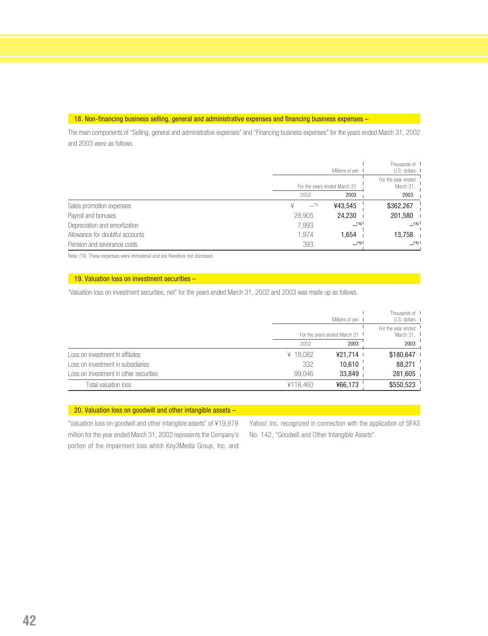#### 18. Non-financing business selling, general and administrative expenses and financing business expenses -

The main components of "Selling, general and administrative expenses" and "Financing business expenses" for the years ended March 31, 2002 and 2003 were as follows.

|                                 |        | Millions of yen I            | Thousands of I<br>U.S. dollars I     |
|---------------------------------|--------|------------------------------|--------------------------------------|
|                                 |        | For the years ended March 31 |                                      |
|                                 | 2002   | 2003                         | 2003                                 |
| Sales promotion expenses        |        | $\equiv$ (*A)<br>¥43,545     | \$362,267                            |
| Payroll and bonuses             | 28,905 | 24,230                       | 201,580                              |
| Depreciation and amortization   | 7,993  | $\Box$ <sup>(*A)</sup>       | $\perp$ <sup>*</sup> A) <sup>1</sup> |
| Allowance for doubtful accounts | 1.974  | 1.654                        | 13,758                               |
| Pension and severance costs     | 393    | $\Box$ <sup>(*A)</sup>       | $\Box$ (*A) l                        |

Note: (\*A) These expenses were immaterial and are therefore not disclosed.

#### 19. Valuation loss on investment securities -

"Valuation loss on investment securities, net" for the years ended March 31, 2002 and 2003 was made up as follows.

|                                        |                              | Thousands of I<br>U.S. dollars I<br>Millions of yen I |           |
|----------------------------------------|------------------------------|-------------------------------------------------------|-----------|
|                                        | For the years ended March 31 | For the year ended "<br>March 31, $\frac{1}{2}$       |           |
|                                        | 2002                         | 2003                                                  | 2003      |
| Loss on investment in affiliates       | ¥ 19,082                     | ¥21.714 L                                             | \$180,647 |
| Loss on investment in subsidiaries     | 332                          | 10,610                                                | 88,271    |
| Loss on investment in other securities | 99.046                       | 33,849                                                | 281,605   |
| Total valuation loss                   | ¥118.460                     | ¥66.173                                               | \$550,523 |

#### 20. Valuation loss on goodwill and other intangible assets -

"Valuation loss on goodwill and other intangible assets" of ¥19,978 million for the year ended March 31, 2002 represents the Company's portion of the impairment loss which Key3Media Group, Inc. and Yahoo! Inc. recognized in connection with the application of SFAS No. 142, "Goodwill and Other Intangible Assets".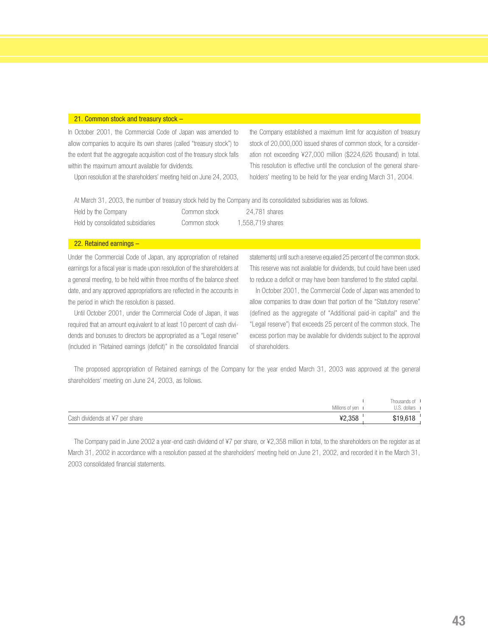#### 21. Common stock and treasury stock –

In October 2001, the Commercial Code of Japan was amended to allow companies to acquire its own shares (called "treasury stock") to the extent that the aggregate acquisition cost of the treasury stock falls within the maximum amount available for dividends.

Upon resolution at the shareholders' meeting held on June 24, 2003,

the Company established a maximum limit for acquisition of treasury stock of 20,000,000 issued shares of common stock, for a consideration not exceeding ¥27,000 million (\$224,626 thousand) in total. This resolution is effective until the conclusion of the general shareholders' meeting to be held for the year ending March 31, 2004.

At March 31, 2003, the number of treasury stock held by the Company and its consolidated subsidiaries was as follows. Held by the Company Common stock 24,781 shares Held by consolidated subsidiaries Common stock 1,558,719 shares

#### 22. Retained earnings –

Under the Commercial Code of Japan, any appropriation of retained earnings for a fiscal year is made upon resolution of the shareholders at a general meeting, to be held within three months of the balance sheet date, and any approved appropriations are reflected in the accounts in the period in which the resolution is passed.

Until October 2001, under the Commercial Code of Japan, it was required that an amount equivalent to at least 10 percent of cash dividends and bonuses to directors be appropriated as a "Legal reserve" (included in "Retained earnings (deficit)" in the consolidated financial statements) until such a reserve equaled 25 percent of the common stock. This reserve was not available for dividends, but could have been used to reduce a deficit or may have been transferred to the stated capital.

In October 2001, the Commercial Code of Japan was amended to allow companies to draw down that portion of the "Statutory reserve" (defined as the aggregate of "Additional paid-in capital" and the "Legal reserve") that exceeds 25 percent of the common stock. The excess portion may be available for dividends subject to the approval of shareholders.

The proposed appropriation of Retained earnings of the Company for the year ended March 31, 2003 was approved at the general shareholders' meeting on June 24, 2003, as follows.

| Millions of ven 1                        | Thousands of<br>U.S. dollars I |
|------------------------------------------|--------------------------------|
| ¥2,358<br>Cash dividends at ¥7 per share | \$19,618                       |

The Company paid in June 2002 a year-end cash dividend of ¥7 per share, or ¥2,358 million in total, to the shareholders on the register as at March 31, 2002 in accordance with a resolution passed at the shareholders' meeting held on June 21, 2002, and recorded it in the March 31, 2003 consolidated financial statements.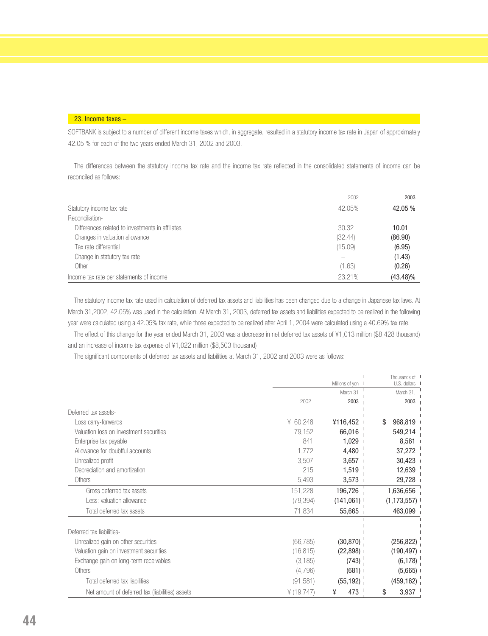#### 23. Income taxes –

SOFTBANK is subject to a number of different income taxes which, in aggregate, resulted in a statutory income tax rate in Japan of approximately 42.05 % for each of the two years ended March 31, 2002 and 2003.

The differences between the statutory income tax rate and the income tax rate reflected in the consolidated statements of income can be reconciled as follows:

|                                                  | 2002    | 2003        |
|--------------------------------------------------|---------|-------------|
| Statutory income tax rate                        | 42.05%  | 42.05 %     |
| Reconciliation-                                  |         |             |
| Differences related to investments in affiliates | 30.32   | 10.01       |
| Changes in valuation allowance                   | (32.44) | (86.90)     |
| Tax rate differential                            | (15.09) | (6.95)      |
| Change in statutory tax rate                     |         | (1.43)      |
| Other                                            | (1.63)  | (0.26)      |
| Income tax rate per statements of income         | 23.21%  | $(43.48)\%$ |

The statutory income tax rate used in calculation of deferred tax assets and liabilities has been changed due to a change in Japanese tax laws. At March 31,2002, 42.05% was used in the calculation. At March 31, 2003, deferred tax assets and liabilities expected to be realized in the following year were calculated using a 42.05% tax rate, while those expected to be realized after April 1, 2004 were calculated using a 40.69% tax rate.

The effect of this change for the year ended March 31, 2003 was a decrease in net deferred tax assets of ¥1,013 million (\$8,428 thousand) and an increase of income tax expense of ¥1,022 million (\$8,503 thousand)

The significant components of deferred tax assets and liabilities at March 31, 2002 and 2003 were as follows:

|                                                 |            |                 | Thousands of I |
|-------------------------------------------------|------------|-----------------|----------------|
|                                                 |            | Millions of yen | U.S. dollars   |
|                                                 |            | March 31        | March 31,      |
|                                                 | 2002       | 2003            | 2003           |
| Deferred tax assets-                            |            |                 |                |
| Loss carry-forwards                             | ¥ $60,248$ | ¥116,452        | 968,819<br>\$  |
| Valuation loss on investment securities         | 79,152     | 66,016          | 549,214        |
| Enterprise tax payable                          | 841        | 1,029           | 8,561          |
| Allowance for doubtful accounts                 | 1,772      | 4,480           | 37,272         |
| Unrealized profit                               | 3,507      | 3,657           | 30,423         |
| Depreciation and amortization                   | 215        | 1,519           | 12,639         |
| Others                                          | 5,493      | 3,573           | 29,728         |
| Gross deferred tax assets                       | 151,228    | 196,726         | 1,636,656      |
| Less: valuation allowance                       | (79, 394)  | (141,061)       | (1, 173, 557)  |
| Total deferred tax assets                       | 71,834     | 55,665          | 463,099        |
|                                                 |            |                 |                |
| Deferred tax liabilities-                       |            |                 |                |
| Unrealized gain on other securities             | (66, 785)  | (30, 870)       | (256, 822)     |
| Valuation gain on investment securities         | (16, 815)  | (22, 898)       | (190, 497)     |
| Exchange gain on long-term receivables          | (3, 185)   | (743)           | (6, 178)       |
| Others                                          | (4,796)    | $(681)$ I       | (5,665)        |
| Total deferred tax liabilities                  | (91, 581)  | (55, 192)       | (459, 162)     |
| Net amount of deferred tax (liabilities) assets | (19, 747)  | 473<br>¥        | 3,937<br>\$    |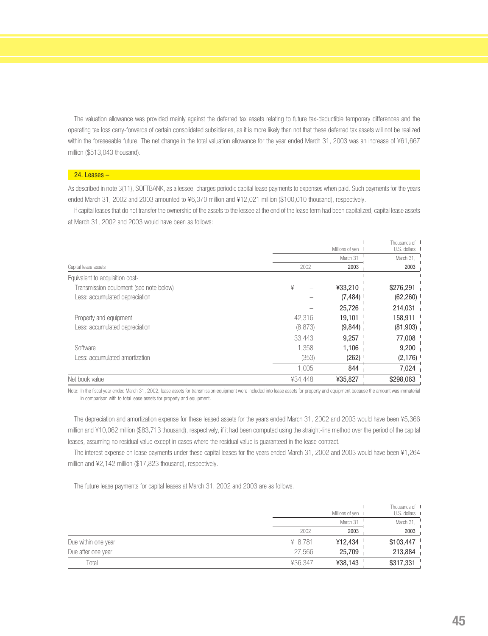The valuation allowance was provided mainly against the deferred tax assets relating to future tax-deductible temporary differences and the operating tax loss carry-forwards of certain consolidated subsidiaries, as it is more likely than not that these deferred tax assets will not be realized within the foreseeable future. The net change in the total valuation allowance for the year ended March 31, 2003 was an increase of ¥61,667 million (\$513,043 thousand).

#### 24. Leases –

As described in note 3(11), SOFTBANK, as a lessee, charges periodic capital lease payments to expenses when paid. Such payments for the years ended March 31, 2002 and 2003 amounted to ¥6,370 million and ¥12,021 million (\$100,010 thousand), respectively.

If capital leases that do not transfer the ownership of the assets to the lessee at the end of the lease term had been capitalized, capital lease assets at March 31, 2002 and 2003 would have been as follows:

|                                         |         |                   | Thousands of I |
|-----------------------------------------|---------|-------------------|----------------|
|                                         |         | Millions of yen I | U.S. dollars   |
|                                         |         | March 31          | March 31,      |
| Capital lease assets                    | 2002    | 2003              | 2003           |
| Equivalent to acquisition cost-         |         |                   |                |
| Transmission equipment (see note below) | ¥       | ¥33,210           | \$276,291      |
| Less: accumulated depreciation          |         | (7, 484)          | (62, 260)      |
|                                         |         | 25,726            | 214,031        |
| Property and equipment                  | 42,316  | 19,101            | 158,911        |
| Less: accumulated depreciation          | (8,873) | (9,844)           | (81,903)       |
|                                         | 33,443  | 9,257             | 77,008         |
| Software                                | 1.358   | 1,106             | 9,200          |
| Less: accumulated amortization          | (353)   | (262)             | (2,176)        |
|                                         | 1,005   | 844               | 7,024          |
| Net book value                          | ¥34.448 | ¥35,827           | \$298,063      |

Note: In the fiscal year ended March 31, 2002, lease assets for transmission equipment were included into lease assets for property and equipment because the amount was immaterial in comparison with to total lease assets for property and equipment.

The depreciation and amortization expense for these leased assets for the years ended March 31, 2002 and 2003 would have been ¥5,366 million and ¥10,062 million (\$83,713 thousand), respectively, if it had been computed using the straight-line method over the period of the capital leases, assuming no residual value except in cases where the residual value is guaranteed in the lease contract.

The interest expense on lease payments under these capital leases for the years ended March 31, 2002 and 2003 would have been ¥1,264 million and ¥2,142 million (\$17,823 thousand), respectively.

The future lease payments for capital leases at March 31, 2002 and 2003 are as follows.

|                     |         | Millions of yen I | Thousands of I<br>U.S. dollars |
|---------------------|---------|-------------------|--------------------------------|
|                     |         | March 31          | March 31,                      |
|                     | 2002    | 2003              | 2003                           |
| Due within one year | ¥ 8.781 | ¥12,434           | \$103,447                      |
| Due after one year  | 27,566  | 25,709            | 213,884                        |
| Total               | ¥36,347 | ¥38,143           | \$317,331                      |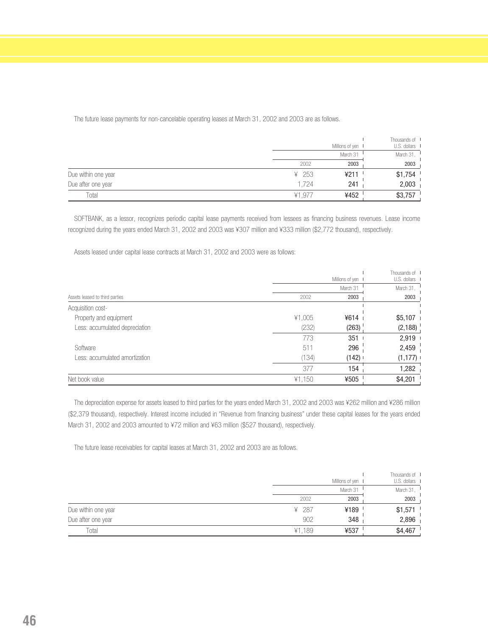|                     |           | Millions of yen I | Thousands of I<br>U.S. dollars I |
|---------------------|-----------|-------------------|----------------------------------|
|                     |           | March 31          | March 31,                        |
|                     | 2002      | 2003              | 2003                             |
| Due within one year | ¥ 253     | ¥211              | \$1,754                          |
| Due after one year  | 1.724     | 241               | 2,003                            |
| Total               | .97<br>¥1 | ¥452              | \$3,757                          |

SOFTBANK, as a lessor, recognizes periodic capital lease payments received from lessees as financing business revenues. Lease income recognized during the years ended March 31, 2002 and 2003 was ¥307 million and ¥333 million (\$2,772 thousand), respectively.

Assets leased under capital lease contracts at March 31, 2002 and 2003 were as follows:

|                                |        |                   | Thousands of I |
|--------------------------------|--------|-------------------|----------------|
|                                |        | Millions of yen I | U.S. dollars I |
|                                |        | March 31          | March 31,      |
| Assets leased to third parties | 2002   | 2003              | 2003           |
| Acquisition cost-              |        |                   |                |
| Property and equipment         | ¥1,005 | 4614              | $$5,107$ i     |
| Less: accumulated depreciation | (232)  | (263)             | (2,188)        |
|                                | 773    | 351               | $2,919$ $\mid$ |
| Software                       | 511    | 296               | 2,459          |
| Less: accumulated amortization | (134)  | $(142)$ I         | (1, 177)       |
|                                | 377    | 154               | 1,282          |
| Net book value                 | ¥1,150 | ¥505              | \$4,201        |

The depreciation expense for assets leased to third parties for the years ended March 31, 2002 and 2003 was ¥262 million and ¥286 million (\$2,379 thousand), respectively. Interest income included in "Revenue from financing business" under these capital leases for the years ended March 31, 2002 and 2003 amounted to ¥72 million and ¥63 million (\$527 thousand), respectively.

The future lease receivables for capital leases at March 31, 2002 and 2003 are as follows.

|                     |        | Millions of yen I | Thousands of I<br>U.S. dollars I |
|---------------------|--------|-------------------|----------------------------------|
|                     |        | March 31          | March 31,                        |
|                     | 2002   | 2003              | 2003                             |
| Due within one year | ¥ 287  | ¥189              | \$1,571                          |
| Due after one year  | 902    | 348               | 2,896                            |
| Total               | ¥1,189 | ¥537              | \$4,467                          |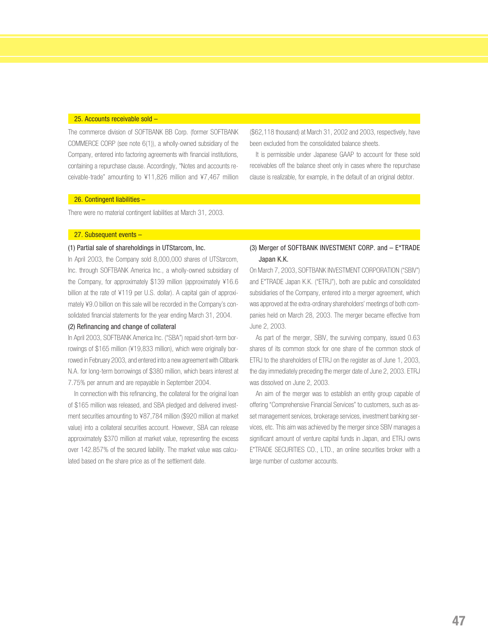#### 25. Accounts receivable sold –

The commerce division of SOFTBANK BB Corp. (former SOFTBANK COMMERCE CORP (see note 6(1)), a wholly-owned subsidiary of the Company, entered into factoring agreements with financial institutions, containing a repurchase clause. Accordingly, "Notes and accounts receivable-trade" amounting to ¥11,826 million and ¥7,467 million

(\$62,118 thousand) at March 31, 2002 and 2003, respectively, have been excluded from the consolidated balance sheets.

It is permissible under Japanese GAAP to account for these sold receivables off the balance sheet only in cases where the repurchase clause is realizable, for example, in the default of an original debtor.

#### 26. Contingent liabilities –

There were no material contingent liabilities at March 31, 2003.

#### 27. Subsequent events –

#### (1) Partial sale of shareholdings in UTStarcom, Inc.

In April 2003, the Company sold 8,000,000 shares of UTStarcom, Inc. through SOFTBANK America Inc., a wholly-owned subsidiary of the Company, for approximately \$139 million (approximately ¥16.6 billion at the rate of ¥119 per U.S. dollar). A capital gain of approximately ¥9.0 billion on this sale will be recorded in the Company's consolidated financial statements for the year ending March 31, 2004.

#### (2) Refinancing and change of collateral

In April 2003, SOFTBANK America Inc. ("SBA") repaid short-term borrowings of \$165 million (¥19,833 million), which were originally borrowed in February 2003, and entered into a new agreement with Citibank N.A. for long-term borrowings of \$380 million, which bears interest at 7.75% per annum and are repayable in September 2004.

In connection with this refinancing, the collateral for the original loan of \$165 million was released, and SBA pledged and delivered investment securities amounting to ¥87,784 million (\$920 million at market value) into a collateral securities account. However, SBA can release approximately \$370 million at market value, representing the excess over 142.857% of the secured liability. The market value was calculated based on the share price as of the settlement date.

#### (3) Merger of SOFTBANK INVESTMENT CORP. and – E\*TRADE Japan K.K.

On March 7, 2003, SOFTBANK INVESTMENT CORPORATION ("SBIV") and E\*TRADE Japan K.K. ("ETRJ"), both are public and consolidated subsidiaries of the Company, entered into a merger agreement, which was approved at the extra-ordinary shareholders' meetings of both companies held on March 28, 2003. The merger became effective from June 2, 2003.

As part of the merger, SBIV, the surviving company, issued 0.63 shares of its common stock for one share of the common stock of ETRJ to the shareholders of ETRJ on the register as of June 1, 2003, the day immediately preceding the merger date of June 2, 2003. ETRJ was dissolved on June 2, 2003.

An aim of the merger was to establish an entity group capable of offering "Comprehensive Financial Services" to customers, such as asset management services, brokerage services, investment banking services, etc. This aim was achieved by the merger since SBIV manages a significant amount of venture capital funds in Japan, and ETRJ owns E\*TRADE SECURITIES CO., LTD., an online securities broker with a large number of customer accounts.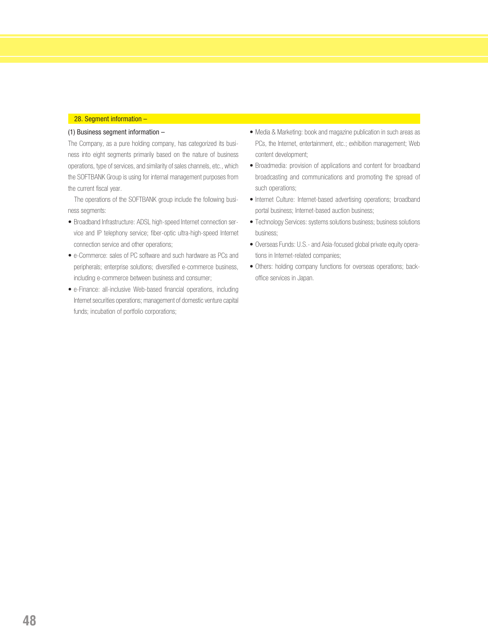#### 28. Segment information –

#### (1) Business segment information –

The Company, as a pure holding company, has categorized its business into eight segments primarily based on the nature of business operations, type of services, and similarity of sales channels, etc., which the SOFTBANK Group is using for internal management purposes from the current fiscal year.

The operations of the SOFTBANK group include the following business segments:

- Broadband Infrastructure: ADSL high-speed Internet connection service and IP telephony service; fiber-optic ultra-high-speed Internet connection service and other operations;
- e-Commerce: sales of PC software and such hardware as PCs and peripherals; enterprise solutions; diversified e-commerce business, including e-commerce between business and consumer;
- e-Finance: all-inclusive Web-based financial operations, including Internet securities operations; management of domestic venture capital funds; incubation of portfolio corporations;
- Media & Marketing: book and magazine publication in such areas as PCs, the Internet, entertainment, etc.; exhibition management; Web content development;
- Broadmedia: provision of applications and content for broadband broadcasting and communications and promoting the spread of such operations;
- Internet Culture: Internet-based advertising operations; broadband portal business; Internet-based auction business;
- Technology Services: systems solutions business; business solutions business;
- Overseas Funds: U.S.- and Asia-focused global private equity operations in Internet-related companies;
- Others: holding company functions for overseas operations; backoffice services in Japan.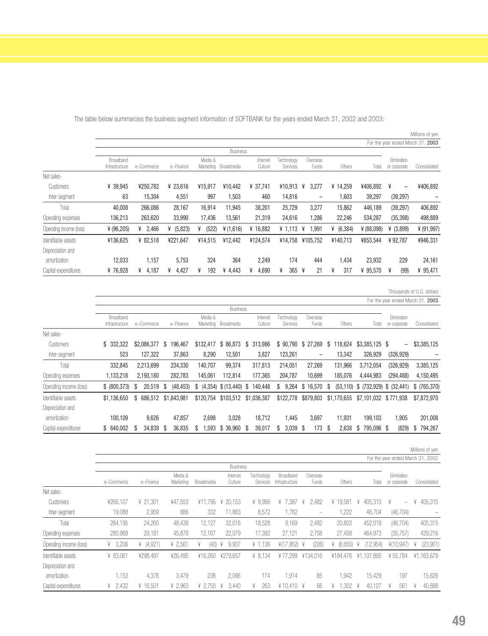|                         |                             |            |             |                      |                 |                     |                        |                   |               |              |                                   | Millions of yen |
|-------------------------|-----------------------------|------------|-------------|----------------------|-----------------|---------------------|------------------------|-------------------|---------------|--------------|-----------------------------------|-----------------|
|                         |                             |            |             |                      |                 |                     |                        |                   |               |              | For the year ended March 31, 2003 |                 |
|                         |                             |            |             |                      | <b>Business</b> |                     |                        |                   |               |              |                                   |                 |
|                         | Broadband<br>Infrastructure | e-Commerce | e-Finance   | Media &<br>Marketing | Broadmedia      | Internet<br>Culture | Technology<br>Services | Overseas<br>Funds | Others        | Total        | Elimination<br>or corporate       | Consolidated    |
| Net sales-              |                             |            |             |                      |                 |                     |                        |                   |               |              |                                   |                 |
| Customers               | ¥ 39,945                    | ¥250.782   | ¥ 23,616    | ¥15,917              | ¥10.442         | ¥ 37.741            | ¥10,913                | ¥<br>3,277        | ¥ 14.259      | ¥406,892     | ¥<br>$\overline{\phantom{m}}$     | ¥406,892        |
| Inter-segment           | 63                          | 15,304     | 4,551       | 997                  | 1,503           | 460                 | 14,816                 | $\qquad \qquad -$ | 1,603         | 39,297       | (39, 297)                         |                 |
| Total                   | 40,008                      | 266,086    | 28,167      | 16,914               | 11.945          | 38,201              | 25,729                 | 3,277             | 15,862        | 446,189      | (39, 297)                         | 406,892         |
| Operating expenses      | 136,213                     | 263,620    | 33,990      | 17,436               | 13,561          | 21,319              | 24,616                 | 1,286             | 22,246        | 534,287      | (35, 398)                         | 498,889         |
| Operating income (loss) | ¥ (96,205)                  | 2,466<br>¥ | ¥ $(5,823)$ | (522)<br>¥           | ¥ (1,616)       | ¥ 16,882            | ¥ 1,113                | ,991<br>¥         | (6, 384)<br>¥ | ¥ $(88,098)$ | ¥ $(3,899)$                       | ¥ $(91, 997)$   |
| Identifiable assets     | ¥136.625                    | ¥ 82.518   | ¥221.647    | ¥14.515              | ¥12.442         | ¥124.574            | ¥14.758                | ¥105.752          | ¥140.713      | ¥853.544     | ¥92.787                           | ¥946,331        |
| Depreciation and        |                             |            |             |                      |                 |                     |                        |                   |               |              |                                   |                 |
| amortization            | 12.033                      | 1,157      | 5.753       | 324                  | 364             | 2,249               | 174                    | 444               | 1.434         | 23,932       | 229                               | 24,161          |
| Capital expenditures    | ¥76.928                     | 4,187<br>¥ | 4,427<br>¥  | ¥<br>192             | ¥ 4.443         | 4,690<br>¥          | 365<br>¥               | 21<br>¥           | ¥<br>317      | ¥ 95,570     | (99)<br>¥                         | ¥ 95,471        |

The table below summarizes the business segment information of SOFTBANK for the years ended March 31, 2002 and 2003:

Thousands of U.S. dollars

Millions of yen

|                         |                |                 |                |              |             |                |            |                   |                | For the year ended March 31, 2003 |                          |               |
|-------------------------|----------------|-----------------|----------------|--------------|-------------|----------------|------------|-------------------|----------------|-----------------------------------|--------------------------|---------------|
|                         |                | <b>Business</b> |                |              |             |                |            |                   |                |                                   |                          |               |
|                         | Broadband      |                 |                | Media &      |             | Internet       | Technology | Overseas          |                |                                   | Elimination              |               |
|                         | Infrastructure | e-Commerce      | e-Finance      | Marketing    | Broadmedia  | Culture        | Services   | Funds             | Others         | Total                             | or corporate             | Consolidated  |
| Net sales-              |                |                 |                |              |             |                |            |                   |                |                                   |                          |               |
| Customers               | \$332,322      | \$2,086,377     | S<br>196.467   | \$132,417    | \$86,873    | 313,986<br>S   | \$90,790   | \$ 27,269         | 118,624<br>S   | $$3,385,125$ \$                   | $\overline{\phantom{0}}$ | \$3,385,125   |
| Inter-segment           | 523            | 127,322         | 37.863         | 8.290        | 12.501      | 3,827          | 123,261    | $\qquad \qquad -$ | 13,342         | 326.929                           | (326, 929)               |               |
| Total                   | 332,845        | 2,213,699       | 234,330        | 140.707      | 99,374      | 317.813        | 214,051    | 27,269            | 131,966        | 3.712.054                         | (326, 929)               | 3,385,125     |
| Operating expenses      | 1,133,218      | 2,193,180       | 282,783        | 145,061      | 112.814     | 177,365        | 204,787    | 10,699            | 185,076        | 4,444,983                         | (294, 488)               | 4,150,495     |
| Operating income (loss) | \$ (800, 373)  | 20,519<br>-S    | (48, 453)<br>S | (4,354)<br>S | \$(13, 440) | 140.448<br>S   | 9,264<br>S | \$16.570          | (53, 110)<br>S | \$(732,929)                       | \$ (32, 441)             | \$ (765, 370) |
| Identifiable assets     | \$1,136,650    | 686.512<br>S.   | \$1,843,981    | \$120,754    | \$103,512   | \$1,036,387    | \$122,778  | \$879,803         | \$1,170,655    | \$7,101,032                       | \$771.938                | \$7,872,970   |
| Depreciation and        |                |                 |                |              |             |                |            |                   |                |                                   |                          |               |
| amortization            | 100.109        | 9,626           | 47.857         | 2,698        | 3,028       | 18,712         | 1.445      | 3,697             | 11,931         | 199,103                           | .905                     | 201,008       |
| Capital expenditures    | \$ 640,002     | 34.839<br>S     | 36,835<br>S    | .593<br>S    | \$ 36,960   | 39,017<br>- \$ | 3.039<br>S | 173<br>-S         | 2.638<br>S     | 795.096 \$<br>S                   | (829)                    | 794.267<br>S  |

For the year ended March 31, 2002 **Business** Media & Internet Technology Broadband Overseas Elimination e–Commerce e–Finance Marketing Broadmedia Culture Services Infrastructure Funds Others Total or corporate Consolidated Net sales-Customers ¥265,107 ¥ 21,301 ¥47,553 ¥11,795 ¥ 20,153 ¥ 9,956 ¥ 7,387 ¥ 2,482 ¥ 19,581 ¥ 405,315 ¥ – ¥ 405,315 Inter-segment 19,088 2,959 886 332 11,863 8,572 1,782 – 1,222 46,704 (46,704) – Total 284,195 24,260 48,439 12,127 32,016 18,528 9,169 2,482 20,803 452,019 (46,704) 405,315 Operating expenses 280,989 29,181 45,878 12,167 22,079 17,392 27,121 2,708 27,458 464,973 (35,757) 429,216 Operating income (loss) ¥ 3,206 ¥ (4,921) ¥ 2,561 ¥ (40) ¥ 9,937 ¥ 1,136 ¥(17,952) ¥ (226) ¥ (6,655) ¥ (12,954) ¥(10,947) ¥ (23,901) Identifiable assets ¥ 83,061 ¥298,497 ¥26,495 ¥16,260 ¥279,657 ¥ 8,134 ¥ 77,299 ¥134,016 ¥184,476 ¥1,107,895 ¥ 55,784 ¥1,163,679 Depreciation and amortization 1,153 4,378 3,479 238 2,066 174 1,914 85 1,942 15,429 197 15,626 Capital expenditures ¥ 2,432 ¥ 16,501 ¥ 2,963 ¥ 2,750 ¥ 3,440 ¥ 263 ¥ 10,410 ¥ 66 ¥ 1,302 ¥ 40,127 ¥ 561 ¥ 40,688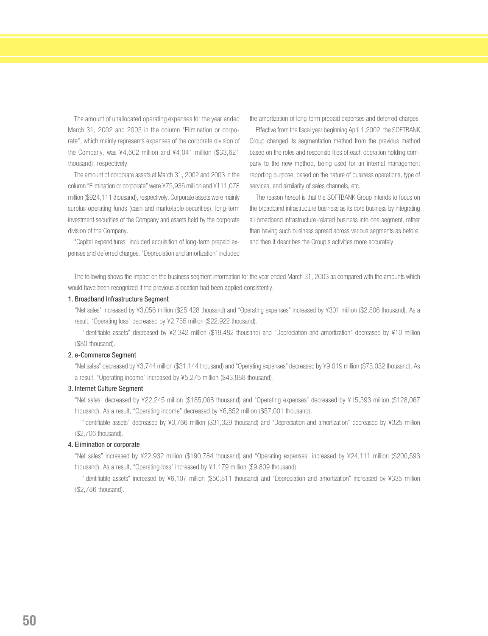The amount of unallocated operating expenses for the year ended March 31, 2002 and 2003 in the column "Elimination or corporate", which mainly represents expenses of the corporate division of the Company, was ¥4,602 million and ¥4,041 million (\$33,621 thousand), respectively.

The amount of corporate assets at March 31, 2002 and 2003 in the column "Elimination or corporate" were ¥75,936 million and ¥111,078 million (\$924,111 thousand), respectively. Corporate assets were mainly surplus operating funds (cash and marketable securities), long-term investment securities of the Company and assets held by the corporate division of the Company.

"Capital expenditures" included acquisition of long-term prepaid expenses and deferred charges. "Depreciation and amortization" included the amortization of long-term prepaid expenses and deferred charges.

Effective from the fiscal year beginning April 1,2002, the SOFTBANK Group changed its segmentation method from the previous method based on the roles and responsibilities of each operation holding company to the new method, being used for an internal management reporting purpose, based on the nature of business operations, type of services, and similarity of sales channels, etc.

The reason hereof is that the SOFTBANK Group intends to focus on the broadband infrastructure business as its core business by integrating all broadband infrastructure-related business into one segment, rather than having such business spread across various segments as before, and then it describes the Group's activities more accurately.

The following shows the impact on the business segment information for the year ended March 31, 2003 as compared with the amounts which would have been recognized if the previous allocation had been applied consistently.

#### 1. Broadband Infrastructure Segment

"Net sales" increased by ¥3,056 million (\$25,428 thousand) and "Operating expenses" increased by ¥301 million (\$2,506 thousand). As a result, "Operating loss" decreased by ¥2,755 million (\$22,922 thousand).

"Identifiable assets" decreased by ¥2,342 million (\$19,482 thousand) and "Depreciation and amortization" decreased by ¥10 million (\$80 thousand).

#### 2. e-Commerce Segment

"Net sales" decreased by ¥3,744 million (\$31,144 thousand) and "Operating expenses" decreased by ¥9,019 million (\$75,032 thousand). As a result, "Operating income" increased by ¥5,275 million (\$43,888 thousand).

#### 3. Internet Culture Segment

"Net sales" decreased by ¥22,245 million (\$185,068 thousand) and "Operating expenses" decreased by ¥15,393 million (\$128,067 thousand). As a result, "Operating income" decreased by ¥6,852 million (\$57,001 thousand).

"Identifiable assets" decreased by ¥3,766 million (\$31,329 thousand) and "Depreciation and amortization" decreased by ¥325 million (\$2,706 thousand).

#### 4. Elimination or corporate

"Net sales" increased by ¥22,932 million (\$190,784 thousand) and "Operating expenses" increased by ¥24,111 million (\$200,593 thousand). As a result, "Operating loss" increased by ¥1,179 million (\$9,809 thousand).

"Identifiable assets" increased by ¥6,107 million (\$50,811 thousand) and "Depreciation and amortization" increased by ¥335 million (\$2,786 thousand).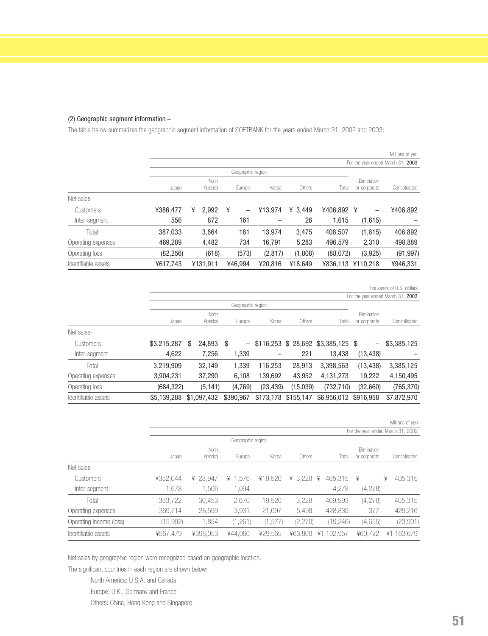#### (2) Geographic segment information –

The table below summarizes the geographic segment information of SOFTBANK for the years ended March 31, 2002 and 2003:

|                     |           |   |          |   |                   |          |           |          |                                   | Millions of yen |
|---------------------|-----------|---|----------|---|-------------------|----------|-----------|----------|-----------------------------------|-----------------|
|                     |           |   |          |   |                   |          |           |          | For the year ended March 31, 2003 |                 |
|                     |           |   |          |   | Geographic region |          |           |          |                                   |                 |
|                     |           |   | North    |   |                   |          |           |          | Elimination                       |                 |
|                     | Japan     |   | America  |   | Europe            | Korea    | Others    | Total    | or corporate                      | Consolidated    |
| Net sales-          |           |   |          |   |                   |          |           |          |                                   |                 |
| Customers           | ¥386,477  | ¥ | 2,992    | ¥ | -                 | ¥13.974  | ¥ $3.449$ | ¥406,892 | ¥<br>-                            | ¥406,892        |
| Inter-segment       | 556       |   | 872      |   | 161               |          | 26        | 1,615    | (1,615)                           |                 |
| Total               | 387,033   |   | 3,864    |   | 161               | 13.974   | 3,475     | 408,507  | (1,615)                           | 406,892         |
| Operating expenses  | 469,289   |   | 4,482    |   | 734               | 16,791   | 5,283     | 496,579  | 2,310                             | 498,889         |
| Operating loss      | (82, 256) |   | (618)    |   | (573)             | (2, 817) | (1,808)   | (88,072) | (3,925)                           | (91, 997)       |
| Identifiable assets | ¥617,743  |   | ¥131.911 |   | ¥46.994           | ¥20.816  | ¥18.649   | ¥836.113 | ¥110.218                          | ¥946,331        |

Thousands of U.S. dollars

| For the year ended March 31, 2003 |             |    |             |      |                   |                     |          |                                        |              |              |
|-----------------------------------|-------------|----|-------------|------|-------------------|---------------------|----------|----------------------------------------|--------------|--------------|
|                                   |             |    |             |      | Geographic region |                     |          |                                        |              |              |
|                                   |             |    | North       |      |                   |                     |          |                                        | Elimination  |              |
|                                   | Japan       |    | America     |      | Europe            | Korea               | Others   | Total                                  | or corporate | Consolidated |
| Net sales-                        |             |    |             |      |                   |                     |          |                                        |              |              |
| Customers                         | \$3,215,287 | \$ | 24,893      | - \$ |                   |                     |          | $-$ \$116,253 \$ 28,692 \$3,385,125 \$ | -            | \$3,385,125  |
| Inter-segment                     | 4,622       |    | 7,256       |      | 1,339             |                     | 221      | 13,438                                 | (13, 438)    |              |
| Total                             | 3,219,909   |    | 32,149      |      | 1,339             | 116,253             | 28,913   | 3,398,563                              | (13, 438)    | 3,385,125    |
| Operating expenses                | 3,904,231   |    | 37,290      |      | 6,108             | 139,692             | 43,952   | 4,131,273                              | 19,222       | 4,150,495    |
| Operating loss                    | (684, 322)  |    | (5, 141)    |      | (4,769)           | (23, 439)           | (15,039) | (732, 710)                             | (32,660)     | (765, 370)   |
| Identifiable assets               | \$5,139,288 |    | \$1,097,432 |      | \$390.967         | \$173,178 \$155,147 |          | \$6,956,012                            | \$916,958    | \$7.872,970  |

|                         |                                   |          |                   |         |         |              |                               | Millions of yen |  |
|-------------------------|-----------------------------------|----------|-------------------|---------|---------|--------------|-------------------------------|-----------------|--|
|                         | For the year ended March 31, 2002 |          |                   |         |         |              |                               |                 |  |
|                         |                                   |          | Geographic region |         |         |              |                               |                 |  |
|                         |                                   | North    |                   |         |         |              | Elimination                   |                 |  |
|                         | Japan                             | America  | Europe            | Korea   | Others  | Total        | or corporate                  | Consolidated    |  |
| Net sales-              |                                   |          |                   |         |         |              |                               |                 |  |
| Customers               | ¥352.044                          | ¥ 28.947 | ¥ $1.576$         | ¥19.520 | ¥ 3.228 | 405.315<br>¥ | ¥<br>$\overline{\phantom{m}}$ | 405.315<br>¥    |  |
| Inter-segment           | 1.678                             | 1,506    | 1,094             |         |         | 4,278        | (4,278)                       |                 |  |
| Total                   | 353,722                           | 30,453   | 2,670             | 19.520  | 3,228   | 409,593      | (4,278)                       | 405,315         |  |
| Operating expenses      | 369,714                           | 28,599   | 3,931             | 21,097  | 5,498   | 428,839      | 377                           | 429,216         |  |
| Operating income (loss) | (15,992)                          | 1,854    | (1,261)           | (1,577) | (2,270) | (19, 246)    | (4,655)                       | (23,901)        |  |
| Identifiable assets     | ¥567.479                          | ¥398.053 | ¥44.060           | ¥29.565 | ¥63,800 | ¥1.102.957   | ¥60.722                       | ¥1.163.679      |  |

Net sales by geographic region were recognized based on geographic location.

The significant countries in each region are shown below:

North America: U.S.A. and Canada

Europe: U.K., Germany and France

Others: China, Hong Kong and Singapore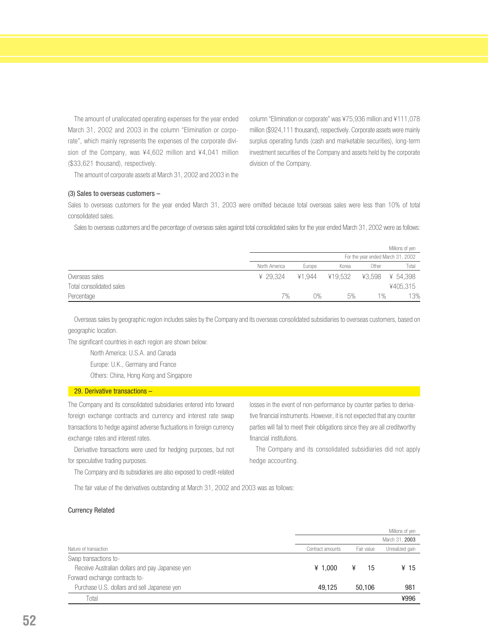The amount of unallocated operating expenses for the year ended March 31, 2002 and 2003 in the column "Elimination or corporate", which mainly represents the expenses of the corporate division of the Company, was ¥4,602 million and ¥4,041 million (\$33,621 thousand), respectively.

column "Elimination or corporate" was ¥75,936 million and ¥111,078 million (\$924,111 thousand), respectively. Corporate assets were mainly surplus operating funds (cash and marketable securities), long-term investment securities of the Company and assets held by the corporate division of the Company.

The amount of corporate assets at March 31, 2002 and 2003 in the

#### (3) Sales to overseas customers –

Sales to overseas customers for the year ended March 31, 2003 were omitted because total overseas sales were less than 10% of total consolidated sales.

Sales to overseas customers and the percentage of overseas sales against total consolidated sales for the year ended March 31, 2002 were as follows:

|                          |                                   |        |         |        | Millions of yen |  |
|--------------------------|-----------------------------------|--------|---------|--------|-----------------|--|
|                          | For the year ended March 31, 2002 |        |         |        |                 |  |
|                          | North America                     | Europe | Korea   | )ther  | Total           |  |
| Overseas sales           | ¥ 29.324                          | ¥1.944 | ¥19.532 | ¥3.598 | ¥ 54.398        |  |
| Total consolidated sales |                                   |        |         |        | ¥405,315        |  |
| Percentage               | 7%                                | N%     | 5%      | $1\%$  | 13%             |  |

Overseas sales by geographic region includes sales by the Company and its overseas consolidated subsidiaries to overseas customers, based on geographic location.

The significant countries in each region are shown below:

North America: U.S.A. and Canada

Europe: U.K., Germany and France

Others: China, Hong Kong and Singapore

#### 29. Derivative transactions –

The Company and its consolidated subsidiaries entered into forward foreign exchange contracts and currency and interest rate swap transactions to hedge against adverse fluctuations in foreign currency exchange rates and interest rates.

Derivative transactions were used for hedging purposes, but not for speculative trading purposes.

The Company and its subsidiaries are also exposed to credit-related

losses in the event of non-performance by counter parties to derivative financial instruments. However, it is not expected that any counter parties will fail to meet their obligations since they are all creditworthy financial institutions.

The Company and its consolidated subsidiaries did not apply hedge accounting.

The fair value of the derivatives outstanding at March 31, 2002 and 2003 was as follows:

#### Currency Related

|                                                 |                  |            | Millions of yen |
|-------------------------------------------------|------------------|------------|-----------------|
|                                                 |                  |            | March 31, 2003  |
| Nature of transaction                           | Contract amounts | Fair value | Unrealized gain |
| Swap transactions to-                           |                  |            |                 |
| Receive Australian dollars and pay Japanese yen | ¥ 1.000          | 15         | ¥ 15            |
| Forward exchange contracts to-                  |                  |            |                 |
| Purchase U.S. dollars and sell Japanese yen     | 49.125           | 50.106     | 981             |
| Total                                           |                  |            | ¥996            |
|                                                 |                  |            |                 |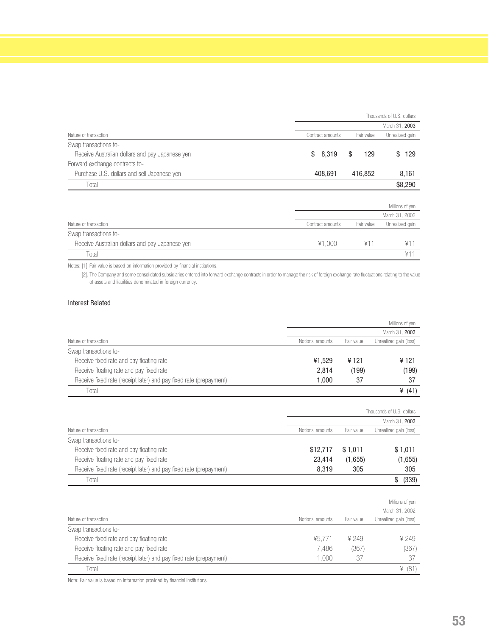|                                                 | Thousands of U.S. dollars |            |                 |  |  |  |  |
|-------------------------------------------------|---------------------------|------------|-----------------|--|--|--|--|
|                                                 |                           |            | March 31, 2003  |  |  |  |  |
| Nature of transaction                           | Contract amounts          | Fair value | Unrealized gain |  |  |  |  |
| Swap transactions to-                           |                           |            |                 |  |  |  |  |
| Receive Australian dollars and pay Japanese yen | 8,319<br>\$               | \$<br>129  | 129<br>\$       |  |  |  |  |
| Forward exchange contracts to-                  |                           |            |                 |  |  |  |  |
| Purchase U.S. dollars and sell Japanese yen     | 408,691                   | 416,852    | 8,161           |  |  |  |  |
| Total                                           |                           |            | \$8,290         |  |  |  |  |
|                                                 |                           |            |                 |  |  |  |  |
|                                                 |                           |            | Millions of yen |  |  |  |  |
|                                                 |                           |            | March 31, 2002  |  |  |  |  |
| Nature of transaction                           | Contract amounts          | Fair value | Unrealized gain |  |  |  |  |

| Swap transactions to-                           |        |  |
|-------------------------------------------------|--------|--|
| Receive Australian dollars and pay Japanese yen | ¥1.000 |  |
| Total                                           |        |  |
|                                                 |        |  |

Notes: [1]. Fair value is based on information provided by financial institutions.

[2]. The Company and some consolidated subsidiaries entered into forward exchange contracts in order to manage the risk of foreign exchange rate fluctuations relating to the value of assets and liabilities denominated in foreign currency.

#### Interest Related

|                                                                    |                  |            | Millions of yen        |
|--------------------------------------------------------------------|------------------|------------|------------------------|
|                                                                    |                  |            | March 31, 2003         |
| Nature of transaction                                              | Notional amounts | Fair value | Unrealized gain (loss) |
| Swap transactions to-                                              |                  |            |                        |
| Receive fixed rate and pay floating rate                           | ¥1.529           | ¥ 121      | ¥ 121                  |
| Receive floating rate and pay fixed rate                           | 2.814            | (199)      | (199)                  |
| Receive fixed rate (receipt later) and pay fixed rate (prepayment) | 1.000            | 37         | 37                     |
| Total                                                              |                  |            | ¥ $(41)$               |

|                                                                    |                  |            | Thousands of U.S. dollars |
|--------------------------------------------------------------------|------------------|------------|---------------------------|
|                                                                    |                  |            | March 31, 2003            |
| Nature of transaction                                              | Notional amounts | Fair value | Unrealized gain (loss)    |
| Swap transactions to-                                              |                  |            |                           |
| Receive fixed rate and pay floating rate                           | \$12,717         | \$1.011    | \$1,011                   |
| Receive floating rate and pay fixed rate                           | 23.414           | (1,655)    | (1,655)                   |
| Receive fixed rate (receipt later) and pay fixed rate (prepayment) | 8.319            | 305        | 305                       |
| Total                                                              |                  |            | (339)                     |

|                                                                    |                  |            | Millions of yen        |
|--------------------------------------------------------------------|------------------|------------|------------------------|
|                                                                    |                  |            | March 31, 2002         |
| Nature of transaction                                              | Notional amounts | Fair value | Unrealized gain (loss) |
| Swap transactions to-                                              |                  |            |                        |
| Receive fixed rate and pay floating rate                           | ¥5.771           | ¥ 249      | 4249                   |
| Receive floating rate and pay fixed rate                           | 7.486            | (367)      | (367                   |
| Receive fixed rate (receipt later) and pay fixed rate (prepayment) | 1.000            | 37         |                        |
| Total                                                              |                  |            | ¥ (81                  |

Note: Fair value is based on information provided by financial institutions.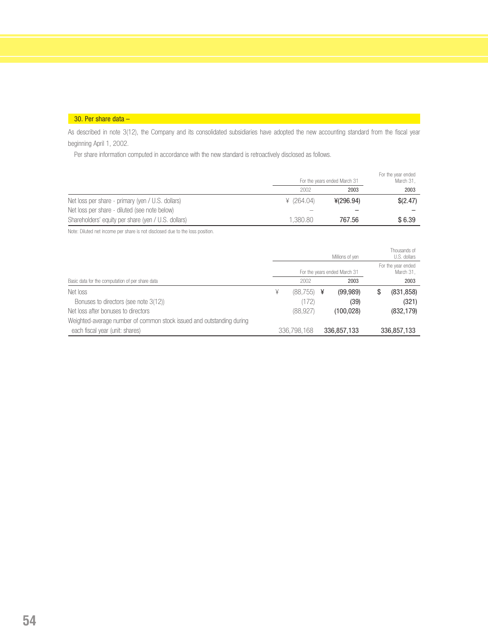#### 30. Per share data –

As described in note 3(12), the Company and its consolidated subsidiaries have adopted the new accounting standard from the fiscal year beginning April 1, 2002.

Per share information computed in accordance with the new standard is retroactively disclosed as follows.

|                                                     |            | For the years ended March 31 |          |  |
|-----------------------------------------------------|------------|------------------------------|----------|--|
|                                                     | 2002       | 2003                         | 2003     |  |
| Net loss per share - primary (yen / U.S. dollars)   | ¥ (264.04) | 4(296.94)                    | \$(2.47) |  |
| Net loss per share - diluted (see note below)       |            |                              |          |  |
| Shareholders' equity per share (yen / U.S. dollars) | 1.380.80   | 767.56                       | \$6.39   |  |

Note: Diluted net income per share is not disclosed due to the loss position.

|                                                                       | Millions of yen |             |   |                              | Thousands of<br>U.S. dollars    |
|-----------------------------------------------------------------------|-----------------|-------------|---|------------------------------|---------------------------------|
|                                                                       |                 |             |   | For the years ended March 31 | For the year ended<br>March 31, |
| Basic data for the computation of per share data                      |                 | 2002        |   | 2003                         | 2003                            |
| Net loss                                                              | ¥               | (88,755)    | ¥ | (99, 989)                    | \$<br>(831, 858)                |
| Bonuses to directors (see note 3(12))                                 |                 | (172)       |   | (39)                         | (321)                           |
| Net loss after bonuses to directors                                   |                 | (88, 927)   |   | (100, 028)                   | (832, 179)                      |
| Weighted-average number of common stock issued and outstanding during |                 |             |   |                              |                                 |
| each fiscal year (unit: shares)                                       |                 | 336,798,168 |   | 336,857,133                  | 336,857,133                     |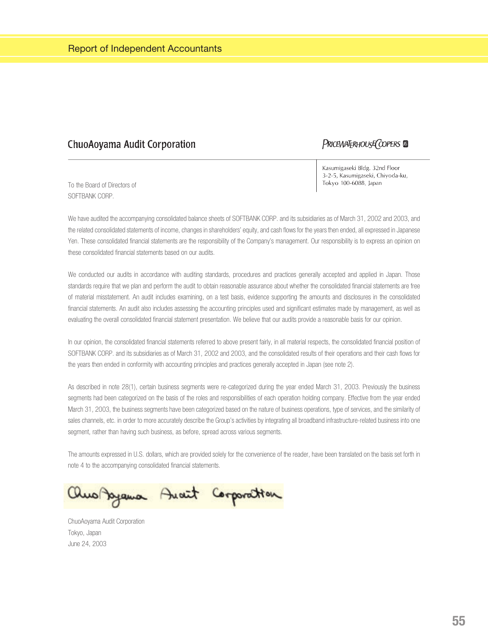### **ChuoAoyama Audit Corporation**

### PRICEWATERHOUSE COPERS

To the Board of Directors of SOFTBANK CORP

Kasumigaseki Bldg. 32nd Floor 3-2-5, Kasumigaseki, Chiyoda-ku, Tokyo 100-6088, Japan

We have audited the accompanying consolidated balance sheets of SOFTBANK CORP. and its subsidiaries as of March 31, 2002 and 2003, and the related consolidated statements of income, changes in shareholders' equity, and cash flows for the years then ended, all expressed in Japanese Yen. These consolidated financial statements are the responsibility of the Company's management. Our responsibility is to express an opinion on these consolidated financial statements based on our audits.

We conducted our audits in accordance with auditing standards, procedures and practices generally accepted and applied in Japan. Those standards require that we plan and perform the audit to obtain reasonable assurance about whether the consolidated financial statements are free of material misstatement. An audit includes examining, on a test basis, evidence supporting the amounts and disclosures in the consolidated financial statements. An audit also includes assessing the accounting principles used and significant estimates made by management, as well as evaluating the overall consolidated financial statement presentation. We believe that our audits provide a reasonable basis for our opinion.

In our opinion, the consolidated financial statements referred to above present fairly, in all material respects, the consolidated financial position of SOFTBANK CORP. and its subsidiaries as of March 31, 2002 and 2003, and the consolidated results of their operations and their cash flows for the years then ended in conformity with accounting principles and practices generally accepted in Japan (see note 2).

As described in note 28(1), certain business segments were re-categorized during the year ended March 31, 2003. Previously the business segments had been categorized on the basis of the roles and responsibilities of each operation holding company. Effective from the year ended March 31, 2003, the business segments have been categorized based on the nature of business operations, type of services, and the similarity of sales channels, etc. in order to more accurately describe the Group's activities by integrating all broadband infrastructure-related business into one segment, rather than having such business, as before, spread across various segments.

The amounts expressed in U.S. dollars, which are provided solely for the convenience of the reader, have been translated on the basis set forth in note 4 to the accompanying consolidated financial statements.

Rus Ayama Anaut Corporation

ChuoAoyama Audit Corporation Tokyo, Japan June 24, 2003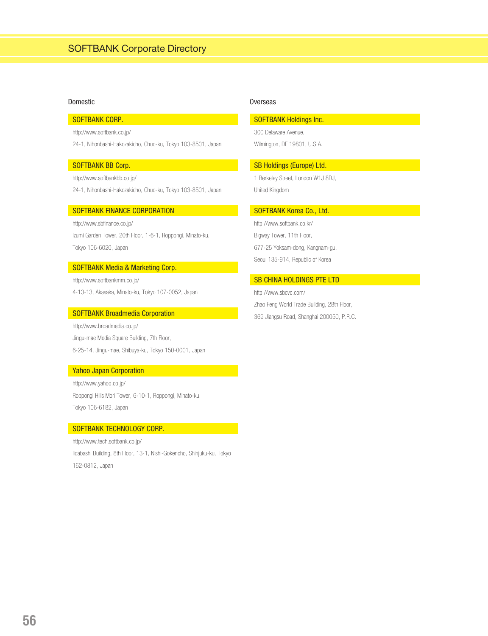#### Domestic **Domestic** Overseas

#### SOFTBANK CORP.

http://www.softbank.co.jp/

24-1, Nihonbashi-Hakozakicho, Chuo-ku, Tokyo 103-8501, Japan

#### SOFTBANK BB Corp.

http://www.softbankbb.co.jp/

24-1, Nihonbashi-Hakozakicho, Chuo-ku, Tokyo 103-8501, Japan

#### SOFTBANK FINANCE CORPORATION

http://www.sbfinance.co.jp/ Izumi Garden Tower, 20th Floor, 1-6-1, Roppongi, Minato-ku, Tokyo 106-6020, Japan

#### SOFTBANK Media & Marketing Corp.

http://www.softbankmm.co.jp/ 4-13-13, Akasaka, Minato-ku, Tokyo 107-0052, Japan

#### SOFTBANK Broadmedia Corporation

http://www.broadmedia.co.jp/ Jingu-mae Media Square Building, 7th Floor, 6-25-14, Jingu-mae, Shibuya-ku, Tokyo 150-0001, Japan

#### Yahoo Japan Corporation

http://www.yahoo.co.jp/ Roppongi Hills Mori Tower, 6-10-1, Roppongi, Minato-ku, Tokyo 106-6182, Japan

#### SOFTBANK TECHNOLOGY CORP.

http://www.tech.softbank.co.jp/ Iidabashi Building, 8th Floor, 13-1, Nishi-Gokencho, Shinjuku-ku, Tokyo 162-0812, Japan

#### SOFTBANK Holdings Inc.

300 Delaware Avenue, Wilmington, DE 19801, U.S.A.

#### SB Holdings (Europe) Ltd.

1 Berkeley Street, London W1J 8DJ, United Kingdom

#### SOFTBANK Korea Co., Ltd.

http://www.softbank.co.kr/ Bigway Tower, 11th Floor, 677-25 Yoksam-dong, Kangnam-gu, Seoul 135-914, Republic of Korea

#### SB CHINA HOLDINGS PTE LTD

http://www.sbcvc.com/ Zhao Feng World Trade Building, 28th Floor, 369 Jiangsu Road, Shanghai 200050, P.R.C.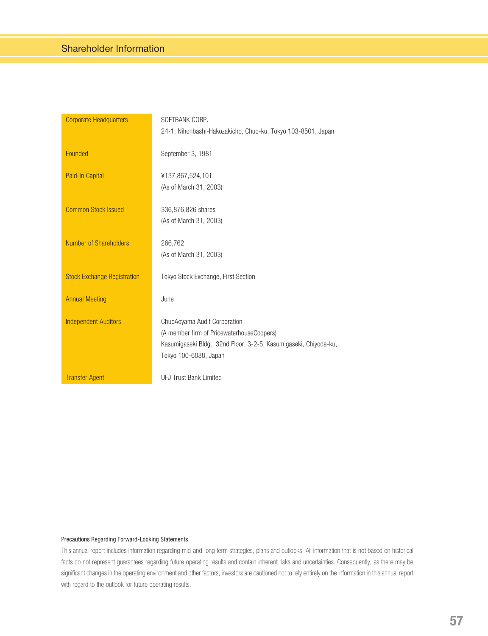| <b>Corporate Headquarters</b>      | SOFTBANK CORP.                                                                                                                                                         |
|------------------------------------|------------------------------------------------------------------------------------------------------------------------------------------------------------------------|
|                                    | 24-1, Nihonbashi-Hakozakicho, Chuo-ku, Tokyo 103-8501, Japan                                                                                                           |
| Founded                            | September 3, 1981                                                                                                                                                      |
| Paid-in Capital                    | ¥137,867,524,101<br>(As of March 31, 2003)                                                                                                                             |
| <b>Common Stock Issued</b>         | 336,876,826 shares<br>(As of March 31, 2003)                                                                                                                           |
| Number of Shareholders             | 266,762<br>(As of March 31, 2003)                                                                                                                                      |
| <b>Stock Exchange Registration</b> | Tokyo Stock Exchange, First Section                                                                                                                                    |
| <b>Annual Meeting</b>              | June                                                                                                                                                                   |
| <b>Independent Auditors</b>        | ChuoAoyama Audit Corporation<br>(A member firm of PricewaterhouseCoopers)<br>Kasumigaseki Bldg., 32nd Floor, 3-2-5, Kasumigaseki, Chiyoda-ku,<br>Tokyo 100-6088, Japan |
| <b>Transfer Agent</b>              | <b>UFJ Trust Bank Limited</b>                                                                                                                                          |

#### Precautions Regarding Forward-Looking Statements

This annual report includes information regarding mid-and-long term strategies, plans and outlooks. All information that is not based on historical facts do not represent guarantees regarding future operating results and contain inherent risks and uncertainties. Consequently, as there may be significant changes in the operating environment and other factors, investors are cautioned not to rely entirely on the information in this annual report with regard to the outlook for future operating results.